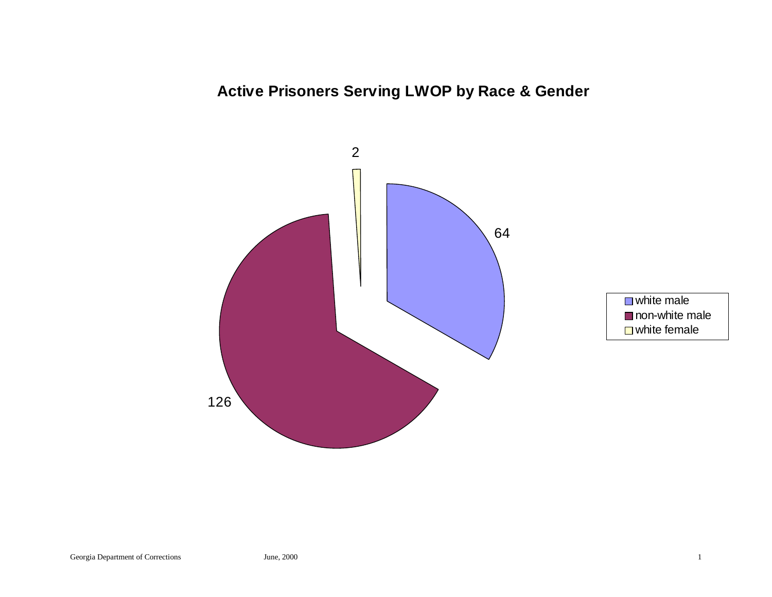# **Active Prisoners Serving LWOP by Race & Gender**



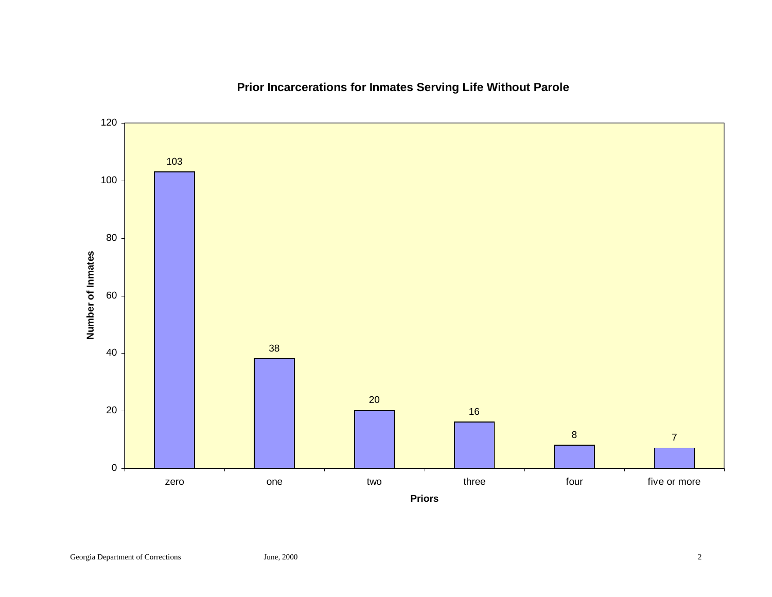

# **Prior Incarcerations for Inmates Serving Life Without Parole**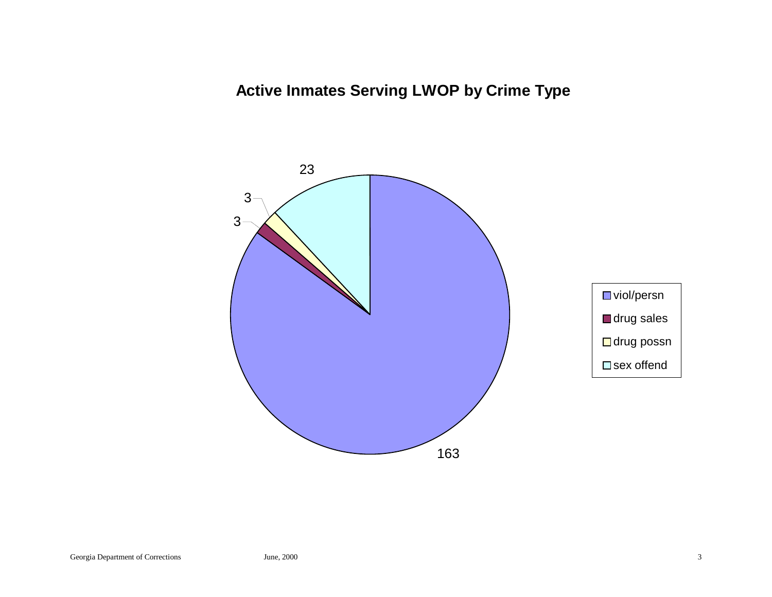**Active Inmates Serving LWOP by Crime Type**

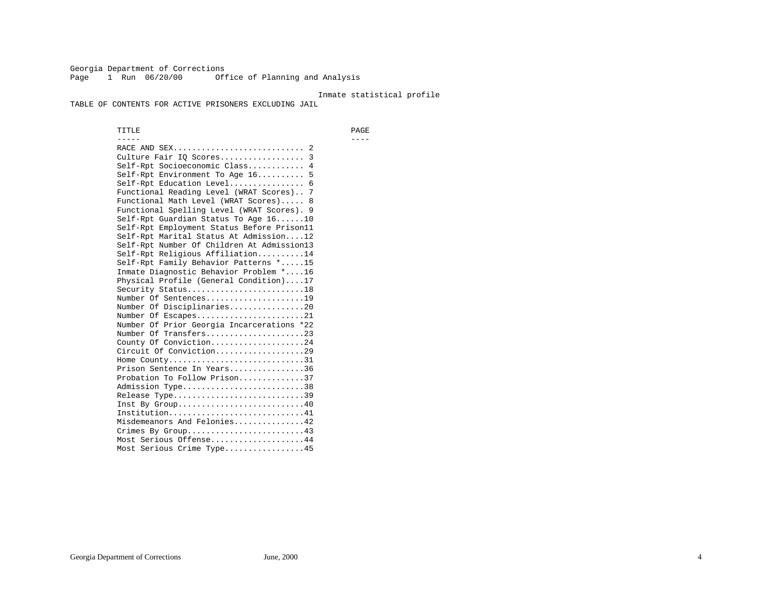Georgia Department of Corrections Page 1 Run 06/20/00 Office of Planning and Analysis

### Inmate statistical profile

TABLE OF CONTENTS FOR ACTIVE PRISONERS EXCLUDING JAIL

 TITLE PAGE ----- ---- RACE AND SEX............................ 2 Culture Fair IQ Scores.................. 3 Self-Rpt Socioeconomic Class............ 4 Self-Rpt Environment To Age 16.......... 5 Self-Rpt Education Level................ 6 Functional Reading Level (WRAT Scores).. 7 Functional Math Level (WRAT Scores)..... 8 Functional Spelling Level (WRAT Scores). 9 Self-Rpt Guardian Status To Age 16......10 Self-Rpt Employment Status Before Prison11 Self-Rpt Marital Status At Admission....12 Self-Rpt Number Of Children At Admission13 Self-Rpt Religious Affiliation..........14 Self-Rpt Family Behavior Patterns \*.....15 Inmate Diagnostic Behavior Problem \*....16 Physical Profile (General Condition)....17 Security Status...........................18 Number Of Sentences.....................19 Number Of Disciplinaries................20 Number Of Escapes.........................21 Number Of Prior Georgia Incarcerations \*22 Number Of Transfers.....................23 County Of Conviction....................24 Circuit Of Conviction...................29 Home County.................................31 Prison Sentence In Years................36 Probation To Follow Prison..............37Admission Type.............................38 Release Type...............................39 Inst By Group..............................40 Institution.............................41 Misdemeanors And Felonies...............42 Crimes By Group.........................43 Most Serious Offense....................44 Most Serious Crime Type.................45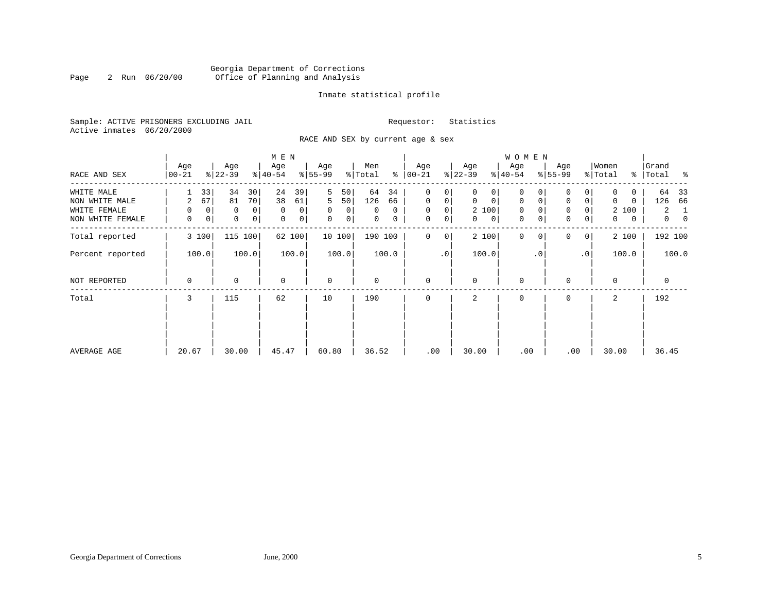# Georgia Department of Corrections<br>2 Run 06/20/00 Office of Planning and Analysis Page 2 Run 06/20/00 Office of Planning and Analysis

# Inmate statistical profile

Sample: ACTIVE PRISONERS EXCLUDING JAIL **Requestor:** Statistics Active inmates 06/20/2000

RACE AND SEX by current age & sex

|                                                                  |                                                    |                                                              | M E N                                              |                                                            |                                                            |                                                                      |                                                                                  | WOMEN                                                                            |                                                           |                                                                        |                                                                  |
|------------------------------------------------------------------|----------------------------------------------------|--------------------------------------------------------------|----------------------------------------------------|------------------------------------------------------------|------------------------------------------------------------|----------------------------------------------------------------------|----------------------------------------------------------------------------------|----------------------------------------------------------------------------------|-----------------------------------------------------------|------------------------------------------------------------------------|------------------------------------------------------------------|
| RACE AND SEX                                                     | Age<br>$00 - 21$                                   | Age<br>$ 22-39 $                                             | Age<br>$ 40-54 $                                   | Age<br>$8 55-99$                                           | Men<br>ွေ<br>% Total                                       | Age<br>$00 - 21$                                                     | Age<br>$ 22-39 $                                                                 | Age<br>$ 40-54 $                                                                 | Age<br>$8 55-99$                                          | Women<br>% Total                                                       | Grand<br>% Total %                                               |
| WHITE MALE<br>NON WHITE MALE<br>WHITE FEMALE<br>NON WHITE FEMALE | 33<br>67<br>2<br>$\mathbf 0$<br>$\Omega$<br>0<br>0 | 34<br>30<br>81<br>70<br>0<br>0<br>$\mathbf 0$<br>$\mathbf 0$ | 24<br>39<br>38<br>61<br>$\mathbf 0$<br>0<br>0<br>0 | 5<br>50<br>5<br>50<br>$\mathbf 0$<br>0<br>$\mathbf 0$<br>0 | 64<br>34<br>126<br>66<br>$\Omega$<br>0<br>$\mathbf 0$<br>0 | 0<br>0<br>$\mathbf{0}$<br>0<br>$\mathbf{0}$<br>0<br>$\mathbf 0$<br>0 | 0<br>0<br>$\mathbf 0$<br>$\mathbf{0}$<br>2 100<br>$\overline{0}$<br>$\mathbf{0}$ | 0<br>$\mathsf{O}\xspace$<br>$\mathbf 0$<br>$\mathbf{0}$<br>0<br>$\mathbf 0$<br>0 | 0<br>0<br>$\mathbf 0$<br>$\mathbf 0$<br>0<br>$\mathsf{O}$ | 0<br>0<br>$\mathbf{0}$<br>$\mathbf{0}$<br>2 100<br>$\overline{0}$<br>0 | 64<br>- 33<br>126<br>66<br>2<br>-1<br>$\overline{0}$<br>$\Omega$ |
| Total reported                                                   | 3 100                                              | 115<br>100                                                   | 62 100                                             | 10 100                                                     | 190 100                                                    | $\mathbf{0}$<br>$\mathbf 0$                                          | 2 100                                                                            | $\mathbf 0$<br>0                                                                 | $\mathbf 0$<br>0                                          | 2 100                                                                  | 192 100                                                          |
| Percent reported                                                 | 100.0                                              | 100.0                                                        | 100.0                                              | 100.0                                                      | 100.0                                                      | $\cdot$ 0                                                            | 100.0                                                                            | . 0                                                                              | $\cdot$ 0                                                 | 100.0                                                                  | 100.0                                                            |
| NOT REPORTED                                                     | 0                                                  | $\mathbf 0$                                                  | $\mathbf 0$                                        | $\mathbf 0$                                                | 0                                                          | $\mathbf 0$                                                          | $\mathbf 0$                                                                      | $\mathbf 0$                                                                      | $\mathbf 0$                                               | $\mathbf 0$                                                            | 0                                                                |
| Total                                                            | 3                                                  | 115                                                          | 62                                                 | 10                                                         | 190                                                        | $\Omega$                                                             | $\overline{2}$                                                                   | $\mathbf{0}$                                                                     | $\Omega$                                                  | 2                                                                      | 192                                                              |
| AVERAGE AGE                                                      | 20.67                                              | 30.00                                                        | 45.47                                              | 60.80                                                      | 36.52                                                      | .00                                                                  | 30.00                                                                            | .00                                                                              | .00                                                       | 30.00                                                                  | 36.45                                                            |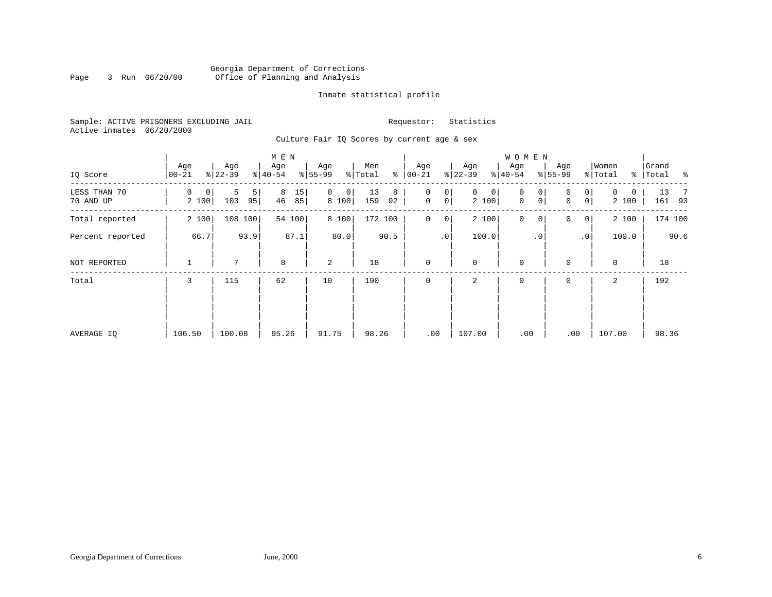# Georgia Department of Corrections Page 3 Run 06/20/00 Office of Planning and Analysis

# Inmate statistical profile

Sample: ACTIVE PRISONERS EXCLUDING JAIL **Requestor:** Statistics Active inmates 06/20/2000

Culture Fair IQ Scores by current age & sex

|                           |                  |                     | M E N               |                              |                                 |                                            |                                        | W O M E N                               |                            |                                      |                         |
|---------------------------|------------------|---------------------|---------------------|------------------------------|---------------------------------|--------------------------------------------|----------------------------------------|-----------------------------------------|----------------------------|--------------------------------------|-------------------------|
| IQ Score                  | Age<br>$00 - 21$ | Age<br>$ 22-39 $    | Age<br>$ 40-54 $    | Age<br>$8 55-99$             | Men<br>ႜ<br>$\frac{1}{2}$ Total | Age<br>$ 00 - 21$                          | Age<br>$ 22-39$                        | Age<br>$ 40-54 $                        | Age<br>$ 55-99 $           | Women<br>% Total                     | Grand<br>%   Total<br>ಿ |
| LESS THAN 70<br>70 AND UP | 0<br>0<br>2 100  | 5<br>5<br>103<br>95 | 8<br>15<br>46<br>85 | $\mathbf{0}$<br> 0 <br>8 100 | 13<br>8<br>159<br>92            | 0<br>0 <sup>1</sup><br>0 <sup>1</sup><br>0 | $\mathbf 0$<br>0 <sup>1</sup><br>2 100 | $\mathbf 0$<br>0<br>0<br>$\overline{0}$ | 0<br>0<br>$\mathbf 0$<br>0 | $\mathbf{0}$<br>$\mathbf 0$<br>2 100 | 13<br>- 7<br>161 93     |
| Total reported            | 2 100            | 108 100             | 54 100              | 8 100                        | 172 100                         | $\circ$<br>0                               | 2 100                                  | $\mathbf 0$<br>0                        | 0<br>0                     | 2 100                                | 174 100                 |
| Percent reported          | 66.7             | 93.9                | 87.1                | 80.0                         | 90.5                            | .0 <sup>1</sup>                            | 100.0                                  | .0 <sup>′</sup>                         | .0 <sup>1</sup>            | 100.0                                | 90.6                    |
| NOT REPORTED              |                  | 7                   | 8                   | 2                            | 18                              | $\mathbf 0$                                | $\mathbf 0$                            | $\mathbf 0$                             | $\mathbf 0$                | 0                                    | 18                      |
| Total                     | 3                | 115                 | 62                  | 10                           | 190                             |                                            | 2                                      | $\mathbf 0$                             | 0                          | 2                                    | 192                     |
|                           |                  |                     |                     |                              |                                 |                                            |                                        |                                         |                            |                                      |                         |
|                           |                  |                     |                     |                              |                                 |                                            |                                        |                                         |                            |                                      |                         |
| AVERAGE IQ                | 106.50           | 100.08              | 95.26               | 91.75                        | 98.26                           | .00                                        | 107.00                                 | .00                                     | .00                        | 107.00                               | 98.36                   |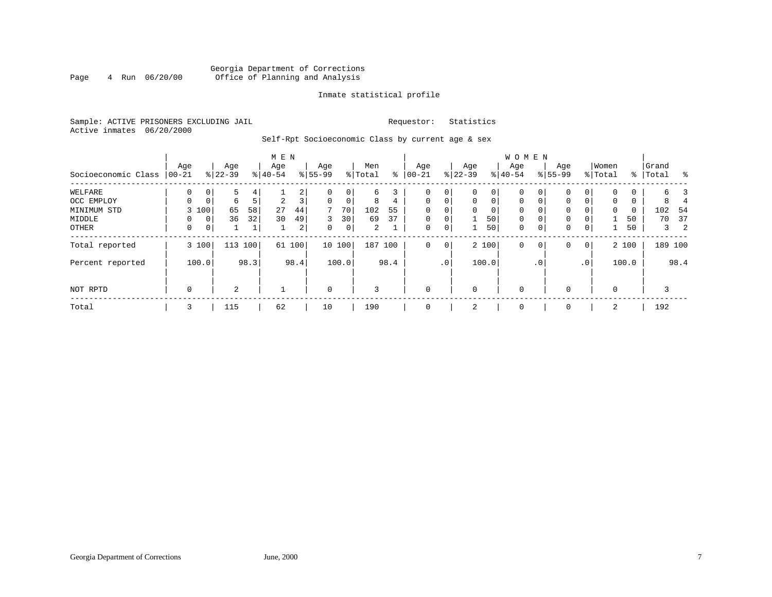# Georgia Department of Corrections<br>4 Run 06/20/00 Office of Planning and Analysis Page 4 Run 06/20/00 Office of Planning and Analysis

# Inmate statistical profile

Sample: ACTIVE PRISONERS EXCLUDING JAIL **Requestor:** Statistics Active inmates 06/20/2000

Self-Rpt Socioeconomic Class by current age & sex

|                     |             |             |           |         | M E N    |      |             |              |         |      |             |                 |             |       | <b>WOMEN</b> |             |           |                |             |       |           |                   |
|---------------------|-------------|-------------|-----------|---------|----------|------|-------------|--------------|---------|------|-------------|-----------------|-------------|-------|--------------|-------------|-----------|----------------|-------------|-------|-----------|-------------------|
|                     | Age         |             | Age       |         | Age      |      | Age         |              | Men     |      | Age         |                 | Age         |       | Age          |             | Age       |                | Women       |       | Grand     |                   |
| Socioeconomic Class | $ 00-21$    |             | $ 22-39 $ |         | $ 40-54$ |      | $8 55-99$   |              | % Total | နွ   | $00 - 21$   |                 | $ 22-39 $   |       | $ 40-54 $    |             | $8 55-99$ |                | % Total     |       | %   Total |                   |
| WELFARE             | 0           |             | 5         |         |          | 2    | 0           | 0            | б.      | 3    |             | $\overline{0}$  | 0           | 0     | 0            |             | 0         |                | 0           | 0     |           |                   |
| OCC EMPLOY          | $\Omega$    | $\mathbf 0$ | 6         | 5       | 2        | 3    | $\mathbf 0$ | $\mathbf 0$  | 8       | 4    | $\mathbf 0$ | $\overline{0}$  | $\mathbf 0$ | 0     | $\mathbf 0$  | 0           | 0         |                | $\mathbf 0$ | 0     |           |                   |
| MINIMUM STD         |             | 3 100       | 65        | 58      | 27       | 44   | 7           | 70           | 102     | 55   | $\Omega$    | $\mathbf{0}$    | 0           | 0     | $\mathbf 0$  | 0           | 0         |                | $\mathbf 0$ | 0     | 102       | 54                |
| MIDDLE              | 0           | 0           | 36        | 32      | 30       | 49   | 3           | 30           | 69      | 37   | $\mathbf 0$ | 0               |             | 50    | $\mathbf 0$  | $\mathbf 0$ | 0         |                |             | 50    | 70        | 37                |
| OTHER               | 0           | $\mathbf 0$ |           |         |          | 2    | 0           | $\mathsf{O}$ | 2       |      | 0           | 0 <sup>1</sup>  |             | 50    | $\mathbf 0$  | 0           | 0         | $\mathbf 0$    |             | 50    |           | 2<br>$\mathbf{3}$ |
| Total reported      |             | 3 100       |           | 113 100 | 61       | 100  |             | 10 100       | 187     | 100  | 0           | $\overline{0}$  |             | 2 100 | $\mathbf 0$  | $\circ$     | 0         | $\overline{0}$ |             | 2 100 |           | 189 100           |
| Percent reported    |             | 100.0       |           | 98.3    |          | 98.4 |             | 100.0        |         | 98.4 |             | .0 <sup>1</sup> |             | 100.0 |              | . 0         |           | $\cdot$ 0      |             | 100.0 |           | 98.4              |
| NOT RPTD            | $\mathbf 0$ |             | 2         |         |          |      | $\mathbf 0$ |              | 3       |      | $\mathbf 0$ |                 | $\mathbf 0$ |       | 0            |             | 0         |                | $\mathbf 0$ |       |           |                   |
| Total               | 3           |             | 115       |         | 62       |      | 10          |              | 190     |      |             |                 | 2           |       | 0            |             | 0         |                | 2           |       | 192       |                   |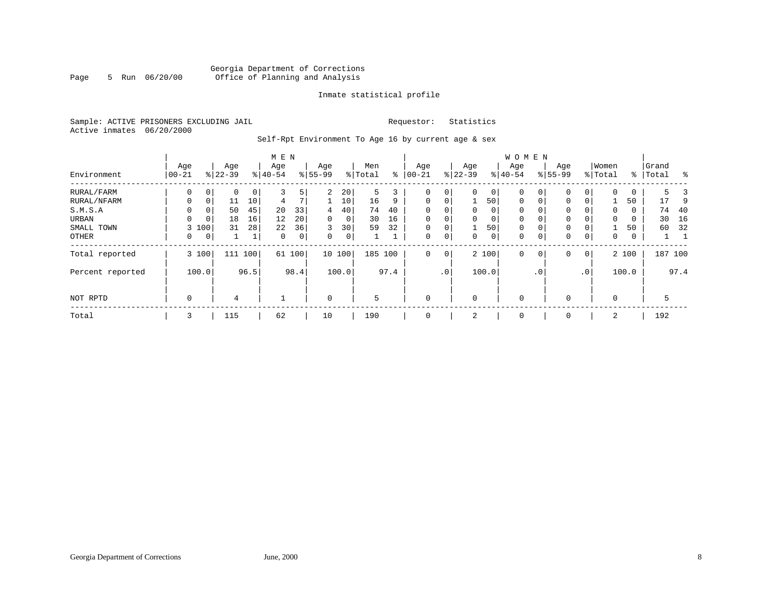# Georgia Department of Corrections<br>5 Run 06/20/00 Office of Planning and Analysis Page 5 Run 06/20/00 Office of Planning and Analysis

# Inmate statistical profile

Sample: ACTIVE PRISONERS EXCLUDING JAIL **Requestor:** Statistics Active inmates 06/20/2000

Self-Rpt Environment To Age 16 by current age & sex

|                  |                  |             |                  |      |                  |             |                    | <b>WOMEN</b> |                |      |                 |     |                 |             |                  |             |                    |                 |                  |       |                    |      |
|------------------|------------------|-------------|------------------|------|------------------|-------------|--------------------|--------------|----------------|------|-----------------|-----|-----------------|-------------|------------------|-------------|--------------------|-----------------|------------------|-------|--------------------|------|
| Environment      | Age<br>$00 - 21$ |             | Age<br>$8 22-39$ |      | Age<br>$8 40-54$ |             | Age<br>$8155 - 99$ |              | Men<br>% Total | နွ   | Age<br>$ 00-21$ |     | Age<br>$ 22-39$ |             | Age<br>$8 40-54$ |             | Age<br>$8155 - 99$ |                 | Women<br>% Total |       | Grand<br>%   Total | ွေ   |
| RURAL/FARM       | 0                | 0           | 0                | 0    | 3                | 5           | 2                  | 20           | 5              | 3    | 0               | 0   | $\Omega$        | 0           | 0                | 0           | $\Omega$           | 0               | 0                | 0     | 5.                 |      |
| RURAL/NFARM      | 0                | 0           | 11               | 10   | 4                | 7           |                    | 10           | 16             | 9    | $\mathbf{0}$    | 0   |                 | 50          | $\mathbf 0$      | $\Omega$    | 0                  | $\Omega$        |                  | 50    | 17                 | 9    |
| S.M.S.A          | $\Omega$         | 0           | 50               | 45   | 20               | 33          | 4                  | 40           | 74             | 40   | $\mathbf 0$     | 0   | $\mathbf 0$     | 0           | 0                | $\Omega$    | $\Omega$           |                 | 0                | 0     | 74                 | 40   |
| URBAN            | 0                | $\mathbf 0$ | 18               | 16   | 12               | 20          | $\Omega$           | 0            | 30             | 16   | $\mathbf 0$     | 0   | $\mathbf 0$     | $\mathbf 0$ | $\mathbf 0$      | $\Omega$    | $\mathbf 0$        |                 | $\Omega$         | 0     | 30                 | 16   |
| SMALL TOWN       | 3                | 100         | 31               | 28   | 22               | 36          | 3                  | 30           | 59             | 32   | $\mathbf 0$     | 0   |                 | 50          | $\mathbf 0$      | $\Omega$    | $\mathbf 0$        | $\Omega$        |                  | 50    | 60                 | 32   |
| OTHER            | 0                | $\mathbf 0$ |                  | 1    | $\mathbf 0$      | $\mathbf 0$ | $\Omega$           | $\mathbf 0$  |                |      | $\mathbf 0$     | 0   | $\Omega$        | $\mathbf 0$ | $\mathbf 0$      | 0           | $\Omega$           | 0               | 0                | 0     |                    |      |
| Total reported   |                  | 3 100       | 111              | 100  |                  | 61 100      |                    | 10 100       | 185 100        |      | $\mathbf 0$     | 0   |                 | 2 100       | $\mathbf 0$      | $\mathbf 0$ | $\Omega$           | $\overline{0}$  |                  | 2 100 | 187 100            |      |
| Percent reported |                  | 100.0       |                  | 96.5 |                  | 98.4        |                    | 100.0        |                | 97.4 |                 | .0' |                 | 100.0       |                  | $\cdot$ 0   |                    | .0 <sup>1</sup> |                  | 100.0 |                    | 97.4 |
| NOT RPTD         | 0                |             | 4                |      |                  |             | $\Omega$           |              | 5              |      | $\mathbf 0$     |     | $\mathbf 0$     |             | $\mathbf 0$      |             | $\Omega$           |                 | $\Omega$         |       | 5                  |      |
| Total            | 3                |             | 115              |      | 62               |             | 10                 |              | 190            |      | 0               |     | 2               |             | 0                |             | $\Omega$           |                 | 2                |       | 192                |      |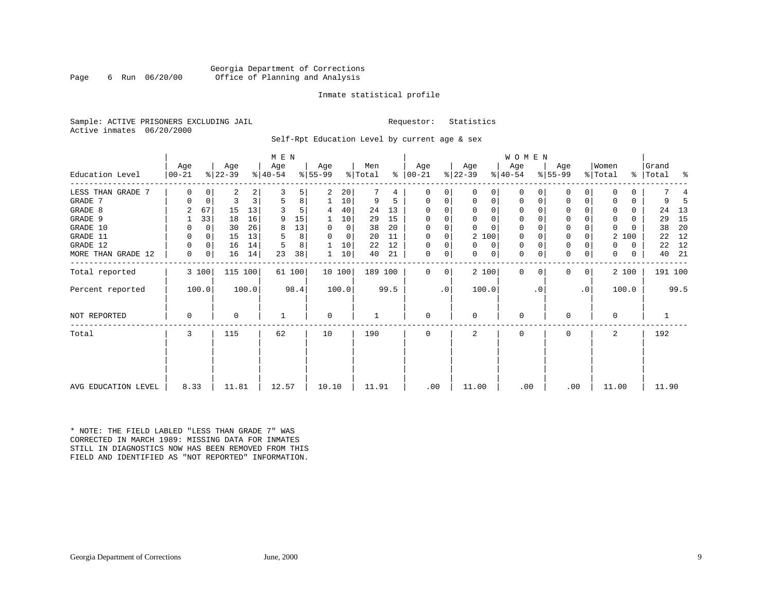# Georgia Department of Corrections<br>6 Run 06/20/00 Office of Planning and Analysis Page 6 Run 06/20/00 Office of Planning and Analysis

# Inmate statistical profile

Sample: ACTIVE PRISONERS EXCLUDING JAIL **Requestor:** Statistics Active inmates 06/20/2000

Self-Rpt Education Level by current age & sex

|                     |                 |                |                  |       | M E N            |        |                  |             |                |      |                 |              |                  |             | WOMEN            |          |                  |                |                  |       |               |                |      |
|---------------------|-----------------|----------------|------------------|-------|------------------|--------|------------------|-------------|----------------|------|-----------------|--------------|------------------|-------------|------------------|----------|------------------|----------------|------------------|-------|---------------|----------------|------|
| Education Level     | Age<br>$ 00-21$ |                | Age<br>$ 22-39 $ |       | Age<br>$ 40-54 $ |        | Age<br>$ 55-99 $ |             | Men<br>% Total | ⊱    | Age<br>$ 00-21$ |              | Age<br>$ 22-39 $ |             | Age<br>$ 40-54 $ |          | Age<br>$8 55-99$ |                | Women<br>% Total |       | $\frac{8}{6}$ | Grand<br>Total | း -  |
| LESS THAN GRADE 7   |                 | 0              | 2                | 2     |                  | 5      | 2                | 20          |                | 4    | $\Omega$        | 0            | 0                | 0           | 0                | 0        | 0                | 0              | $\Omega$         | 0     |               |                |      |
| GRADE 7             | 0               | 0              | 3                | 3     | 5                | 8      |                  | 10          | 9              | 5    | $\Omega$        | 0            | 0                | 0           | 0                | 0        | 0                | 0              | $\Omega$         | 0     |               | 9              | 5    |
| GRADE 8             | 2               | 67             | 15               | 13    |                  |        | 4                | 40          | 24             | 13   | $\Omega$        |              | $\Omega$         | $\mathbf 0$ | 0                |          | 0                |                | $\Omega$         | 0     |               | 24             | 13   |
| GRADE 9             |                 | 33             | 18               | 16    | 9                | 15     | 1                | 10          | 29             | 15   | $\Omega$        | $\Omega$     | $\Omega$         | 0           | 0                | $\Omega$ | $\mathbf 0$      |                | $\Omega$         | 0     |               | 29             | 15   |
| GRADE 10            |                 | 0              | 30               | 26    | 8                | 13     | 0                | $\mathbf 0$ | 38             | 20   | $\Omega$        | $\mathbf 0$  | $\Omega$         | $\Omega$    | $\mathbf 0$      | $\Omega$ | $\mathbf 0$      |                | $\mathbf 0$      |       |               | 38             | 20   |
| GRADE 11            | 0               | $\overline{0}$ | 15               | 13    |                  | 8      | $\Omega$         | 0           | 20             | 11   | $\Omega$        | $\mathbf 0$  | 2 100            |             | 0                | 0        | $\mathbf 0$      |                | 2                | 100   |               | 22             | 12   |
| GRADE 12            | 0               | $\overline{0}$ | 16               | 14    |                  | 8      |                  | 10          | 22             | 12   | $\Omega$        | 0            | $\Omega$         | 0           | 0                | 0        | 0                |                | $\Omega$         | 0     |               | 22             | 12   |
| MORE THAN GRADE 12  | 0               | 0 <sup>1</sup> | 16               | 14    | 23               | 38     | 1                | 10          | 40             | 21   | $\mathbf 0$     | 0            | 0                | 0           | 0                | 0        | 0                | 0              | 0                | 0     |               | 40             | - 21 |
| Total reported      |                 | 3 100          | 115 100          |       |                  | 61 100 |                  | 10 100      | 189 100        |      | $\Omega$        | $\mathbf{0}$ | 2 100            |             | 0                | $\Omega$ | 0                | 0 <sup>1</sup> |                  | 2 100 |               | 191 100        |      |
| Percent reported    |                 | 100.0          |                  | 100.0 |                  | 98.4   |                  | 100.0       |                | 99.5 |                 | $\cdot$ 0    | 100.0            |             |                  | . 0      |                  | $\cdot$ 0      |                  | 100.0 |               |                | 99.5 |
| NOT REPORTED        | 0               |                | 0                |       |                  |        | 0                |             |                |      | $\Omega$        |              | 0                |             | 0                |          | $\Omega$         |                | $\mathbf 0$      |       |               |                |      |
| Total               | 3               |                | 115              |       | 62               |        | 10               |             | 190            |      | $\Omega$        |              | $\overline{a}$   |             | $\Omega$         |          | U                |                | 2                |       |               | 192            |      |
|                     |                 |                |                  |       |                  |        |                  |             |                |      |                 |              |                  |             |                  |          |                  |                |                  |       |               |                |      |
| AVG EDUCATION LEVEL | 8.33            |                | 11.81            |       | 12.57            |        | 10.10            |             | 11.91          |      | .00             |              | 11.00            |             | .00              |          | .00              |                | 11.00            |       |               | 11.90          |      |

\* NOTE: THE FIELD LABLED "LESS THAN GRADE 7" WAS CORRECTED IN MARCH 1989: MISSING DATA FOR INMATES STILL IN DIAGNOSTICS NOW HAS BEEN REMOVED FROM THIS FIELD AND IDENTIFIED AS "NOT REPORTED" INFORMATION.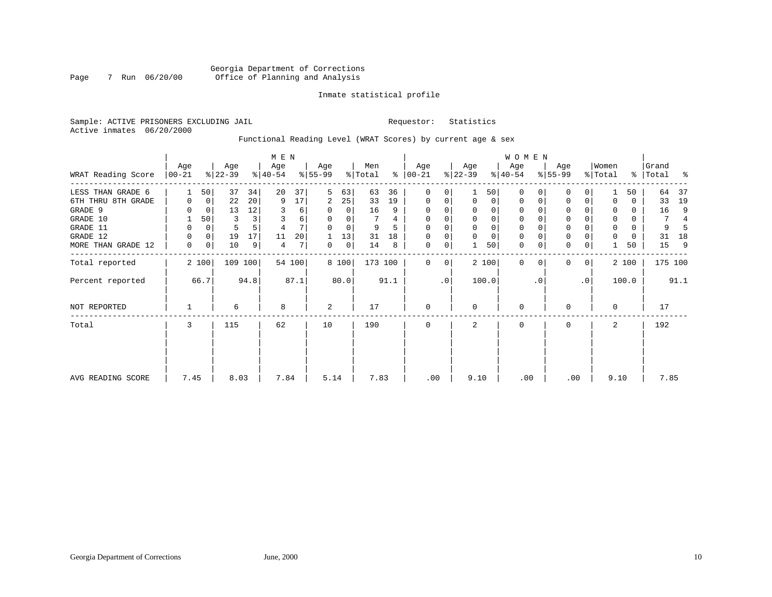# Georgia Department of Corrections<br>7 Run 06/20/00 Office of Planning and Analysis Page 7 Run 06/20/00 Office of Planning and Analysis

# Inmate statistical profile

Sample: ACTIVE PRISONERS EXCLUDING JAIL **Requestor:** Statistics Active inmates 06/20/2000

# Functional Reading Level (WRAT Scores) by current age & sex

|                    |                  | M E N |                  |         |                  |        |                  |          |                |      |                  | <b>WOMEN</b> |                  |             |                  |          |                  |                |                  |       |                    |                |
|--------------------|------------------|-------|------------------|---------|------------------|--------|------------------|----------|----------------|------|------------------|--------------|------------------|-------------|------------------|----------|------------------|----------------|------------------|-------|--------------------|----------------|
| WRAT Reading Score | Age<br>$00 - 21$ |       | Age<br>$ 22-39 $ |         | Age<br>$ 40-54 $ |        | Age<br>$8 55-99$ |          | Men<br>% Total | ႜ    | Age<br>$ 00-21 $ |              | Age<br>$ 22-39 $ |             | Age<br>$ 40-54 $ |          | Age<br>$8 55-99$ |                | Women<br>% Total |       | Grand<br>%   Total | ႜ              |
| LESS THAN GRADE 6  |                  | 50    | 37               | 34      | 20               | 37     | 5                | 63       | 63             | 36   | $\mathbf 0$      | 0            |                  | 50          | $\Omega$         | $\Omega$ | $\Omega$         | 0              |                  | 50    | 64                 | 37             |
| 6TH THRU 8TH GRADE | 0                | 0     | 22               | 20      | 9                | 17     | 2                | 25       | 33             | 19   | $\mathbf 0$      | 0            | $\Omega$         | 0           | 0                | 0        | 0                | 0              |                  | 0     | 33                 | 19             |
| GRADE 9            |                  | 0     | 13               | 12      | 3                | 6      | 0                | 0        | 16             | 9    | $\Omega$         |              |                  | 0           | 0                |          | 0                |                |                  | 0     | 16                 | 9              |
| GRADE 10           | 1                | 50    | 3                |         | 3                | 6      | 0                | 0        |                | 4    | 0                | 0            | $\mathbf 0$      | 0           | $\mathbf 0$      |          | $\mathbf 0$      |                | $\mathbf 0$      | 0     | 7                  | $\overline{4}$ |
| GRADE 11           | 0                | 0     | 5                |         |                  | 7      |                  | $\Omega$ | 9              |      | $\Omega$         |              |                  | $\mathbf 0$ | 0                |          | $\Omega$         |                |                  | 0     | 9                  |                |
| GRADE 12           | 0                | 0     | 19               | 17      | 11               | 20     |                  | 13       | 31             | 18   | $\Omega$         | 0            | $\Omega$         | $\mathbf 0$ | 0                |          | $\mathbf 0$      |                |                  | 0     | 31                 | 18             |
| MORE THAN GRADE 12 | 0                | 0     | 10               | 9       | 4                | 7      | 0                | 0        | 14             | 8    | $\mathbf 0$      | 0            |                  | 50          | 0                | 0        | $\mathbf 0$      | $\mathbf 0$    |                  | 50    | 15                 | 9              |
| Total reported     |                  | 2 100 |                  | 109 100 |                  | 54 100 |                  | 8 100    | 173 100        |      | 0                | 0            |                  | 2 100       | $\Omega$         | $\Omega$ | $\Omega$         | $\overline{0}$ |                  | 2 100 | 175 100            |                |
| Percent reported   |                  | 66.7  |                  | 94.8    |                  | 87.1   |                  | 80.0     |                | 91.1 |                  | $\cdot$ 0    |                  | 100.0       |                  | . 0      |                  | $\cdot$ 0      |                  | 100.0 |                    | 91.1           |
| NOT REPORTED       |                  |       | 6                |         | 8                |        | 2                |          | 17             |      | 0                |              | $\Omega$         |             | 0                |          | <sup>0</sup>     |                | $\Omega$         |       | 17                 |                |
| Total              | 3                |       | 115              |         | 62               |        | 10               |          | 190            |      | $\mathbf 0$      |              | 2                |             | 0                |          | $\Omega$         |                | 2                |       | 192                |                |
|                    |                  |       |                  |         |                  |        |                  |          |                |      |                  |              |                  |             |                  |          |                  |                |                  |       |                    |                |
| AVG READING SCORE  | 7.45             |       | 8.03             |         | 7.84             |        | 5.14             |          | 7.83           |      | .00              |              | 9.10             |             | .00              |          | .00              |                | 9.10             |       | 7.85               |                |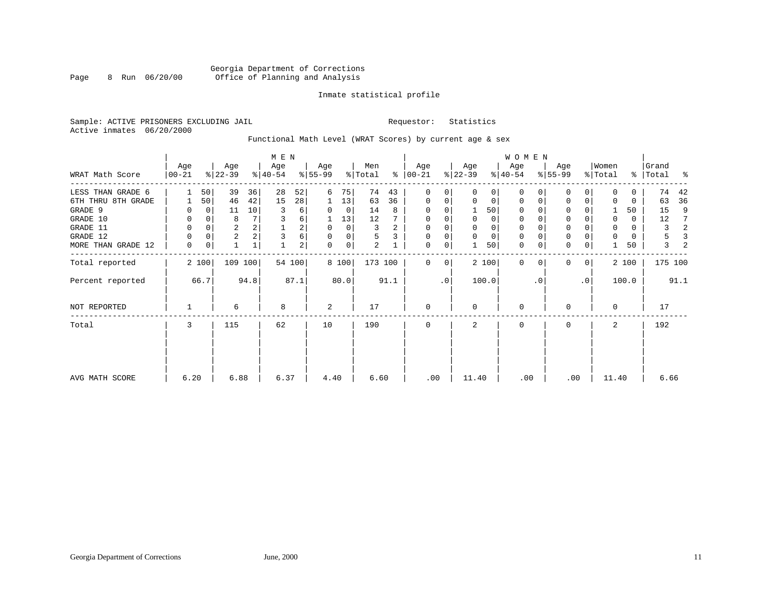# Georgia Department of Corrections<br>8 Run 06/20/00 Office of Planning and Analysis Page 8 Run 06/20/00 Office of Planning and Analysis

# Inmate statistical profile

Sample: ACTIVE PRISONERS EXCLUDING JAIL **Requestor:** Statistics Active inmates 06/20/2000

Functional Math Level (WRAT Scores) by current age & sex

| WRAT Math Score    | Age<br>$00 - 21$ |             | Age<br>$ 22-39 $ |         | M E N<br>Age<br>$ 40-54 $ |        | Age<br>$ 55-99 $ |             | Men<br>% Total |                | Age<br>$8   00 - 21$ |             | Age<br>$ 22-39 $ |             | W O M E N<br>Age<br>$ 40-54 $ |          | Age<br>$8 55-99$ |                | Women<br>% Total |       | Grand<br>%   Total | နွ   |
|--------------------|------------------|-------------|------------------|---------|---------------------------|--------|------------------|-------------|----------------|----------------|----------------------|-------------|------------------|-------------|-------------------------------|----------|------------------|----------------|------------------|-------|--------------------|------|
| LESS THAN GRADE 6  |                  | 50          | 39               | 36      | 28                        | 52     | 6                | 75          | 74             | 43             | 0                    | 0           | $\Omega$         | 0           | 0                             | $\Omega$ | $\Omega$         | 0              | 0                | 0     | 74                 | 42   |
| 6TH THRU 8TH GRADE |                  | 50          | 46               | 42      | 15                        | 28     | 1                | 13          | 63             | 36             | $\mathbf 0$          | 0           | 0                | 0           | $\mathbf 0$                   | 0        | 0                | 0              | O                | 0     | 63                 | 36   |
| GRADE 9            | 0                | 0           | 11               | 10      | 3                         | б.     | $\Omega$         | $\mathbf 0$ | 14             | 8              | $\mathbf 0$          | 0           |                  | 50          | 0                             |          | 0                |                |                  | 50    | 15                 | 9    |
| GRADE 10           | 0                | 0           | 8                |         | 3                         | 6      |                  | 13          | 12             |                | 0                    | 0           | 0                | $\mathbf 0$ | $\mathbf 0$                   |          | $\mathbf 0$      |                | 0                | 0     | 12                 | 7    |
| GRADE 11           | 0                | $\mathbf 0$ | $\overline{a}$   |         |                           | 2      | 0                | 0           | 3              | $\overline{a}$ | $\mathbf 0$          |             |                  | $\mathbf 0$ | $\mathbf 0$                   |          | $\mathbf 0$      |                | $\mathbf 0$      | 0     | 3                  | 2    |
| GRADE 12           | 0                | 0           | $\overline{c}$   |         | 3                         | 6      | $\Omega$         | 0           | 5              | 3              | $\mathbf 0$          | 0           | $\mathbf 0$      | $\mathbf 0$ | 0                             |          | $\mathsf 0$      |                |                  | 0     | 5                  | 3    |
| MORE THAN GRADE 12 | 0                | 0           |                  | 1       |                           | 2      | 0                | $\mathbf 0$ | $\overline{a}$ |                | $\mathbf 0$          | $\mathbf 0$ |                  | 50          | $\mathbf 0$                   | 0        | $\mathbf 0$      | 0              |                  | 50    | 3                  |      |
| Total reported     |                  | 2 100       |                  | 109 100 |                           | 54 100 |                  | 8 100       | 173 100        |                | 0                    | 0           |                  | 2 100       | $\Omega$                      | $\Omega$ | $\Omega$         | 0 <sup>1</sup> |                  | 2 100 | 175 100            |      |
| Percent reported   |                  | 66.7        |                  | 94.8    |                           | 87.1   |                  | 80.0        |                | 91.1           |                      | $\cdot$ 0   |                  | 100.0       |                               | . 0      |                  | $\cdot$ 0      |                  | 100.0 |                    | 91.1 |
| NOT REPORTED       |                  |             | 6                |         | 8                         |        | 2                |             | 17             |                | $\mathbf{0}$         |             | $\Omega$         |             | $\mathbf 0$                   |          | $\Omega$         |                | $\Omega$         |       | 17                 |      |
| Total              | 3                |             | 115              |         | 62                        |        | 10               |             | 190            |                | $\mathbf 0$          |             | 2                |             | $\mathbf 0$                   |          | $\Omega$         |                | 2                |       | 192                |      |
|                    |                  |             |                  |         |                           |        |                  |             |                |                |                      |             |                  |             |                               |          |                  |                |                  |       |                    |      |
| AVG MATH SCORE     | 6.20             |             | 6.88             |         | 6.37                      |        | 4.40             |             | 6.60           |                | .00                  |             | 11.40            |             | .00                           |          | .00              |                | 11.40            |       | 6.66               |      |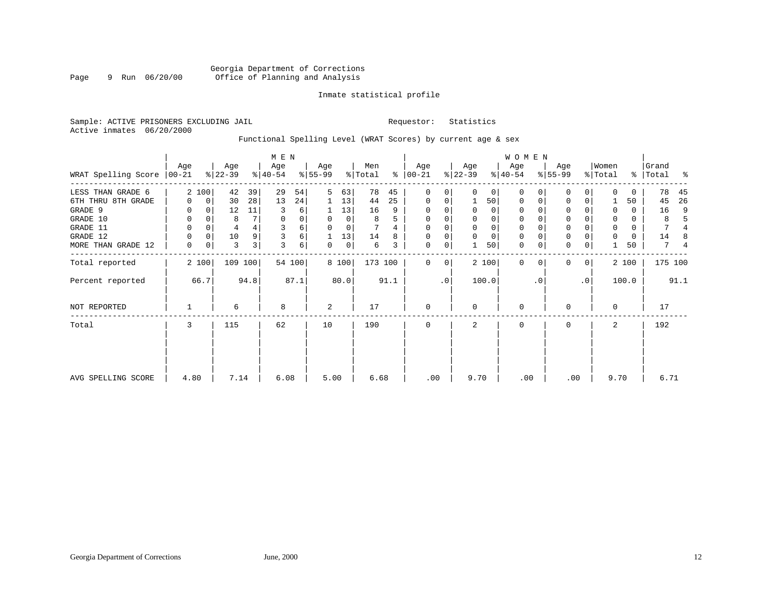# Georgia Department of Corrections<br>9 Run 06/20/00 Office of Planning and Analysis Page 9 Run 06/20/00 Office of Planning and Analysis

# Inmate statistical profile

Sample: ACTIVE PRISONERS EXCLUDING JAIL **Requestor:** Statistics Active inmates 06/20/2000

# Functional Spelling Level (WRAT Scores) by current age & sex

|                     |                  | M E N       |                  |      |                  |        |                  |             |                |      |                 | <b>WOMEN</b> |                  |          |                  |             |                  |           |                  |               |                |                |
|---------------------|------------------|-------------|------------------|------|------------------|--------|------------------|-------------|----------------|------|-----------------|--------------|------------------|----------|------------------|-------------|------------------|-----------|------------------|---------------|----------------|----------------|
| WRAT Spelling Score | Age<br>$ 00-21 $ |             | Age<br>$ 22-39 $ |      | Age<br>$ 40-54 $ |        | Age<br>$8 55-99$ |             | Men<br>% Total | ႜ    | Age<br>$ 00-21$ |              | Age<br>$ 22-39 $ |          | Age<br>$ 40-54 $ |             | Age<br>$8 55-99$ |           | Women<br>% Total | $\frac{8}{6}$ | Grand<br>Total | ႜ              |
| LESS THAN GRADE 6   |                  | 2 100       | 42               | 39   | 29               | 54     | 5                | 63          | 78             | 45   | $\mathbf 0$     | 0            | $\Omega$         | $\Omega$ | $\Omega$         | O           | $\Omega$         | $\Omega$  | $\Omega$         | 0             | 78             | 45             |
| 6TH THRU 8TH GRADE  | U                | $\mathbf 0$ | 30               | 28   | 13               | 24     |                  | 13          | 44             | 25   | 0               | 0            |                  | 50       | $\mathbf 0$      | $\mathbf 0$ | $\Omega$         | 0         |                  | 50            | 45             | 26             |
| GRADE 9             |                  | $\Omega$    | 12               | 11   | 3                | 6      |                  | 13          | 16             | 9    | $\Omega$        |              | $\Omega$         | $\Omega$ | $\Omega$         |             | $\Omega$         |           | $\Omega$         | 0             | 16             | 9              |
| GRADE 10            | 0                | $\mathbf 0$ | 8                |      | 0                | 0      | $\Omega$         | $\mathbf 0$ | 8              | 5    | $\mathbf 0$     |              | $\mathbf 0$      | 0        | $\mathbf 0$      | $\Omega$    | 0                |           | $\mathbf 0$      | 0             | 8              |                |
| GRADE 11            | 0                | $\Omega$    | 4                |      |                  | 6      |                  | 0           |                |      | $\Omega$        |              |                  | 0        | $\mathbf 0$      |             | $\Omega$         |           | $\mathbf 0$      | 0             | 7              |                |
| GRADE 12            | 0                | $\Omega$    | 10               |      |                  | 6      |                  | 13          | 14             |      | $\Omega$        |              | $\Omega$         | 0        | $\mathbf 0$      | $\Omega$    | 0                |           | $\mathbf 0$      | 0             | 14             | 8              |
| MORE THAN GRADE 12  | 0                | 0           | 3                | 3    | 3                | 6      | 0                | 0           | 6              | 3    | $\mathbf 0$     | 0            |                  | 50       | $\mathbf 0$      | $\mathbf 0$ | $\mathbf 0$      | 0         |                  | 50            | 7              | $\overline{4}$ |
| Total reported      |                  | 2 100       | 109 100          |      |                  | 54 100 |                  | 8 100       | 173 100        |      | $\Omega$        | 0            |                  | 2 100    | $\Omega$         | $\Omega$    | $\Omega$         | 0         |                  | 2 100         | 175 100        |                |
| Percent reported    |                  | 66.7        |                  | 94.8 |                  | 87.1   |                  | 80.0        |                | 91.1 |                 | $\cdot$ 0    |                  | 100.0    |                  | . 0         |                  | $\cdot$ 0 |                  | 100.0         |                | 91.1           |
| NOT REPORTED        |                  |             | 6                |      | 8                |        | 2                |             | 17             |      | $\mathbf 0$     |              | $\Omega$         |          | $\mathbf 0$      |             | 0                |           | $\mathbf 0$      |               | 17             |                |
| Total               | 3                |             | 115              |      | 62               |        | 10               |             | 190            |      | 0               |              | 2                |          | 0                |             | 0                |           | 2                |               | 192            |                |
|                     |                  |             |                  |      |                  |        |                  |             |                |      |                 |              |                  |          |                  |             |                  |           |                  |               |                |                |
| AVG SPELLING SCORE  | 4.80             |             | 7.14             |      | 6.08             |        | 5.00             |             | 6.68           |      | .00             |              | 9.70             |          | .00              |             | .00              |           | 9.70             |               | 6.71           |                |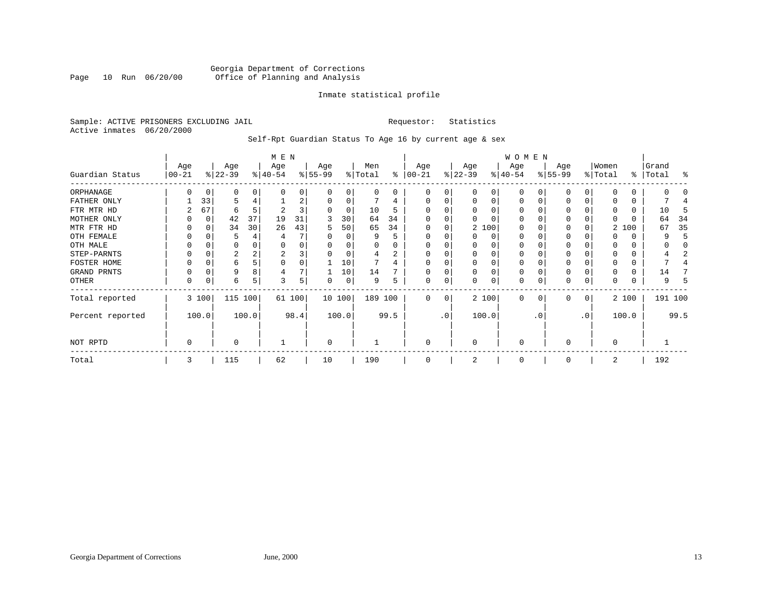# Georgia Department of Corrections<br>Page 10 Run 06/20/00 office of Planning and Analysis Page 10 Run 06/20/00 Office of Planning and Analysis

# Inmate statistical profile

Sample: ACTIVE PRISONERS EXCLUDING JAIL **Requestor:** Statistics Active inmates 06/20/2000

# Self-Rpt Guardian Status To Age 16 by current age & sex

|                  |                 |          |                  |       | M E N            |        |                  |          |                |      |                  |           |                  |          | W O M E N        |     |                  |             |                  |       |                    |         |
|------------------|-----------------|----------|------------------|-------|------------------|--------|------------------|----------|----------------|------|------------------|-----------|------------------|----------|------------------|-----|------------------|-------------|------------------|-------|--------------------|---------|
| Guardian Status  | Age<br>$ 00-21$ |          | Age<br>$ 22-39 $ |       | Age<br>$ 40-54 $ |        | Age<br>$8 55-99$ |          | Men<br>% Total | ి    | Age<br>$00 - 21$ |           | Age<br>$ 22-39 $ |          | Age<br>$ 40-54 $ |     | Age<br>$ 55-99 $ |             | Women<br>% Total |       | Grand<br>%   Total | ႜ       |
| ORPHANAGE        |                 | 0        | 0                | 0     | O                | 0      |                  | 0        | 0              | 0    | O                | 0         | $\Omega$         | 0        | 0                |     | O                | $\Omega$    |                  | 0     |                    |         |
| FATHER ONLY      |                 | 33       | 5                |       |                  | 2      |                  | 0        |                | 4    |                  | 0         | $\Omega$         | 0        | $\Omega$         |     | O                |             |                  | 0     |                    |         |
| FTR MTR HD       |                 | 67       | 6                |       |                  | 3      |                  | $\Omega$ | 10             | 5    |                  |           | $\Omega$         | $\Omega$ |                  |     |                  |             |                  |       | 10                 |         |
| MOTHER ONLY      |                 | $\Omega$ | 42               | 37    | 19               | 31     |                  | 30       | 64             | 34   |                  |           |                  |          |                  |     | 0                |             | 0                |       | 64                 | 34      |
| MTR FTR HD       |                 | C        | 34               | 30    | 26               | 43     | 5                | 50       | 65             | 34   | $\Omega$         |           |                  | 2 100    | $\Omega$         |     | 0                |             | 2                | 100   | 67                 | 35      |
| OTH FEMALE       | 0               |          | 5                |       |                  |        |                  | 0        | 9              | 5    |                  |           | $\Omega$         | 0        | 0                |     | 0                |             |                  |       |                    | 5       |
| OTH MALE         |                 |          | 0                |       | O                | 0      |                  |          | U              |      |                  |           | $\Omega$         | 0        | $\Omega$         |     | O                |             | 0                |       |                    |         |
| STEP-PARNTS      | 0               | C        | 2                |       | 2                | 3      |                  | 0        | 4              | 2    |                  |           | 0                | $\Omega$ | 0                |     | 0                |             | 0                | 0     |                    |         |
| FOSTER HOME      |                 | C        | 6                |       | $\Omega$         | 0      |                  | 10       |                | 4    |                  |           | 0                | $\Omega$ | 0                |     | $\Omega$         |             | $\Omega$         | 0     |                    |         |
| GRAND PRNTS      | 0               | 0        | 9                |       |                  | 7      |                  | 10       | 14             |      |                  |           | 0                | $\Omega$ | 0                |     | 0                |             | 0                | 0     | 14                 |         |
| OTHER            | 0               | 0        | 6                | 5     | 3                | 5      | 0                | 0        | 9              | 5    |                  | 0         | 0                | $\Omega$ | 0                |     | $\Omega$         | 0           | 0                | 0     |                    |         |
| Total reported   |                 | 3 100    | 115              | 100   |                  | 61 100 |                  | 10 100   | 189 100        |      | $\Omega$         | 0         |                  | 2 100    | $\Omega$         | 0   | $\Omega$         | $\mathbf 0$ |                  | 2 100 |                    | 191 100 |
| Percent reported |                 | 100.0    |                  | 100.0 |                  | 98.4   |                  | 100.0    |                | 99.5 |                  | $\cdot$ 0 |                  | 100.0    |                  | . 0 |                  | $\cdot$ 0   |                  | 100.0 |                    | 99.5    |
| NOT RPTD         | $\mathbf 0$     |          | 0                |       |                  |        | $\Omega$         |          |                |      | $\Omega$         |           | $\Omega$         |          | $\Omega$         |     | $\Omega$         |             | $\Omega$         |       |                    |         |
| Total            | 3               |          | 115              |       | 62               |        | 10               |          | 190            |      | $\Omega$         |           | 2                |          | $\mathbf 0$      |     | $\Omega$         |             | 2                |       | 192                |         |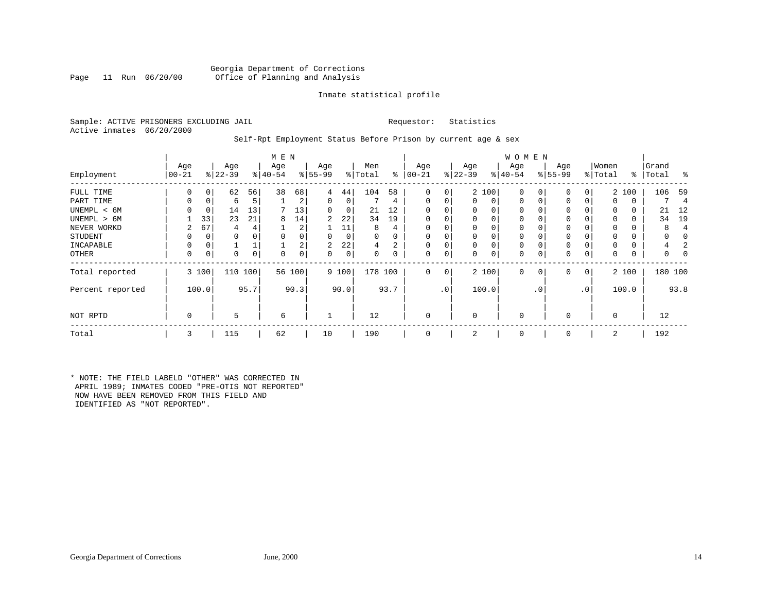# Georgia Department of Corrections<br>Page 11 Run 06/20/00 Office of Planning and Analysis Office of Planning and Analysis

# Inmate statistical profile

Sample: ACTIVE PRISONERS EXCLUDING JAIL **Requestor:** Statistics Active inmates 06/20/2000

# Self-Rpt Employment Status Before Prison by current age & sex

|                  |            |          |           |      | M E N     |        |           |             |          |          |             |                 |           |       | W O M E N   |                |             |              |          |       |           |         |
|------------------|------------|----------|-----------|------|-----------|--------|-----------|-------------|----------|----------|-------------|-----------------|-----------|-------|-------------|----------------|-------------|--------------|----------|-------|-----------|---------|
|                  | Age        |          | Age       |      | Age       |        | Age       |             | Men      |          | Age         |                 | Age       |       | Age         |                | Age         |              | Women    |       | Grand     |         |
| Employment       | $ 00 - 21$ |          | $ 22-39 $ |      | $ 40-54 $ |        | $ 55-99 $ |             | % Total  | ွေ       | $ 00 - 21$  |                 | $ 22-39 $ |       | $ 40-54 $   |                | $8155 - 99$ |              | % Total  |       | %   Total | ႜ       |
| FULL TIME        |            | $\Omega$ | 62        | 56   | 38        | 68     | 4         | 44          | 104      | 58       | O           | $\Omega$        |           | 2 100 | $\Omega$    | $\Omega$       | 0           | 0            |          | 2 100 | 106       | 59      |
| PART TIME        | 0          | 0        | 6         | 5    |           | 2      | 0         | 0           |          | 4        | $\mathbf 0$ | 0               | $\Omega$  | 0     | 0           | 0              | 0           | 0            | 0        | 0     |           | 4       |
| UNEMPL < 6M      |            | 0        | 14        | 13   |           | 13     | $\Omega$  | 0           | 21       | 12       |             |                 | $\Omega$  | 0     |             |                | 0           |              | 0        | 0     | 21        | 12      |
| UNEMPL > 6M      |            | 33       | 23        | 21   | 8         | 14     | 2         | 22          | 34       | 19       | $\Omega$    |                 | $\Omega$  |       | $\Omega$    |                | 0           |              | $\Omega$ | 0     | 34        | 19      |
| NEVER WORKD      | 2          | 67       | 4         | 4    |           | 2      |           | 11          | 8        | 4        | 0           |                 |           |       |             |                | 0           |              | 0        |       |           | 4       |
| STUDENT          |            | 0        |           |      |           | 0      | $\Omega$  | 0           | $\Omega$ | $\Omega$ |             |                 | $\Omega$  |       |             |                | 0           |              | $\Omega$ |       |           |         |
| INCAPABLE        |            |          |           |      |           | 2      | 2         | 22          | 4        | 2        |             |                 |           |       | $\Omega$    |                |             |              |          |       |           |         |
| OTHER            | 0          | 0        | 0         | 0    | 0         | 0      | 0         | $\mathsf 0$ | $\Omega$ | 0        | $\Omega$    |                 | $\Omega$  | 0     | $\Omega$    |                | 0           | 0            | 0        | 0     |           |         |
| Total reported   |            | 3 100    | 110 100   |      |           | 56 100 |           | 9 100       | 178 100  |          | 0           | 0 <sup>1</sup>  |           | 2 100 | $\mathbf 0$ | 0 <sup>1</sup> | 0           | $\mathbf{0}$ |          | 2 100 |           | 180 100 |
| Percent reported |            | 100.0    |           | 95.7 |           | 90.3   |           | 90.0        |          | 93.7     |             | .0 <sup>1</sup> |           | 100.0 |             | $\cdot$ 0      |             | $\cdot$ 0    |          | 100.0 |           | 93.8    |
| NOT RPTD         | $\Omega$   |          | 5         |      | 6         |        |           |             | 12       |          |             |                 | $\Omega$  |       | $\Omega$    |                | $\Omega$    |              | $\Omega$ |       | 12        |         |
| Total            | 3          |          | 115       |      | 62        |        | 10        |             | 190      |          |             |                 | 2         |       | $\Omega$    |                | $\Omega$    |              | 2        |       | 192       |         |

\* NOTE: THE FIELD LABELD "OTHER" WAS CORRECTED IN APRIL 1989; INMATES CODED "PRE-OTIS NOT REPORTED" NOW HAVE BEEN REMOVED FROM THIS FIELD AND IDENTIFIED AS "NOT REPORTED".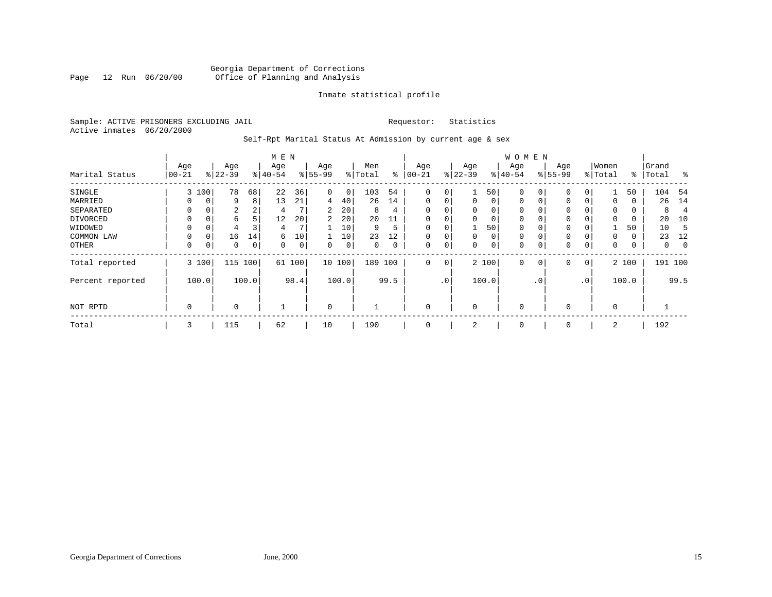# Georgia Department of Corrections<br>Page 12 Run 06/20/00 Office of Planning and Analysis Page 12 Run 06/20/00 Office of Planning and Analysis

# Inmate statistical profile

Sample: ACTIVE PRISONERS EXCLUDING JAIL **Requestor:** Statistics Active inmates 06/20/2000

# Self-Rpt Marital Status At Admission by current age & sex

|                  | M E N     |       |           |       |           |                |             |       |         |      |             |                 |             |       | W O M E N    |             |             |                |                |               |              |                |
|------------------|-----------|-------|-----------|-------|-----------|----------------|-------------|-------|---------|------|-------------|-----------------|-------------|-------|--------------|-------------|-------------|----------------|----------------|---------------|--------------|----------------|
|                  | Age       |       | Age       |       | Age       |                | Age         |       | Men     |      | Age         |                 | Age         |       | Age          |             | Age         |                | Women          |               | Grand        |                |
| Marital Status   | $00 - 21$ |       | $ 22-39 $ |       | $8 40-54$ |                | $ 55-99$    |       | % Total | ွေ   | $ 00-21$    |                 | $ 22-39$    |       | $ 40-54 $    |             | $ 55-99 $   |                | % Total        | $\frac{1}{6}$ | Total        | ಿ              |
| SINGLE           | 3         | 100   | 78        | 68    | 22        | 36             | 0           | 0     | 103     | 54   | 0           | 0               |             | 50    | $\mathbf{0}$ | 0           | 0           | 0              |                | 50            | 104          | -54            |
| MARRIED          | U         | 0     | 9         | 8     | 13        | 21             | 4           | 40    | 26      | 14   | 0           | 0               | 0           | 0     | $\mathbf{0}$ | $\mathbf 0$ | 0           | 0              | $\mathbf 0$    | 0             | 26           | 14             |
| SEPARATED        | $\Omega$  | 0     | 2         | 2     | 4         |                | 2           | 20    | 8       | 4    | 0           | 0               | $\mathbf 0$ | 0     | 0            |             | 0           |                | $\mathbf 0$    | 0             | 8            | $\overline{4}$ |
| DIVORCED         | 0         | 0     | 6         | 5     | 12        | 20             | 2           | 20    | 20      |      |             |                 | $\mathbf 0$ | 0     | 0            |             | $\mathbf 0$ |                | 0              | 0             | 20           | 10             |
| WIDOWED          |           | 0     |           |       | 4         |                |             | 10    | 9       | 5    |             |                 |             | 50    | $\mathbf 0$  |             | 0           |                |                | 50            | 10           | -5             |
| COMMON LAW       | $\Omega$  | 0     | 16        | 14    | 6         | 10             |             | 10    | 23      | 12   | $\Omega$    |                 | $\mathbf 0$ | 0     | $\mathbf 0$  |             | 0           |                | $\Omega$       | 0             | 23           | 12             |
| OTHER            | 0         | 0     | 0         | 0     | 0         | $\overline{0}$ | 0           | 0     | 0       | 0    | $\Omega$    | 0               | 0           | 0     | $\mathbf 0$  | 0           | 0           | 0              | 0              | 0             | $\mathbf{0}$ | 0              |
| Total reported   |           | 3 100 | 115       | 100   | 61        | 100            | 10 100      |       | 189 100 |      | $\mathbf 0$ | $\circ$         |             | 2 100 | $\mathbf{0}$ | 0           | 0           | 0 <sup>1</sup> |                | 2 100         | 191 100      |                |
| Percent reported |           | 100.0 |           | 100.0 |           | 98.4           |             | 100.0 |         | 99.5 |             | .0 <sup>1</sup> |             | 100.0 |              | . 0         |             | $\cdot$ 0      |                | 100.0         |              | 99.5           |
| NOT RPTD         | 0         |       | $\Omega$  |       |           |                | $\mathbf 0$ |       |         |      | $\Omega$    |                 | $\mathbf 0$ |       | 0            |             | $\mathbf 0$ |                | $\overline{0}$ |               |              |                |
| Total            | 3         |       | 115       |       | 62        |                | 10          |       | 190     |      | $\mathbf 0$ |                 | 2           |       | 0            |             | 0           |                | 2              |               | 192          |                |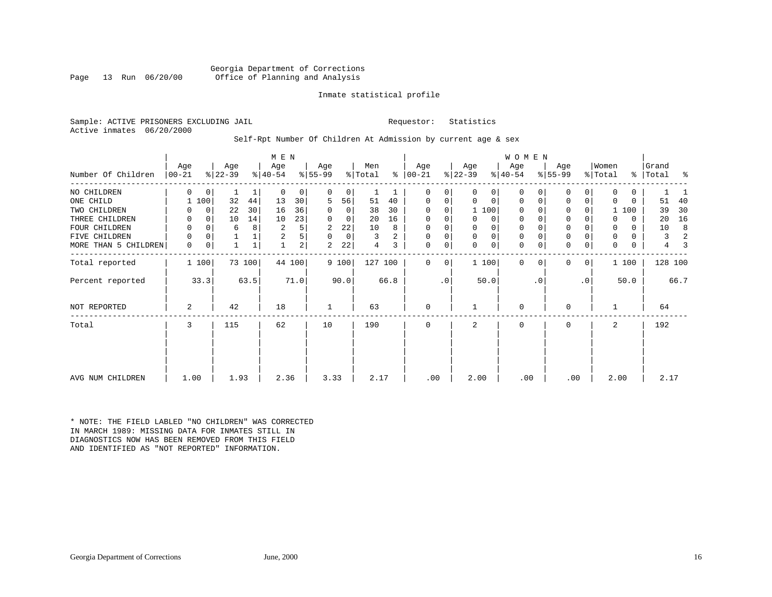# Georgia Department of Corrections<br>Page 13 Run 06/20/00 office of Planning and Analysis Office of Planning and Analysis

# Inmate statistical profile

Sample: ACTIVE PRISONERS EXCLUDING JAIL **Requestor:** Statistics Active inmates 06/20/2000

# Self-Rpt Number Of Children At Admission by current age & sex

|                      |                   |              |                  |        | M E N            |                |                  |                |                |      |                  |           |                  |             | WOMEN            |           |                  |                |                  |               |                |      |
|----------------------|-------------------|--------------|------------------|--------|------------------|----------------|------------------|----------------|----------------|------|------------------|-----------|------------------|-------------|------------------|-----------|------------------|----------------|------------------|---------------|----------------|------|
| Number Of Children   | Age<br>$ 00 - 21$ |              | Age<br>$ 22-39 $ |        | Age<br>$ 40-54 $ |                | Age<br>$8 55-99$ |                | Men<br>% Total | ႜ    | Age<br>$ 00-21 $ |           | Age<br>$ 22-39 $ |             | Age<br>$ 40-54 $ |           | Age<br>$8 55-99$ |                | Women<br>% Total | $\frac{8}{6}$ | Grand<br>Total | ႜ    |
| NO CHILDREN          | $\Omega$          | $\mathbf{0}$ |                  |        | 0                | 0              | 0                | 0              |                |      | 0                | 0         | $\Omega$         | $\Omega$    | $\mathbf 0$      | 0         | 0                | $\Omega$       | 0                | 0             |                |      |
| ONE CHILD            |                   | 100          | 32               | 44     | 13               | 30             | 5                | 56             | 51             | 40   | 0                | 0         | $\Omega$         | $\mathbf 0$ | $\mathbf 0$      | 0         | $\mathbf 0$      | $\overline{0}$ | 0                | 0             | 51             | 40   |
| TWO CHILDREN         |                   | $\mathbf 0$  | 22               | 30     | 16               | 36             | 0                | $\overline{0}$ | 38             | 30   | $\Omega$         | $\Omega$  |                  | 1 100       | $\Omega$         |           | $\Omega$         | 0              |                  | 100           | 39             | 30   |
| THREE CHILDREN       | 0                 | $\Omega$     | 10               | 14     | 10               | 23             | $\Omega$         | 0              | 20             | 16   | $\Omega$         | 0         | $\Omega$         | $\Omega$    | $\mathbf 0$      |           | $\mathbf{0}$     |                | 0                | 0             | 20             | 16   |
| FOUR CHILDREN        | 0                 | 0            | 6                | 8      | 2                | 5              | 2                | 22             | 10             | 8    | $\Omega$         | $\Omega$  |                  | $\Omega$    | $\mathbf 0$      |           | $\Omega$         |                | 0                | 0             | 10             | 8    |
| FIVE CHILDREN        | 0                 | 0            |                  |        | 2                | 5              | $\Omega$         | 0              | 3              | 2    | 0                | 0         | 0                | 0           | $\mathbf 0$      |           | 0                |                | 0                | 0             | 3              | 2    |
| MORE THAN 5 CHILDREN | 0                 | 0            |                  |        |                  | 2 <sub>1</sub> | 2                | 22             | 4              | 3    | $\mathbf 0$      | 0         | $\Omega$         | $\mathbf 0$ | 0                | 0         | $\mathbf 0$      | $\mathbf 0$    | 0                | 0             | 4              | З    |
| Total reported       |                   | 1 100        |                  | 73 100 |                  | 44 100         |                  | 9 100          | 127 100        |      | $\Omega$         | 0         |                  | 1 100       | $\Omega$         | 0         | $\Omega$         | 0 <sup>1</sup> |                  | 1 100         | 128 100        |      |
| Percent reported     |                   | 33.3         |                  | 63.5   |                  | 71.0           |                  | 90.0           |                | 66.8 |                  | $\cdot$ 0 |                  | 50.0        |                  | $\cdot$ 0 |                  | .0'            |                  | 50.0          |                | 66.7 |
| NOT REPORTED         | 2                 |              | 42               |        | 18               |                |                  |                | 63             |      | 0                |           |                  |             | $\mathbf 0$      |           | U                |                |                  |               | 64             |      |
| Total                | 3                 |              | 115              |        | 62               |                | 10               |                | 190            |      | 0                |           | 2                |             | $\mathbf 0$      |           | $\mathbf 0$      |                | 2                |               | 192            |      |
| AVG NUM CHILDREN     | 1.00              |              | 1.93             |        | 2.36             |                | 3.33             |                | 2.17           |      | .00              |           | 2.00             |             | .00              |           | .00              |                | 2.00             |               | 2.17           |      |
|                      |                   |              |                  |        |                  |                |                  |                |                |      |                  |           |                  |             |                  |           |                  |                |                  |               |                |      |

\* NOTE: THE FIELD LABLED "NO CHILDREN" WAS CORRECTED IN MARCH 1989: MISSING DATA FOR INMATES STILL IN DIAGNOSTICS NOW HAS BEEN REMOVED FROM THIS FIELD AND IDENTIFIED AS "NOT REPORTED" INFORMATION.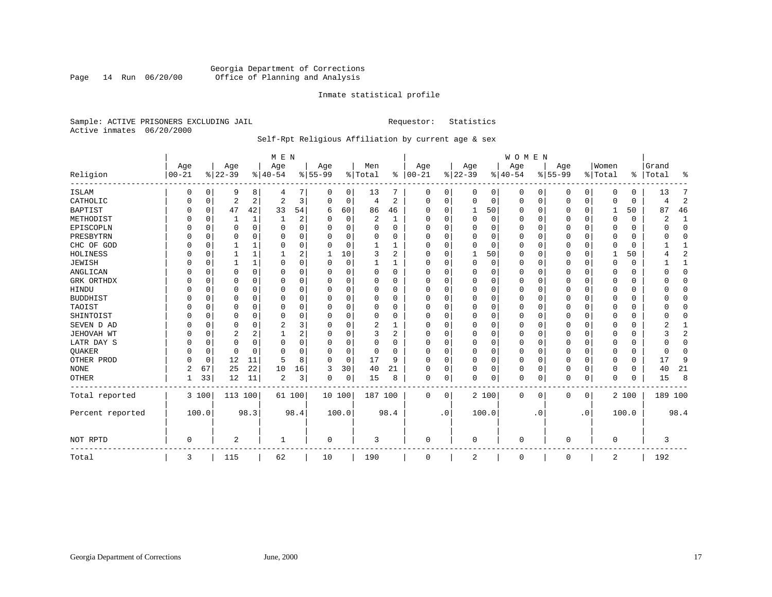# Georgia Department of Corrections Page 14 Run 06/20/00 Office of Planning and Analysis

# Inmate statistical profile

Sample: ACTIVE PRISONERS EXCLUDING JAIL **Requestor:** Statistics Active inmates 06/20/2000

# Self-Rpt Religious Affiliation by current age & sex

|                  |           |             |          |              | M E N          |                |           |          |          |                |            |             |              |       | WOMEN    |           |           |           |             |          |         |                |
|------------------|-----------|-------------|----------|--------------|----------------|----------------|-----------|----------|----------|----------------|------------|-------------|--------------|-------|----------|-----------|-----------|-----------|-------------|----------|---------|----------------|
|                  | Age       |             | Age      |              | Age            |                | Age       |          | Men      |                | Age        |             | Age          |       | Age      |           | Age       |           | Women       |          | Grand   |                |
| Religion         | $00 - 21$ |             | $ 22-39$ |              | $ 40-54$       |                | $8 55-99$ |          | % Total  | ి              | $ 00 - 21$ |             | $ 22-39$     |       | $ 40-54$ |           | $8 55-99$ |           | % Total     | နွ       | Total   | ႜ              |
| ISLAM            | 0         | 0           | 9        | 8            | 4              | 7              | 0         | 0        | 13       | 7              | 0          | 0           | 0            | 0     | 0        | 0         | 0         | 0         | $\Omega$    | $\Omega$ | 13      | 7              |
| CATHOLIC         | 0         | 0           | 2        | 2            | 2              | 3              | $\Omega$  | 0        | 4        | 2              | $\Omega$   | 0           | 0            | 0     | $\Omega$ | 0         | 0         | 0         | $\Omega$    | $\Omega$ | 4       | $\sqrt{2}$     |
| <b>BAPTIST</b>   |           | 0           | 47       | 42           | 33             | 54             | 6         | 60       | 86       | 46             | $\Omega$   | $\Omega$    | 1            | 50    | $\Omega$ | 0         | 0         | 0         | 1           | 50       | 87      | 46             |
| METHODIST        |           | $\Omega$    |          | 1            | 1              | 2              |           | 0        | 2        | 1              | $\Omega$   | $\Omega$    | $\Omega$     | 0     | $\Omega$ | $\Omega$  | C         | $\Omega$  | $\Omega$    | $\Omega$ | 2       | 1              |
| EPISCOPLN        |           | $\Omega$    | 0        | $\Omega$     | $\Omega$       | 0              | 0         | 0        | $\Omega$ | O              | $\Omega$   | ∩           | $\Omega$     | 0     | $\Omega$ | 0         | 0         | $\Omega$  | $\Omega$    | 0        | ∩       | $\mathbf 0$    |
| PRESBYTRN        |           | $\Omega$    | U        | <sup>0</sup> | $\Omega$       | 0              | U         | $\Omega$ | O        | O              | O          | $\Omega$    | <sup>0</sup> | 0     | O        | $\Omega$  | 0         | $\Omega$  | $\Omega$    | $\Omega$ |         | $\Omega$       |
| CHC OF GOD       |           | $\mathbf 0$ |          | 1            | $\Omega$       | 0              | $\Omega$  | 0        |          |                | O          | $\Omega$    | $\Omega$     | 0     | $\Omega$ | $\Omega$  | 0         | $\Omega$  | $\Omega$    | $\Omega$ |         | $\mathbf{1}$   |
| HOLINESS         |           | $\mathbf 0$ |          | 1            |                | 2              | 1         | 10       | 3        | $\overline{2}$ | O          |             |              | 50    | 0        | $\Omega$  | 0         | 0         |             | 50       |         | $\overline{2}$ |
| <b>JEWISH</b>    |           | 0           |          | 1            | O              | 0              | U         | 0        |          |                | $\Omega$   | O           | $\Omega$     | 0     | O        | 0         | 0         | $\Omega$  | $\Omega$    | $\Omega$ |         | 1              |
| ANGLICAN         |           | $\Omega$    | U        | $\Omega$     | $\Omega$       | 0              | U         | $\Omega$ | $\Omega$ | $\Omega$       | $\Omega$   | $\Omega$    | $\Omega$     | 0     | $\Omega$ | $\Omega$  | 0         | $\Omega$  | $\Omega$    | $\Omega$ |         | $\Omega$       |
| GRK ORTHDX       |           | $\Omega$    | 0        | 0            | $\Omega$       | 0              | U         | 0        | $\Omega$ | 0              | $\Omega$   | $\Omega$    | 0            | 0     | $\Omega$ | $\Omega$  | 0         | $\Omega$  | $\Omega$    | $\Omega$ |         | $\Omega$       |
| HINDU            |           | 0           | 0        | $\Omega$     | 0              | $\Omega$       | U         | 0        | 0        | O              |            | $\Omega$    | 0            | 0     | $\Omega$ | $\Omega$  | Ω         | $\Omega$  | $\Omega$    | $\Omega$ |         | $\Omega$       |
| <b>BUDDHIST</b>  |           | U           | 0        | $\Omega$     | 0              | 0              | U         | O        | 0        | O              | O          | ∩           | 0            | 0     | 0        | $\Omega$  | 0         | $\Omega$  | $\Omega$    | 0        |         | $\Omega$       |
| TAOIST           |           | U           | U        | $\Omega$     | $\Omega$       | $\Omega$       | U         | O        | $\Omega$ | O              | O          | $\Omega$    | $\Omega$     | O     | O        | $\Omega$  | 0         | $\Omega$  | $\Omega$    | $\Omega$ |         | $\Omega$       |
| SHINTOIST        |           | $\Omega$    | U        | $\Omega$     | $\Omega$       | $\Omega$       | U         | O        | $\Omega$ | $\Omega$       | $\Omega$   | ∩           | $\Omega$     | O     | $\Omega$ | $\Omega$  | 0         | $\Omega$  | $\Omega$    | $\Omega$ |         | $\Omega$       |
| SEVEN D AD       |           | $\mathbf 0$ | 0        | $\Omega$     | 2              | 3              | U         | 0        | 2        |                | O          |             | 0            | 0     | $\Omega$ | $\Omega$  | C         | 0         | $\Omega$    | $\Omega$ |         |                |
| JEHOVAH WT       |           | $\mathbf 0$ | 2        | 2            |                | 2              | U         | 0        | 3        | 2              | $\Omega$   |             | 0            | 0     | $\Omega$ | $\Omega$  | 0         | 0         | $\Omega$    | 0        |         | 2              |
| LATR DAY S       |           | $\Omega$    | 0        | $\Omega$     | 0              | 0              | $\Omega$  | $\Omega$ | 0        | $\Omega$       | $\Omega$   | $\Omega$    | $\Omega$     | 0     | $\Omega$ | $\Omega$  | 0         | $\Omega$  | $\Omega$    | $\Omega$ |         | $\Omega$       |
| QUAKER           |           | 0           | 0        | $\Omega$     | $\Omega$       | 0              | 0         | 0        | 0        | $\Omega$       | $\Omega$   | $\Omega$    | $\Omega$     | 0     | $\Omega$ | 0         | 0         | $\Omega$  | $\Omega$    | $\Omega$ | U       | $\Omega$       |
| OTHER PROD       |           | 0           | 12       | 11           | 5              | 8              | 0         | 0        | 17       | 9              | $\Omega$   | $\Omega$    | 0            | 0     | $\Omega$ | $\Omega$  | 0         | 0         | $\Omega$    | 0        | 17      | 9              |
| <b>NONE</b>      | 2         | 67          | 25       | 22           | 10             | 16             | 3         | 30       | 40       | 21             | O          | $\Omega$    | 0            | 0     | 0        | 0         | 0         | $\Omega$  | $\Omega$    | 0        | 40      | 21             |
| OTHER            |           | 33          | 12       | 11           | $\overline{2}$ | $\overline{3}$ | 0         | 0        | 15       | 8              | 0          | $\mathbf 0$ | $\Omega$     | 0     | 0        | 0         | $\Omega$  | 0         | $\Omega$    | 0        | 15      | 8              |
| Total reported   |           | 3 100       | 113 100  |              |                | 61 100         | 10 100    |          | 187 100  |                | 0          | 0           |              | 2 100 | 0        | 0         | 0         | 0         |             | 2 100    | 189 100 |                |
| Percent reported |           | 100.0       |          | 98.3         |                | 98.4           |           | 100.0    |          | 98.4           |            | $\cdot$ 0   |              | 100.0 |          | $\cdot$ 0 |           | $\cdot$ 0 |             | 100.0    |         | 98.4           |
| NOT RPTD         | 0         |             | 2        |              |                |                | 0         |          | 3        |                | 0          |             | 0            |       | 0        |           | 0         |           | $\mathbf 0$ |          | 3       |                |
| Total            | 3         |             | 115      |              | 62             |                | 10        |          | 190      |                | 0          |             | 2            |       | 0        |           | 0         |           | 2           |          | 192     |                |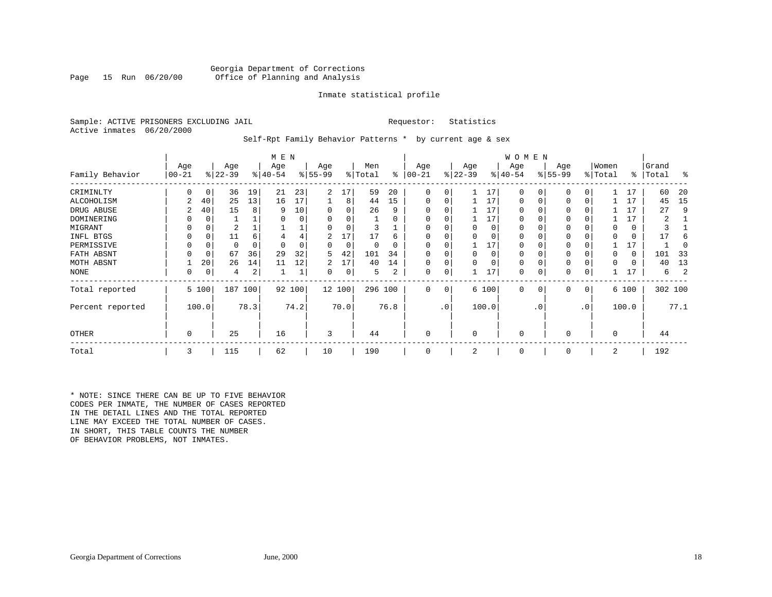# Georgia Department of Corrections<br>Page 15 Run 06/20/00 office of Planning and Analysis Office of Planning and Analysis

# Inmate statistical profile

Sample: ACTIVE PRISONERS EXCLUDING JAIL **Requestor:** Statistics Active inmates 06/20/2000

# Self-Rpt Family Behavior Patterns \* by current age & sex

|                  |          |          |           |      | M E N     |        |           |          |         |          |             |                 |           |       | W O M E N   |                |           |              |          |          |           |      |
|------------------|----------|----------|-----------|------|-----------|--------|-----------|----------|---------|----------|-------------|-----------------|-----------|-------|-------------|----------------|-----------|--------------|----------|----------|-----------|------|
|                  | Age      |          | Age       |      | Age       |        | Age       |          | Men     |          | Age         |                 | Age       |       | Age         |                | Age       |              | Women    |          | Grand     |      |
| Family Behavior  | $ 00-21$ |          | $ 22-39 $ |      | $ 40-54 $ |        | $ 55-99 $ |          | % Total | ႜ        | $ 00 - 21$  |                 | $ 22-39 $ |       | $ 40-54 $   |                | $8 55-99$ |              | % Total  |          | %   Total | း    |
| CRIMINLTY        |          | 0        | 36        | 19   | 21        | 23     | 2         | 17       | 59      | 20       | $\Omega$    | 0               |           | 17    | 0           | 0              | 0         | 0            |          |          | 60        | 20   |
| ALCOHOLISM       | 2        | 40       | 25        | 13   | 16        | 17     |           | 8        | 44      | 15       | $\Omega$    | 0               |           | 17    | 0           | 0              | 0         | 0            |          | 17       | 45        | 15   |
| DRUG ABUSE       |          | 40       | 15        | 8    | q         | 10     | 0         |          | 26      | 9        |             |                 |           | 17    |             |                |           |              |          |          | 27        | 9    |
| DOMINERING       |          |          |           |      |           |        |           |          |         | $\Omega$ |             |                 |           | 17    |             |                |           |              |          |          |           |      |
| MIGRANT          |          |          |           |      |           |        |           | 0        |         |          |             |                 |           | 0     |             |                |           |              | $\Omega$ | 0        |           |      |
| INFL BTGS        |          | 0        | 11        | 6    |           |        | 2         | 17       | 17      | 6        |             |                 |           |       |             |                |           |              |          | 0        |           |      |
| PERMISSIVE       |          | 0        |           | 0    |           |        | 0         | $\Omega$ | 0       | 0        |             |                 |           | 17    |             |                | 0         |              |          | 17       |           |      |
| FATH ABSNT       |          | $\Omega$ | 67        | 36   | 29        | 32     | 5         | 42       | 101     | 34       |             |                 |           | 0     |             |                |           |              | $\Omega$ | $\Omega$ | 101       | 33   |
| MOTH ABSNT       |          | 20       | 26        | 14   | 11        | 12     | 2         | 17       | 40      | 14       |             |                 |           | 0     | $\Omega$    |                |           |              | $\Omega$ | 0        | 40        | 13   |
| <b>NONE</b>      | 0        | 0        | 4         | 2    |           |        | 0         | 0        | 5.      | 2        | $\mathbf 0$ |                 |           | 17    | 0           |                | 0         |              |          |          | 6         | 2    |
| Total reported   |          | 5 100    | 187 100   |      |           | 92 100 |           | 12 100   | 296 100 |          | $\Omega$    | 0 <sup>1</sup>  |           | 6 100 | $\mathbf 0$ | $\overline{0}$ | 0         | $\mathbf{0}$ |          | 6 100    | 302 100   |      |
| Percent reported |          | 100.0    |           | 78.3 |           | 74.2   |           | 70.0     |         | 76.8     |             | .0 <sup>1</sup> |           | 100.0 |             | $\cdot$ 0      |           | $\cdot$ 0    |          | 100.0    |           | 77.1 |
| OTHER            | 0        |          | 25        |      | 16        |        | 3         |          | 44      |          | $\Omega$    |                 | $\Omega$  |       | $\Omega$    |                | O         |              | 0        |          | 44        |      |
| Total            | 3        |          | 115       |      | 62        |        | 10        |          | 190     |          | $\Omega$    |                 | 2         |       | 0           |                | 0         |              | 2        |          | 192       |      |

\* NOTE: SINCE THERE CAN BE UP TO FIVE BEHAVIOR CODES PER INMATE, THE NUMBER OF CASES REPORTED IN THE DETAIL LINES AND THE TOTAL REPORTED LINE MAY EXCEED THE TOTAL NUMBER OF CASES. IN SHORT, THIS TABLE COUNTS THE NUMBER OF BEHAVIOR PROBLEMS, NOT INMATES.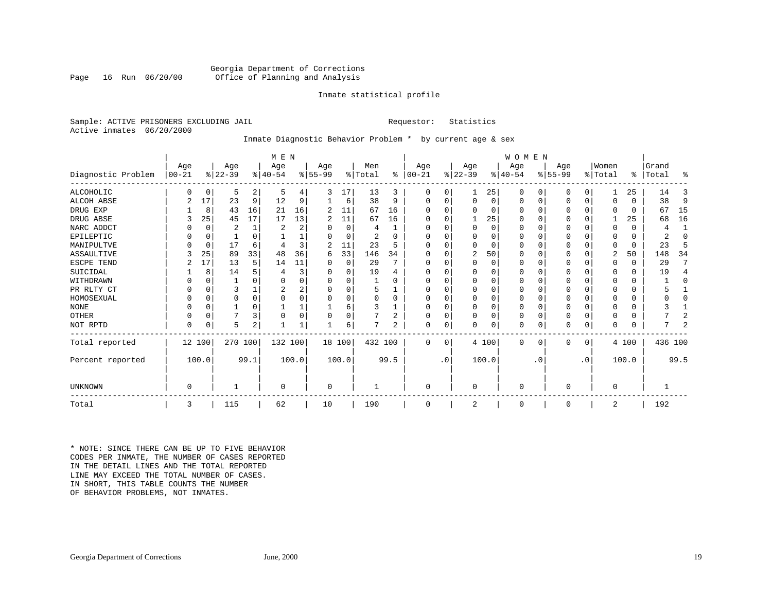# Georgia Department of Corrections<br>Page 16 Run 06/20/00 Office of Planning and Analysis Office of Planning and Analysis

# Inmate statistical profile

Sample: ACTIVE PRISONERS EXCLUDING JAIL **Requestor:** Statistics Active inmates 06/20/2000

# Inmate Diagnostic Behavior Problem \* by current age & sex

|                    |            |          |           |                | M E N          |          |              |          |         |                |            |           |              |          | <b>WOMEN</b> |           |           |             |          |              |           |                |
|--------------------|------------|----------|-----------|----------------|----------------|----------|--------------|----------|---------|----------------|------------|-----------|--------------|----------|--------------|-----------|-----------|-------------|----------|--------------|-----------|----------------|
|                    | Age        |          | Age       |                | Age            |          | Age          |          | Men     |                | Age        |           | Age          |          | Aqe          |           | Age       |             | Women    |              | Grand     |                |
| Diagnostic Problem | $ 00 - 21$ |          | $ 22-39 $ |                | $8 40-54$      |          | $ 55-99$     |          | % Total | ∻              | $ 00 - 21$ |           | $ 22-39 $    |          | $ 40-54 $    |           | $8 55-99$ |             | % Total  |              | %   Total | ႜ              |
| ALCOHOLIC          |            | $\Omega$ | 5         | $\overline{2}$ | 5              | 4        | 3            | 17       | 13      | 3              | 0          | $\Omega$  |              | 25       | $\Omega$     | 0         | 0         | $\Omega$    |          | 25           | 14        | 3              |
| ALCOH ABSE         | 2          | 17       | 23        | 9              | 12             | 9        |              | 6        | 38      | 9              | $\Omega$   | $\Omega$  | $\Omega$     | 0        | 0            | 0         | 0         | $\mathbf 0$ | $\Omega$ | $\Omega$     | 38        | 9              |
| DRUG EXP           |            | 8        | 43        | 16             | 21             | 16       | 2            | 11       | 67      | 16             |            |           | $\Omega$     | 0        | $\Omega$     | $\Omega$  | 0         | $\Omega$    | $\Omega$ | $\Omega$     | 67        | 15             |
| DRUG ABSE          | 3          | 25       | 45        | 17             | 17             | 13       | 2            | 11       | 67      | 16             | O          |           |              | 25       | $\Omega$     | $\Omega$  | O         | $\Omega$    |          | 25           | 68        | 16             |
| NARC ADDCT         |            | $\Omega$ | 2         | $\mathbf{1}$   | $\overline{c}$ | 2        |              | $\Omega$ | 4       |                |            |           | $\Omega$     | $\Omega$ | $\Omega$     | $\Omega$  | U         | $\Omega$    | $\Omega$ | $\Omega$     | 4         | $\mathbf{1}$   |
| EPILEPTIC          |            | $\Omega$ |           | $\Omega$       |                |          | $\Omega$     | $\Omega$ | 2       | <sup>0</sup>   | $\Omega$   |           | $\Omega$     | O        | $\Omega$     | $\Omega$  | O         | $\Omega$    | $\Omega$ | $\Omega$     | 2         | $\Omega$       |
| MANIPULTVE         |            | 0        | 17        | 6              |                | 3        | 2            | 11       | 23      | 5              |            |           | $\Omega$     | 0        | $\Omega$     | $\Omega$  | 0         | $\Omega$    | $\Omega$ | $\Omega$     | 23        | 5              |
| ASSAULTIVE         | 3          | 25       | 89        | 33             | 48             | 36       | 6            | 33       | 146     | 34             | ∩          |           | 2            | 50       | $\Omega$     | $\Omega$  | 0         | 0           | 2        | 50           | 148       | 34             |
| ESCPE TEND         | 2          | 17       | 13        | 5              | 14             | 11       |              | 0        | 29      | 7              |            |           | $\Omega$     | 0        | $\Omega$     | $\Omega$  | Ω         | O           | $\Omega$ | $\Omega$     | 29        | 7              |
| SUICIDAL           |            | 8        | 14        |                |                | 3        | <sup>0</sup> | O        | 19      |                |            |           |              | O        |              | $\Omega$  |           | O           |          | $\Omega$     | 19        | 4              |
| WITHDRAWN          |            |          |           |                |                | 0        |              | U        |         |                |            |           | <sup>0</sup> | U        | O            |           |           | U           |          | U            |           | O              |
| PR RLTY CT         |            |          | ς         |                |                | 2        | U            | O        |         |                |            |           | <sup>0</sup> | 0        | $\Omega$     | $\Omega$  |           | O           |          | $\Omega$     |           |                |
| HOMOSEXUAL         |            |          |           | 0              |                | $\Omega$ |              | O        |         | $\Omega$       |            |           | $\Omega$     | 0        | $\Omega$     | $\Omega$  | ი         | U           |          | U            |           | U              |
| <b>NONE</b>        |            |          |           |                |                |          |              | 6        |         |                |            |           | <sup>0</sup> | O        | $\Omega$     | $\Omega$  | ი         | O           |          | U            |           |                |
| <b>OTHER</b>       |            | $\Omega$ |           | 3              | $\Omega$       | 0        |              | 0        |         | $\overline{2}$ | O          |           | $\Omega$     | O        | $\Omega$     | $\Omega$  | 0         | $\Omega$    | $\Omega$ | U            |           | 2              |
| NOT RPTD           | $\Omega$   | $\Omega$ | 5         | 2              |                |          |              | 6        |         | 2              | $\Omega$   | 0         | $\Omega$     | 0        | $\Omega$     | 0         | N         | $\mathbf 0$ | $\Omega$ | <sup>0</sup> |           | $\overline{2}$ |
| Total reported     |            | 12 100   | 270 100   |                | 132 100        |          |              | 18 100   | 432 100 |                | $\Omega$   | $\Omega$  |              | 4 100    | $\Omega$     | 0         | 0         | 0           |          | 4 100        | 436 100   |                |
| Percent reported   |            | 100.0    |           | 99.1           |                | 100.0    |              | 100.0    |         | 99.5           |            | $\cdot$ 0 |              | 100.0    |              | $\cdot$ 0 |           | $\cdot$ 0   |          | 100.0        |           | 99.5           |
|                    |            |          |           |                |                |          |              |          |         |                |            |           |              |          |              |           |           |             |          |              |           |                |
| <b>UNKNOWN</b>     | $\Omega$   |          |           |                | $\Omega$       |          | 0            |          |         |                | $\Omega$   |           | $\mathbf 0$  |          | $\Omega$     |           | 0         |             | $\Omega$ |              |           |                |
| Total              | 3          |          | 115       |                | 62             |          | 10           |          | 190     |                | $\Omega$   |           | 2            |          | 0            |           | $\Omega$  |             | 2        |              | 192       |                |

\* NOTE: SINCE THERE CAN BE UP TO FIVE BEHAVIOR CODES PER INMATE, THE NUMBER OF CASES REPORTED IN THE DETAIL LINES AND THE TOTAL REPORTED LINE MAY EXCEED THE TOTAL NUMBER OF CASES.IN SHORT, THIS TABLE COUNTS THE NUMBER OF BEHAVIOR PROBLEMS, NOT INMATES.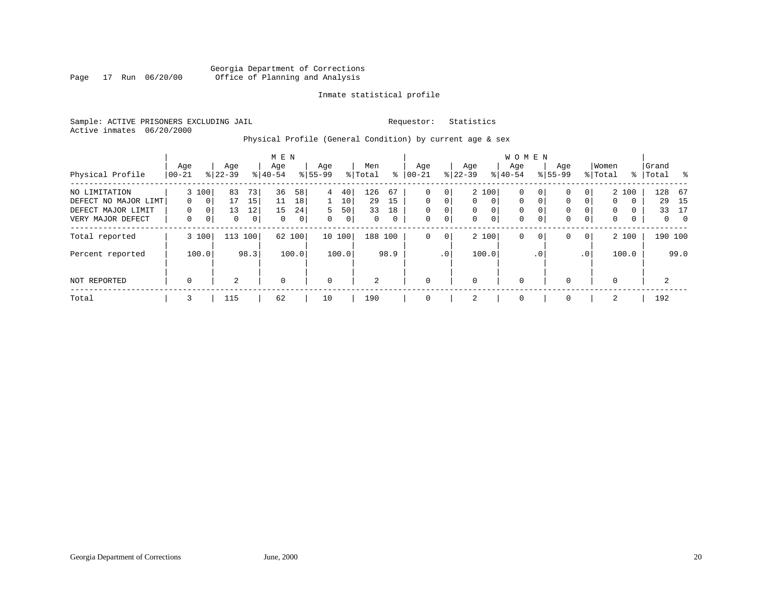# Georgia Department of Corrections<br>Page 17 Run 06/20/00 office of Planning and Analysis Page 17 Run 06/20/00 Office of Planning and Analysis

# Inmate statistical profile

Sample: ACTIVE PRISONERS EXCLUDING JAIL **Requestor:** Statistics Active inmates 06/20/2000

# Physical Profile (General Condition) by current age & sex

| Physical Profile                                                                 | Age<br>$ 00-21$    |                                                             | Age<br>$8 22-39$    |                                  | M E N<br>Age<br>$8 40-54$ |                     | Age<br>$8 55-99$                                      |                     | Men<br>% Total       | ွေ                  | Age<br>$ 00-21$                |                                                         | Age<br>$ 22-39 $   |                                                       | <b>WOMEN</b><br>Age<br>$8 40-54$                      |                                              | Age<br>$8155 - 99$ |                     | Women<br>% Total                            |                                    | Grand<br>%   Total | း                                              |
|----------------------------------------------------------------------------------|--------------------|-------------------------------------------------------------|---------------------|----------------------------------|---------------------------|---------------------|-------------------------------------------------------|---------------------|----------------------|---------------------|--------------------------------|---------------------------------------------------------|--------------------|-------------------------------------------------------|-------------------------------------------------------|----------------------------------------------|--------------------|---------------------|---------------------------------------------|------------------------------------|--------------------|------------------------------------------------|
| NO LIMITATION<br>DEFECT NO MAJOR LIMT<br>DEFECT MAJOR LIMIT<br>VERY MAJOR DEFECT | $\Omega$<br>0<br>0 | 3 100<br>0 <sup>1</sup><br>0 <sup>1</sup><br>0 <sup>1</sup> | 83<br>17<br>13<br>0 | 73<br>15<br>12<br>0 <sup>1</sup> | 36<br>11<br>15<br>0       | 58<br>18<br>24<br>0 | $4\overline{ }$<br>$\mathbf{1}$<br>5.<br>$\mathbf{0}$ | 40<br>10<br>50<br>0 | 126<br>29<br>33<br>0 | 67<br>15<br>18<br>0 | 0<br>$\Omega$<br>$\Omega$<br>0 | 0 <sup>1</sup><br>$\Omega$<br>$\overline{0}$<br>$\circ$ | $\Omega$<br>0<br>0 | 2 100<br>$\Omega$<br>$\overline{0}$<br>0 <sup>1</sup> | $\mathbf 0$<br>$\Omega$<br>$\mathbf 0$<br>$\mathbf 0$ | 0 <sup>1</sup><br>$\Omega$<br>$\overline{0}$ | 0<br>0<br>0<br>0   | 0<br>0<br>0         | $\mathbf{0}$<br>$\mathbf{0}$<br>$\mathbf 0$ | 2 100<br>$\Omega$<br>$\Omega$<br>0 | 128<br>29<br>33    | - 67<br>15<br>17<br>$\overline{0}$<br>$\Omega$ |
| Total reported<br>Percent reported                                               |                    | 3 100<br>100.0                                              | 113                 | 100<br>98.3                      |                           | 62 100<br>100.0     |                                                       | 10 100<br>100.0     | 188 100              | 98.9                | 0                              | 0 <sup>1</sup><br>.0 <sup>1</sup>                       |                    | 2 100<br>100.0                                        | $\mathbf 0$                                           | 0 <sup>1</sup><br>.0 <sup>1</sup>            | 0                  | $\mathbf{0}$<br>.0' |                                             | 2 100<br>100.0                     |                    | 190 100<br>99.0                                |
| NOT REPORTED                                                                     | 0                  |                                                             | $\overline{a}$      |                                  | 0                         |                     | $\mathbf 0$                                           |                     | 2                    |                     | $\Omega$                       |                                                         | $\mathbf 0$        |                                                       | $\mathbf 0$                                           |                                              | $\Omega$           |                     | 0                                           |                                    | 2                  |                                                |
| Total                                                                            | 3                  |                                                             | 115                 |                                  | 62                        |                     | 10                                                    |                     | 190                  |                     |                                |                                                         | 2                  |                                                       | $\mathbf 0$                                           |                                              | $\Omega$           |                     | 2                                           |                                    | 192                |                                                |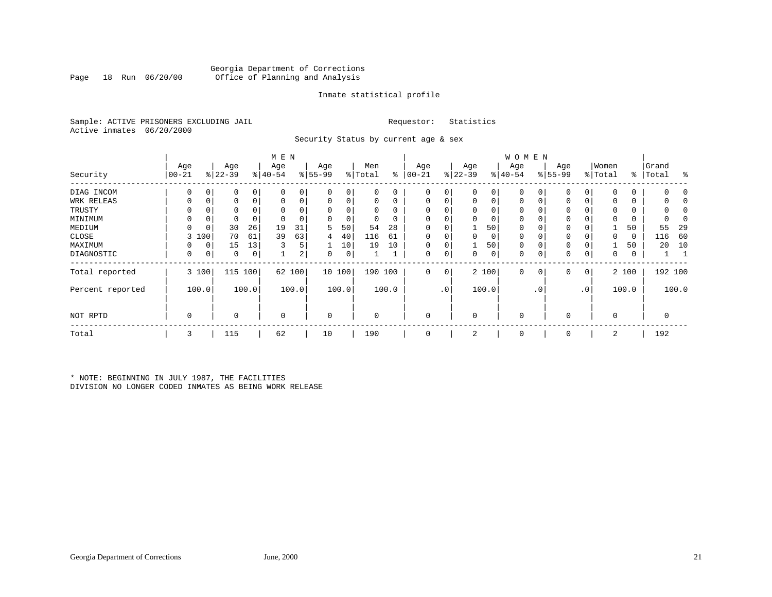# Georgia Department of Corrections Office of Planning and Analysis

# Inmate statistical profile

Sample: ACTIVE PRISONERS EXCLUDING JAIL **Requestor:** Statistics Active inmates 06/20/2000

Security Status by current age & sex

|                  |           |          |           |       | M E N       |       |             |        |             |          |             |                 |             |                | W O M E N   |                |           |              |             |             |             |         |
|------------------|-----------|----------|-----------|-------|-------------|-------|-------------|--------|-------------|----------|-------------|-----------------|-------------|----------------|-------------|----------------|-----------|--------------|-------------|-------------|-------------|---------|
|                  | Age       |          | Age       |       | Age         |       | Age         |        | Men         |          | Age         |                 | Age         |                | Age         |                | Age       |              | Women       |             | Grand       |         |
| Security         | $ 00-21 $ |          | $ 22-39 $ |       | $ 40-54 $   |       | $8 55-99$   |        | % Total     | ွေ       | $ 00 - 21$  |                 | $ 22-39 $   |                | $ 40-54 $   |                | $8 55-99$ |              | % Total     |             | %   Total   | ႜ       |
| DIAG INCOM       |           | $\Omega$ |           | 0     | 0           |       | $\Omega$    | 0      | 0           | 0        | 0           | 0               | 0           | 0              |             | 0              | 0         | 0            | $\Omega$    | 0           |             |         |
| WRK RELEAS       | 0         | 0        |           | 0     | $\Omega$    | 0     | 0           | 0      | 0           | 0        | $\mathbf 0$ | 0               | $\mathbf 0$ | $\overline{0}$ | $\mathbf 0$ | 0              | 0         | 0            | 0           | 0           |             |         |
| TRUSTY           |           |          |           |       |             |       | $\Omega$    |        | $\Omega$    | $\Omega$ |             |                 | $\Omega$    | 0              |             |                | 0         |              | 0           | 0           |             |         |
| MINIMUM          | 0         | 0        | 0         |       | $\Omega$    |       | 0           | 0      | $\mathbf 0$ | 0        | $\Omega$    |                 | $\Omega$    | 0              | $\mathbf 0$ |                | $\Omega$  |              | $\mathbf 0$ | 0           |             |         |
| MEDIUM           | $\Omega$  | 0        | 30        | 26    | 19          | 31    | 5           | 50     | 54          | 28       | $\Omega$    |                 |             | 50             | $\Omega$    |                | $\Omega$  |              |             | 50          | 55          | 29      |
| CLOSE            | 3         | 100      | 70        | 61    | 39          | 63    | 4           | 40     | 116         | 61       | $\mathbf 0$ |                 |             | 0              | 0           |                | 0         |              | 0           | $\mathbf 0$ | 116         | 60      |
| MAXIMUM          | 0         | 0        | 15        | 13    | ζ           | 5     |             | 10     | 19          | 10       | $\Omega$    | 0               |             | 50             | $\Omega$    |                | $\Omega$  |              |             | 50          | 20          | 10      |
| DIAGNOSTIC       | 0         | 0        | 0         | 0     |             | 2     | 0           | 0      |             |          | $\Omega$    | 0               | $\Omega$    | 0              | 0           | 0              | 0         | 0            | 0           | 0           |             |         |
| Total reported   |           | 3 100    | 115       | 100   | 62          | 100   |             | 10 100 | 190 100     |          | $\mathbf 0$ | 0 <sup>1</sup>  |             | 2 100          | $\mathbf 0$ | 0 <sup>1</sup> | 0         | $\mathbf{0}$ |             | 2 100       |             | 192 100 |
| Percent reported |           | 100.0    |           | 100.0 |             | 100.0 |             | 100.0  |             | 100.0    |             | .0 <sup>1</sup> |             | 100.0          |             | . 0            |           | $\cdot$ 0    |             | 100.0       |             | 100.0   |
| NOT RPTD         | 0         |          | 0         |       | $\mathbf 0$ |       | $\mathbf 0$ |        | $\Omega$    |          | $\Omega$    |                 | 0           |                | $\mathbf 0$ |                | $\Omega$  |              | $\mathbf 0$ |             | $\mathbf 0$ |         |
| Total            | 3         |          | 115       |       | 62          |       | 10          |        | 190         |          | 0           |                 | 2           |                | $\mathbf 0$ |                | 0         |              | 2           |             | 192         |         |

\* NOTE: BEGINNING IN JULY 1987, THE FACILITIES DIVISION NO LONGER CODED INMATES AS BEING WORK RELEASE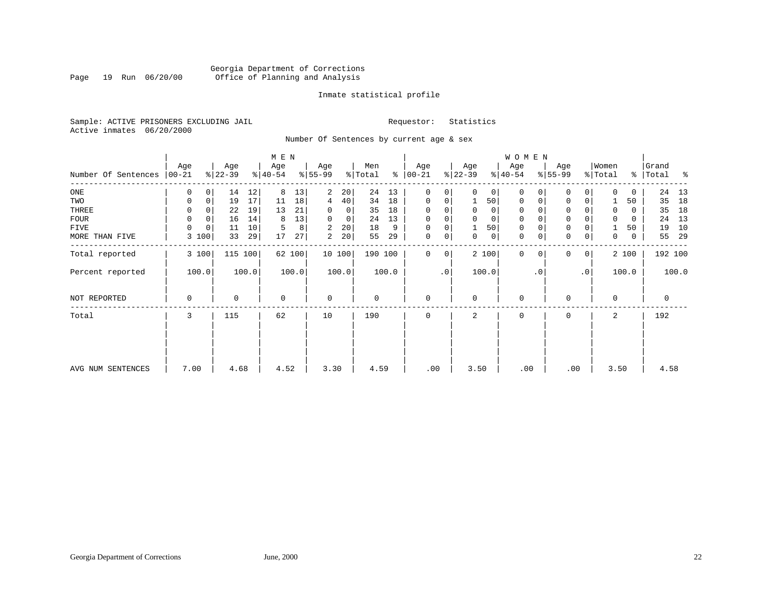# Georgia Department of Corrections Page 19 Run 06/20/00 Office of Planning and Analysis

# Inmate statistical profile

Sample: ACTIVE PRISONERS EXCLUDING JAIL **Requestor:** Statistics Active inmates 06/20/2000

Number Of Sentences by current age & sex

|                             |          |                   |       | M E N     |       |             |                 |         |       |               |           |           |             | WOMEN        |           |              |                 |          |       |             |       |
|-----------------------------|----------|-------------------|-------|-----------|-------|-------------|-----------------|---------|-------|---------------|-----------|-----------|-------------|--------------|-----------|--------------|-----------------|----------|-------|-------------|-------|
|                             | Age      | Age               |       | Age       |       | Age         |                 | Men     |       | Age           |           | Age       |             | Age          |           | Age          |                 | Women    |       | Grand       |       |
| Number Of Sentences   00-21 |          | $ 22-39 $         |       | $ 40-54 $ |       | $8 55-99$   |                 | % Total |       | $8   00 - 21$ |           | $ 22-39 $ |             | $ 40-54 $    |           | $8 55-99$    |                 | % Total  |       | %   Total   | ႜ     |
| ONE                         | 0        | 14<br>0           | 12    | 8         | 13    | 2           | 20 <sup>1</sup> | 24      | 13    | $\mathbf 0$   | 0         | $\Omega$  | 0           | 0            | 0         | $\Omega$     | 0               | $\Omega$ | 0     |             | 24 13 |
| TWO                         | 0        | 19<br>0           | 17    | 11        | 18    | 4           | 40 <sup>°</sup> | 34      | 18    | $\mathbf 0$   | 0         |           | 50          | $\mathbf 0$  | $\Omega$  | $\mathbf 0$  | 0               |          | 50    | 35          | 18    |
| THREE                       | 0        | 22                | 19    | 13        | 21    | 0           | $\mathbf 0$     | 35      | 18    | 0             | 0         | 0         | 0           | 0            |           | 0            |                 |          | 0     | 35          | 18    |
| FOUR                        | $\Omega$ | $\Omega$<br>16    | 14    | 8         | 13    | $\Omega$    | $\mathbf{0}$    | 24      | 13    | $\Omega$      | 0         |           | $\mathbf 0$ | $\mathbf 0$  |           | $\mathbf{0}$ |                 |          | 0     | 24          | 13    |
| FIVE                        | $\Omega$ | $\mathbf 0$<br>11 | 10    | 5         | 8     | 2           | 20              | 18      | 9     | $\Omega$      | 0         |           | 50          | $\mathbf 0$  |           | $\mathbf 0$  |                 |          | 50    | 19          | 10    |
| MORE THAN FIVE              | 100<br>3 | 33                | 29    | 17        | 27    | 2           | 20 <sup>1</sup> | 55      | 29    | $\mathbf 0$   | 0         | 0         | 0           | $\mathbf 0$  | 0         | $\mathbf 0$  | 0               | 0        | 0     | 55          | 29    |
| Total reported              | 3 100    | 115               | 100   | 62 100    |       |             | 10100           | 190 100 |       | $\mathbf 0$   | 0         |           | 2 100       | $\mathbf{0}$ | $\Omega$  | $\Omega$     | 0 <sup>1</sup>  |          | 2 100 | 192 100     |       |
| Percent reported            | 100.0    |                   | 100.0 |           | 100.0 |             | 100.0           |         | 100.0 |               | $\cdot$ 0 |           | 100.0       |              | $\cdot$ 0 |              | .0 <sup>1</sup> |          | 100.0 |             | 100.0 |
| NOT REPORTED                | 0        | 0                 |       | $\Omega$  |       | $\mathbf 0$ |                 | 0       |       | $\mathbf 0$   |           | $\Omega$  |             | $\mathbf 0$  |           | $\Omega$     |                 | $\Omega$ |       | $\mathbf 0$ |       |
| Total                       | 3        | 115               |       | 62        |       | 10          |                 | 190     |       | 0             |           | 2         |             | 0            |           | $\Omega$     |                 | 2        |       | 192         |       |
|                             |          |                   |       |           |       |             |                 |         |       |               |           |           |             |              |           |              |                 |          |       |             |       |
| AVG NUM SENTENCES           | 7.00     | 4.68              |       | 4.52      |       | 3.30        |                 | 4.59    |       | .00           |           | 3.50      |             | .00          |           | .00          |                 | 3.50     |       | 4.58        |       |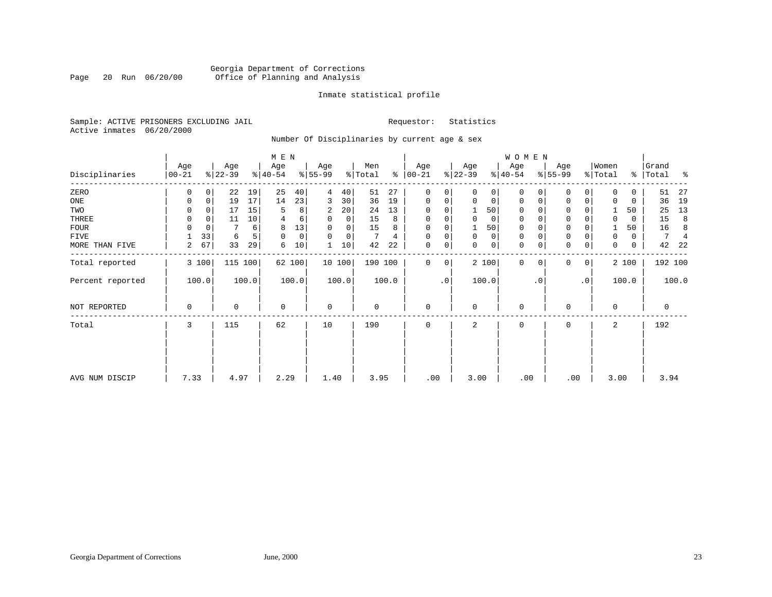# Georgia Department of Corrections Page 20 Run 06/20/00 Office of Planning and Analysis

# Inmate statistical profile

Sample: ACTIVE PRISONERS EXCLUDING JAIL **Requestor:** Statistics Active inmates 06/20/2000

Number Of Disciplinaries by current age & sex

|                  |                   |          |                  |       | M E N            |        |                 |             |                |       |                      |                        |                  |             | WOMEN            |           |                  |                 |                  |       |                    |                |
|------------------|-------------------|----------|------------------|-------|------------------|--------|-----------------|-------------|----------------|-------|----------------------|------------------------|------------------|-------------|------------------|-----------|------------------|-----------------|------------------|-------|--------------------|----------------|
| Disciplinaries   | Age<br>$ 00 - 21$ |          | Age<br>$ 22-39 $ |       | Age<br>$ 40-54 $ |        | Age<br>$ 55-99$ |             | Men<br>% Total |       | Age<br>$8   00 - 21$ |                        | Age<br>$ 22-39 $ |             | Age<br>$ 40-54 $ |           | Age<br>$ 55-99 $ |                 | Women<br>% Total |       | Grand<br>%   Total | ႜ              |
| ZERO             | 0                 | 0        | 22               | 19    | 25               | 40     | 4               | 40          | 51             | 27    | $\mathbf 0$          | 0                      | $\Omega$         | 0           | 0                | $\Omega$  | $\Omega$         | $\Omega$        | $\Omega$         | 0     | 51                 | 27             |
| ONE              | 0                 | 0        | 19               | 17    | 14               | 23     | 3               | 30          | 36             | 19    | $\mathbf 0$          | 0                      | 0                | $\mathbf 0$ | $\mathbf 0$      | 0         | $\mathbf 0$      | $\mathbf 0$     |                  | 0     | 36                 | 19             |
| TWO              | 0                 | 0        | 17               | 15    | 5                | 8      | 2               | 20          | 24             | 13    | $\mathbf 0$          | 0                      |                  | 50          | 0                |           | $\mathbf 0$      |                 |                  | 50    | 25                 | 13             |
| THREE            | 0                 | 0        | 11               | 10    | 4                | 6      | 0               | 0           | 15             | 8     | $\mathbf 0$          | 0                      | $\mathbf 0$      | $\mathbf 0$ | 0                |           | $\mathbf{0}$     |                 | $\Omega$         | 0     | 15                 | 8              |
| FOUR             | $\Omega$          | $\Omega$ |                  | 6     | 8                | 13     | $\Omega$        | $\Omega$    | 15             | 8     | $\Omega$             | 0                      |                  | 50          | 0                |           | $\mathbf{0}$     |                 |                  | 50    | 16                 | 8              |
| FIVE             |                   | 33       | 6                |       | $\mathbf 0$      | 0      | $\Omega$        | $\mathbf 0$ |                | 4     | $\Omega$             | 0                      | $\mathbf 0$      | $\mathbf 0$ | 0                |           | $\mathbf{0}$     |                 | 0                | 0     | 7                  | $\overline{4}$ |
| MORE THAN FIVE   | 2                 | 67       | 33               | 29    | 6                | 10     |                 | 10          | 42             | 22    | $\mathbf 0$          | 0                      | $\Omega$         | $\mathbf 0$ | 0                | 0         | $\mathbf 0$      | 0               | 0                | 0     | 42                 | -22            |
| Total reported   |                   | 3 100    | 115              | 100   |                  | 62 100 |                 | 10100       | 190 100        |       | $\mathbf 0$          | 0                      |                  | 2 100       | $\mathbf{0}$     | $\Omega$  | $\Omega$         | 0               |                  | 2 100 |                    | 192 100        |
| Percent reported |                   | 100.0    |                  | 100.0 |                  | 100.0  |                 | 100.0       |                | 100.0 |                      | $\boldsymbol{\cdot}$ 0 |                  | 100.0       |                  | $\cdot$ 0 |                  | .0 <sup>1</sup> |                  | 100.0 |                    | 100.0          |
| NOT REPORTED     | 0                 |          | 0                |       | $\mathbf 0$      |        | $\mathbf 0$     |             | 0              |       | $\mathbf 0$          |                        | $\Omega$         |             | 0                |           | $\Omega$         |                 | $\mathbf 0$      |       | $\mathbf 0$        |                |
| Total            | 3                 |          | 115              |       | 62               |        | 10              |             | 190            |       | $\mathbf 0$          |                        | 2                |             | $\mathbf 0$      |           | $\mathbf 0$      |                 | 2                |       | 192                |                |
|                  |                   |          |                  |       |                  |        |                 |             |                |       |                      |                        |                  |             |                  |           |                  |                 |                  |       |                    |                |
| AVG NUM DISCIP   | 7.33              |          | 4.97             |       | 2.29             |        | 1.40            |             | 3.95           |       | .00                  |                        | 3.00             |             | .00              |           | .00              |                 | 3.00             |       | 3.94               |                |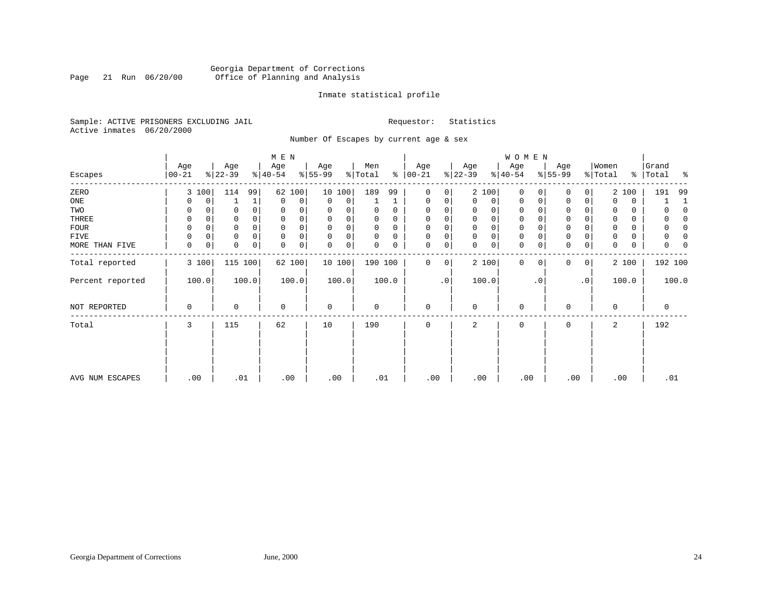# Georgia Department of Corrections<br>Page 21 Run 06/20/00 Office of Planning and Analysis Page 21 Run 06/20/00 Office of Planning and Analysis

# Inmate statistical profile

Sample: ACTIVE PRISONERS EXCLUDING JAIL **Requestor:** Statistics Active inmates 06/20/2000

Number Of Escapes by current age & sex

|                  |                   |       |                  |              | M E N            |        |                          |             |                |          |                    |           |                  |             | W O M E N        |             |                  |              |                  |       |                    |       |
|------------------|-------------------|-------|------------------|--------------|------------------|--------|--------------------------|-------------|----------------|----------|--------------------|-----------|------------------|-------------|------------------|-------------|------------------|--------------|------------------|-------|--------------------|-------|
| Escapes          | Age<br>$ 00 - 21$ |       | Age<br>$ 22-39 $ |              | Age<br>$ 40-54 $ |        | Age<br>$\frac{8}{55-99}$ |             | Men<br>% Total | ి        | Age<br>$ 00 - 21 $ |           | Age<br>$ 22-39 $ |             | Age<br>$ 40-54 $ |             | Age<br>$8 55-99$ |              | Women<br>% Total |       | Grand<br>%   Total | ႜ     |
| ZERO             |                   | 3 100 | 114              | 99           | 62               | 100    |                          | 10 100      | 189            | 99       | $\mathbf{0}$       | 0         |                  | 2 100       | $\mathbf 0$      | $\Omega$    | $\Omega$         | 0            |                  | 2 100 | 191                | 99    |
| ONE              |                   | 0     |                  | $\mathbf{1}$ | $\mathbf 0$      | 0      | 0                        | $\mathbf 0$ |                |          | 0                  | 0         | $\mathbf 0$      | 0           | $\mathbf 0$      | 0           | 0                | $\mathbf 0$  | $\Omega$         | 0     |                    |       |
| TWO              | 0                 |       | 0                |              | 0                | 0      | 0                        |             | 0              | 0        | 0                  |           |                  | 0           | $\mathbf 0$      | $\Omega$    | 0                |              | 0                | 0     |                    |       |
| THREE            | 0                 |       | 0                |              | $\mathbf 0$      | 0      | 0                        | 0           | 0              | $\Omega$ | $\mathbf 0$        |           | 0                | 0           | 0                | $\Omega$    | 0                |              | $\mathbf 0$      | 0     |                    |       |
| <b>FOUR</b>      | $\Omega$          |       | 0                |              | $\mathbf 0$      |        | 0                        | $\mathbf 0$ | 0              | $\Omega$ | $\mathbf 0$        |           | $\Omega$         | 0           | $\mathbf 0$      |             | $\mathbf 0$      |              |                  | 0     |                    |       |
| FIVE             | $\mathbf 0$       | 0     | 0                | 0            | $\mathbf 0$      | 0      | 0                        | 0           | 0              | 0        | 0                  | 0         | $\mathbf 0$      | 0           | 0                | $\Omega$    | 0                |              | 0                | 0     |                    | 0     |
| MORE THAN FIVE   | 0                 | 0     | 0                | 0            | $\mathbf 0$      | 0      | $\mathbf 0$              | 0           | 0              | 0        | 0                  | 0         | $\Omega$         | $\mathbf 0$ | $\mathbf 0$      | 0           | $\mathbf 0$      | 0            | 0                | 0     | 0                  |       |
| Total reported   |                   | 3 100 |                  | 115 100      |                  | 62 100 |                          | 10 100      | 190 100        |          | $\mathbf 0$        | 0         |                  | 2 100       | $\mathbf 0$      | $\mathbf 0$ | 0                | $\mathbf{0}$ |                  | 2 100 | 192 100            |       |
| Percent reported |                   | 100.0 |                  | 100.0        |                  | 100.0  |                          | 100.0       |                | 100.0    |                    | $\cdot$ 0 |                  | 100.0       |                  | . 0         |                  | $\cdot$ 0    |                  | 100.0 |                    | 100.0 |
| NOT REPORTED     | 0                 |       | 0                |              | $\mathbf 0$      |        | $\mathbf 0$              |             | 0              |          | $\mathbf{0}$       |           | $\mathbf 0$      |             | 0                |             | 0                |              | $\Omega$         |       | $\mathbf 0$        |       |
| Total            | 3                 |       | 115              |              | 62               |        | 10                       |             | 190            |          | $\mathbf 0$        |           | 2                |             | 0                |             | 0                |              | 2                |       | 192                |       |
|                  |                   |       |                  |              |                  |        |                          |             |                |          |                    |           |                  |             |                  |             |                  |              |                  |       |                    |       |
|                  |                   |       |                  |              |                  |        |                          |             |                |          |                    |           |                  |             |                  |             |                  |              |                  |       |                    |       |
| AVG NUM ESCAPES  | .00               |       | .01              |              |                  | .00    | .00                      |             | .01            |          | .00                |           | .00              |             | .00              |             | .00              |              | .00              |       | .01                |       |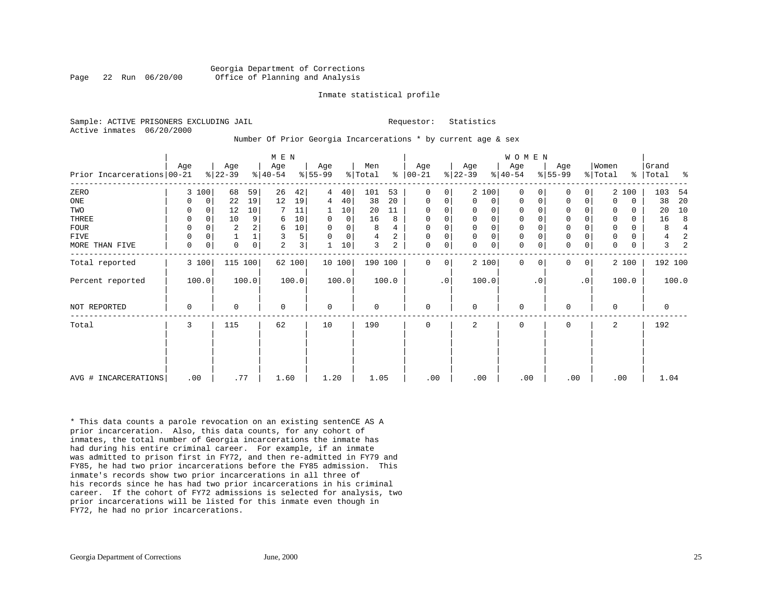### Georgia Department of Corrections Page 22 Run 06/20/00 Office of Planning and Analysis

### Inmate statistical profile

Sample: ACTIVE PRISONERS EXCLUDING JAIL **Requestor:** Statistics Active inmates 06/20/2000

### Number Of Prior Georgia Incarcerations \* by current age & sex

|                            |          |             |                  |       | M E N                        |        |                  |                |                |                |                      |           |                  |                | WOMEN           |           |                  |              |                  |          |                    |                |
|----------------------------|----------|-------------|------------------|-------|------------------------------|--------|------------------|----------------|----------------|----------------|----------------------|-----------|------------------|----------------|-----------------|-----------|------------------|--------------|------------------|----------|--------------------|----------------|
| Prior Incarcerations 00-21 | Age      |             | Age<br>$ 22-39 $ |       | Age<br>$\frac{1}{6}$   40-54 |        | Age<br>$8 55-99$ |                | Men<br>% Total |                | Age<br>$8   00 - 21$ |           | Age<br>$ 22-39 $ |                | Age<br>$ 40-54$ |           | Age<br>$8 55-99$ |              | Women<br>% Total |          | Grand<br>%   Total | နွ             |
| ZERO                       |          | 3 100       | 68               | 59    | 26                           | 42     | 4                | 40             | 101            | 53             | 0                    | 0         |                  | 2 100          | $\Omega$        | 0         | $\mathbf 0$      | 0            |                  | 2 100    | 103                | 54             |
| ONE                        | 0        | 0           | 22               | 19    | 12                           | 19     | 4                | 40             | 38             | 20             | 0                    | 0         | $\Omega$         | $\overline{0}$ | $\Omega$        | 0         | 0                | 0            | $\Omega$         | 0        | 38                 | 20             |
| TWO                        | $\Omega$ | $\Omega$    | 12               | 10    |                              | 11     |                  | 10             | 20             | 11             | $\Omega$             | 0         | $\Omega$         | 0              | $\Omega$        |           | $\Omega$         |              | $\Omega$         | 0        | 20                 | 10             |
| THREE                      | 0        | $\Omega$    | 10               | 9     | 6                            | 10     | 0                | $\overline{0}$ | 16             | 8              | 0                    | $\Omega$  |                  | $\Omega$       | $\Omega$        |           | $\mathbf 0$      | 0            | 0                | $\Omega$ | 16                 | 8              |
| <b>FOUR</b>                | 0        | $\Omega$    | $\overline{2}$   |       | 6                            | 10     | $\Omega$         | 0              | 8              | 4              | 0                    | $\Omega$  |                  | $\Omega$       | 0               |           | $\mathbf 0$      |              | 0                | 0        | 8                  | $\overline{4}$ |
| FIVE                       | 0        | 0           |                  |       | 3                            | 5      | $\Omega$         | $\overline{0}$ | 4              | $\overline{a}$ | $\mathbf 0$          | 0         | $\Omega$         | 0              | 0               |           | $\mathsf 0$      |              | 0                | 0        | 4                  | 2              |
| MORE THAN FIVE             | 0        | $\mathbf 0$ | $\mathbf 0$      | 0     | 2                            | 3      |                  | 10             | 3              | 2              | $\mathbf 0$          | 0         | $\Omega$         | 0              | $\mathbf 0$     | 0         | $\mathbf 0$      | 0            | 0                | 0        | 3                  |                |
| Total reported             |          | 3 100       | 115 100          |       |                              | 62 100 |                  | 10 100         | 190 100        |                | $\Omega$             | 0         |                  | 2 100          | $\mathbf 0$     | $\Omega$  | $\Omega$         | $\mathbf{0}$ |                  | 2 100    |                    | 192 100        |
| Percent reported           |          | 100.0       |                  | 100.0 |                              | 100.0  |                  | 100.0          |                | 100.0          |                      | $\cdot$ 0 |                  | 100.0          |                 | $\cdot$ 0 |                  | $\cdot$ 0    |                  | 100.0    |                    | 100.0          |
| NOT REPORTED               | 0        |             | $\Omega$         |       | 0                            |        | $\mathbf 0$      |                | 0              |                | 0                    |           | $\Omega$         |                | 0               |           | 0                |              | 0                |          | 0                  |                |
| Total                      | 3        |             | 115              |       | 62                           |        | 10               |                | 190            |                | $\mathbf 0$          |           | 2                |                | $\mathbf 0$     |           | $\mathbf 0$      |              | 2                |          | 192                |                |
|                            |          |             |                  |       |                              |        |                  |                |                |                |                      |           |                  |                |                 |           |                  |              |                  |          |                    |                |
| AVG # INCARCERATIONS       |          | .00         | .77              |       | 1.60                         |        | 1.20             |                | 1.05           |                | .00                  |           | .00              |                | .00             |           | .00              |              |                  | .00      | 1.04               |                |

\* This data counts a parole revocation on an existing sentenCE AS A prior incarceration. Also, this data counts, for any cohort of inmates, the total number of Georgia incarcerations the inmate has had during his entire criminal career. For example, if an inmate was admitted to prison first in FY72, and then re-admitted in FY79 and FY85, he had two prior incarcerations before the FY85 admission. This inmate's records show two prior incarcerations in all three of his records since he has had two prior incarcerations in his criminal career. If the cohort of FY72 admissions is selected for analysis, two prior incarcerations will be listed for this inmate even though in FY72, he had no prior incarcerations.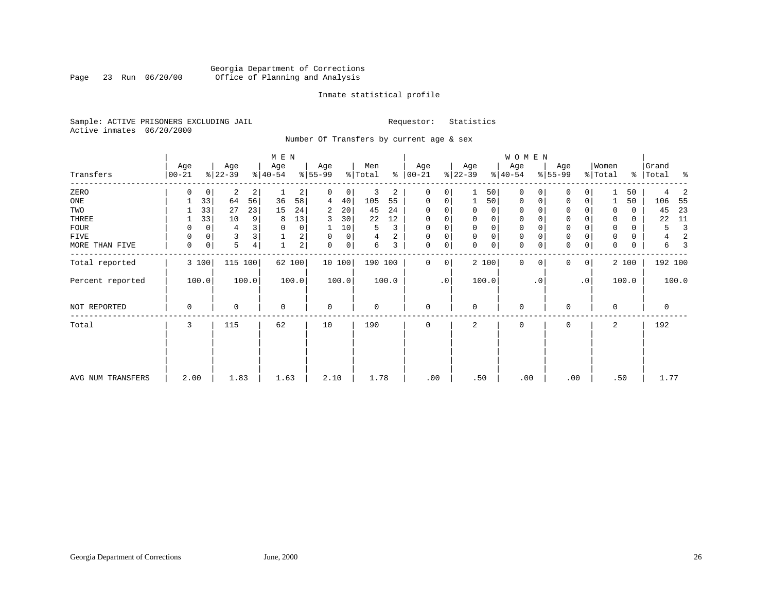# Georgia Department of Corrections<br>Page 23 Run 06/20/00 Office of Planning and Analysis Page 23 Run 06/20/00 Office of Planning and Analysis

# Inmate statistical profile

Sample: ACTIVE PRISONERS EXCLUDING JAIL **Requestor:** Statistics Active inmates 06/20/2000

Number Of Transfers by current age & sex

|                   |                  |       |                  |                | M E N           |                |                  |        |                |       |                  |                |                  |       | W O M E N        |           |                  |                |                  |               |                |       |
|-------------------|------------------|-------|------------------|----------------|-----------------|----------------|------------------|--------|----------------|-------|------------------|----------------|------------------|-------|------------------|-----------|------------------|----------------|------------------|---------------|----------------|-------|
| Transfers         | Age<br>$00 - 21$ |       | Age<br>$ 22-39 $ |                | Age<br>$ 40-54$ |                | Age<br>$8 55-99$ |        | Men<br>% Total | ွေ    | Age<br>$ 00-21 $ |                | Age<br>$ 22-39 $ |       | Age<br>$ 40-54 $ |           | Age<br>$8 55-99$ |                | Women<br>% Total | $\frac{1}{6}$ | Grand<br>Total | ಿ     |
| ZERO              | $\Omega$         | 0     | 2                | $\overline{2}$ |                 | $\overline{2}$ | 0                | 0      | 3              | 2     | $\Omega$         | $\Omega$       |                  | 50    | $\mathbf 0$      | $\Omega$  | 0                | 0              |                  | 50            | 4              | 2     |
| ONE               |                  | 33    | 64               | 56             | 36              | 58             | 4                | 40     | 105            | 55    | $\mathbf 0$      | 0              |                  | 50    | $\mathbf 0$      | 0         | $\mathbf 0$      | $\mathbf 0$    |                  | 50            | 106            | 55    |
| TWO               |                  | 33    | 27               | 23             | 15              | 24             | 2                | 20     | 45             | 24    | $\mathbf 0$      |                | 0                | 0     | 0                |           | 0                |                | $\Omega$         | 0             | 45             | 23    |
| THREE             |                  | 33    | 10               | 9              | 8               | 13             | 3                | 30     | 22             | 12    | $\mathbf 0$      |                | 0                | 0     | 0                | $\Omega$  | 0                |                | 0                | 0             | 22             | 11    |
| <b>FOUR</b>       | 0                | 0     |                  |                | $\Omega$        | 0              |                  | 10     | 5              | 3     | $\Omega$         |                | 0                | 0     | 0                |           | $\mathbf 0$      |                | $\Omega$         | 0             | 5              | 3     |
| FIVE              | $\Omega$         | 0     | 3                |                |                 | 2              | $\Omega$         | 0      | 4              | 2     | $\Omega$         | 0              | 0                | 0     | 0                |           | 0                |                | $\Omega$         | 0             | 4              | 2     |
| MORE THAN FIVE    | 0                | 0     | 5                | 4              |                 | 2 <sup>1</sup> | 0                | 0      | 6              | 3     | $\mathbf 0$      | $\overline{0}$ | $\Omega$         | 0     | $\mathbf 0$      | 0         | $\mathbf 0$      | $\mathbf 0$    | $\mathbf 0$      | 0             | 6              | 3     |
| Total reported    |                  | 3 100 | 115 100          |                |                 | 62 100         |                  | 10 100 | 190 100        |       | $\Omega$         | $\overline{0}$ |                  | 2 100 | $\mathbf{0}$     | 0         | $\Omega$         | 0 <sup>1</sup> |                  | 2 100         | 192 100        |       |
| Percent reported  |                  | 100.0 |                  | 100.0          |                 | 100.0          |                  | 100.0  |                | 100.0 |                  | .0             |                  | 100.0 |                  | $\cdot$ 0 |                  | $\cdot$ 0      |                  | 100.0         |                | 100.0 |
| NOT REPORTED      | 0                |       | $\Omega$         |                | $\mathbf 0$     |                | $\mathbf 0$      |        | $\mathbf 0$    |       | $\mathbf 0$      |                | $\mathbf 0$      |       | $\mathbf 0$      |           | $\Omega$         |                | $\mathbf 0$      |               | $\mathbf 0$    |       |
| Total             | 3                |       | 115              |                | 62              |                | 10               |        | 190            |       | $\Omega$         |                | 2                |       | 0                |           | $\Omega$         |                | 2                |               | 192            |       |
|                   |                  |       |                  |                |                 |                |                  |        |                |       |                  |                |                  |       |                  |           |                  |                |                  |               |                |       |
| AVG NUM TRANSFERS | 2.00             |       | 1.83             |                | 1.63            |                | 2.10             |        | 1.78           |       | .00              |                | .50              |       | .00              |           | .00              |                | .50              |               | 1.77           |       |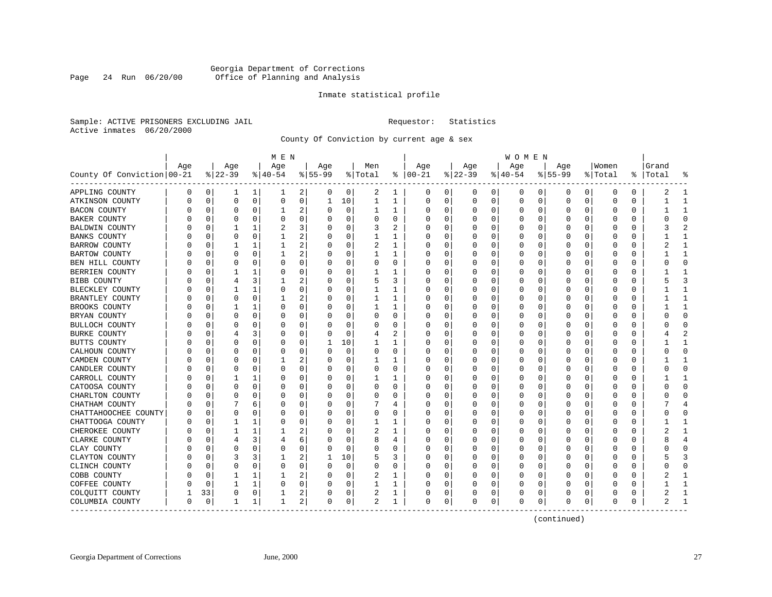# Georgia Department of Corrections<br>Page 24 Run 06/20/00 Office of Planning and Analysis Page 24 Run 06/20/00 Office of Planning and Analysis

# Inmate statistical profile

Sample: ACTIVE PRISONERS EXCLUDING JAIL **Requestor:** Statistics Active inmates 06/20/2000

County Of Conviction by current age & sex

| Age<br>Age<br>Age<br>Age<br>Men<br>Age<br>Age<br>Age<br>Age<br>Women<br>Grand<br>$ 22-39$<br>$ 00-21$<br>County Of Conviction 00-21<br>$ 40-54$<br>$8 55-99$<br>% Total<br>နွ<br>$ 22-39 $<br>$ 40-54$<br>$8 55-99$<br>% Total<br>%  <br>Total<br>៖<br>$\mathbf 1$<br>2<br>0<br>0 <sup>1</sup><br>1<br>APPLING COUNTY<br>0<br>0<br>0<br>2<br>1<br>0<br>0<br>0<br>0<br>0<br>0<br>1<br>0<br>0<br>0<br>1<br>$\mathbf 0$<br>$\mathbf 0$<br>10<br>$\mathbf{1}$<br>0<br>0<br>$\mathbf 0$<br>$\Omega$<br>0<br>$\mathbf 0$<br>0<br>0<br>0<br>$\mathbf 0$<br>0<br>ATKINSON COUNTY<br>U<br>1<br>1<br>1<br>$\Omega$<br>0<br>2<br>0<br>1<br>BACON COUNTY<br>0<br>0<br>0<br>1<br>0<br>0<br>0<br>O<br>0<br>$\Omega$<br>0<br>$\Omega$<br>0<br>1<br>O<br>$\Omega$<br>$\mathbf 0$<br>0<br>0<br>O<br>BAKER COUNTY<br>0<br>0<br>$\Omega$<br>$\Omega$<br>0<br>0<br>$\Omega$<br>$\Omega$<br>O<br>U<br>O<br>U<br>$\overline{2}$<br>3<br>0<br>3<br>2<br>$\Omega$<br>1<br>2<br>0<br>0<br>∩<br>O<br>BALDWIN COUNTY<br>1<br><sup>0</sup><br>$\Omega$<br>O<br>$\Omega$<br>U<br>O<br>2<br>0<br>$\mathbf 0$<br>0<br>0<br>1<br>0<br>1<br>1<br>O<br>0<br>0<br>$\Omega$<br>0<br><b>BANKS COUNTY</b><br>0<br>1<br>0<br>0<br>2<br>$\mathbf{1}$<br>0<br>1<br>0<br>2<br>1<br>0<br>BARROW COUNTY<br>1<br>1<br>O<br><sup>0</sup><br>$\Omega$<br>0<br>0<br>0<br>$\Omega$<br>0<br>C<br>$\overline{a}$<br>1<br>0<br>0<br>0<br>1<br>0<br>BARTOW COUNTY<br>0<br>1<br>0<br>1<br><sup>0</sup><br>0<br>0<br>0<br>O<br>0<br>0<br>$\Omega$<br>0<br>$\mathbf{0}$<br>0<br>0<br>0<br>0<br>0<br>0<br>0<br>0<br>BEN HILL COUNTY<br>0<br>0<br>0<br>0<br>0<br>0<br>$\Omega$<br>0<br>0<br>1<br>1<br>BERRIEN COUNTY<br>$\mathbf 0$<br>1<br>0<br>0<br>1<br>0<br>$\Omega$<br>$\Omega$<br>$\Omega$<br>$\Omega$<br>$\Omega$<br>O<br><sup>0</sup><br>O<br>O<br>U<br>3<br>3<br>2<br>0<br>3<br>$\mathbf 0$<br>5<br>$\Omega$<br>0<br>$\Omega$<br>$\Omega$<br>0<br>BIBB COUNTY<br>4<br>1<br>0<br>0<br>$\Omega$<br>0<br>0<br>$\mathbf 0$<br>1<br>0<br>0<br>1<br>$\mathbf{1}$<br>$\mathbf 0$<br>1<br>0<br>0<br>0<br>0<br>$\Omega$<br>$\Omega$<br>BLECKLEY COUNTY<br>0<br>1<br>0<br>0<br>$\overline{a}$<br>0<br>1<br>BRANTLEY COUNTY<br>$\mathbf 0$<br>0<br>0<br>1<br>1<br>1<br>$\Omega$<br>0<br>0<br>0<br>0<br>$\Omega$<br>0<br>O<br>C<br>0<br>0<br>0<br>1<br>BROOKS COUNTY<br>$\mathbf 0$<br>1<br>$\mathbf 0$<br>0<br>O<br>O<br>1<br>0<br>0<br>0<br>$\Omega$<br>0<br>1<br>1<br>0<br>0<br>0<br>$\Omega$<br>BRYAN COUNTY<br>$\mathbf 0$<br>0<br>$\Omega$<br>0<br>$\Omega$<br>$\mathbf 0$<br>0<br>0<br>$\Omega$<br>0<br>O<br><sup>0</sup><br>0<br>C<br>0<br>0<br>$\Omega$<br>$\Omega$<br>$\Omega$<br>BULLOCH COUNTY<br>$\Omega$<br>0<br>0<br>$\Omega$<br>0<br>0<br>$\Omega$<br>$\Omega$<br>O<br>O<br>0<br>n<br>∩<br>O<br>U<br>3<br>$\mathbf 0$<br>$\overline{2}$<br>$\overline{2}$<br>0<br>$\Omega$<br>$\Omega$<br>$\Omega$<br>BURKE COUNTY<br>$\Omega$<br>0<br>O<br>4<br>0<br>$\Omega$<br>0<br>$\Omega$<br>0<br>4<br>0<br>$\mathbf 0$<br>10<br>$\mathbf{1}$<br>0<br>0<br>$\mathbf 0$<br>0<br>$\mathbf{1}$<br>1<br>1<br>$\Omega$<br>0<br>$\Omega$<br>$\Omega$<br>$\Omega$<br>$\Omega$<br>BUTTS COUNTY<br>0<br>C<br>$\mathbf 0$<br>$\Omega$<br>$\mathbf 0$<br>0<br>0<br>$\Omega$<br>CALHOUN COUNTY<br>0<br>$\Omega$<br>O<br>$\Omega$<br><sup>0</sup><br>$\Omega$<br>0<br>0<br>$\Omega$<br>0<br>0<br>$\Omega$<br>$\Omega$<br>2<br>$\mathsf 0$<br>0<br>1<br>CAMDEN COUNTY<br>0<br>0<br>1<br>0<br>$\Omega$<br>0<br>$\Omega$<br>0<br>0<br>$\Omega$<br>0<br>1<br>1<br>0<br>0<br>$\Omega$<br>CANDLER COUNTY<br>$\mathbf 0$<br>0<br>0<br>$\Omega$<br>0<br>0<br>$\Omega$<br>0<br>$\Omega$<br>$\Omega$<br>$\Omega$<br>0<br>$\Omega$<br>0<br>O<br>0<br>0<br>0<br>1<br>CARROLL COUNTY<br>0<br>1<br>0<br>0<br>1<br>$\Omega$<br>U<br>$\Omega$<br>0<br>$\Omega$<br>0<br>1<br>O<br>O<br>O<br>U<br>$\mathbf 0$<br>$\Omega$<br>$\Omega$<br>0<br>CATOOSA COUNTY<br>0<br>0<br>0<br>$\Omega$<br>0<br>$\Omega$<br>0<br>$\Omega$<br>0<br>$\Omega$<br>O<br>O<br>O<br>0<br>$\mathbf 0$<br>$\Omega$<br>$\mathbf 0$<br>O<br>O<br>$\Omega$<br>0<br>$\Omega$<br>$\Omega$<br>$\Omega$<br>CHARLTON COUNTY<br>O<br>0<br>$\Omega$<br>$\Omega$<br>U<br>$\Omega$<br>0<br>C<br>0<br>4<br>CHATHAM COUNTY<br>0<br>7<br>6<br>0<br>0<br>7<br><sup>0</sup><br>$\Omega$<br>0<br>0<br>$\Omega$<br>0<br>O<br>4<br>O<br>0<br>0<br>0<br>0<br>$\Omega$<br>CHATTAHOOCHEE COUNTY<br>0<br>U<br>0<br>0<br>$\Omega$<br>0<br>U<br>0<br>U<br>$\Omega$<br>U<br>O<br>O<br>O<br>Ω<br>1<br>$\Omega$<br>$\Omega$<br>$\Omega$<br>1<br>CHATTOOGA COUNTY<br>$\Omega$<br>1<br>$\Omega$<br>0<br>O<br>1<br>1<br>O<br>O<br>U<br>$\Omega$<br>U<br>U<br>2<br>0<br>2<br>1<br>CHEROKEE COUNTY<br>1<br>1<br>$\Omega$<br>U<br>0<br>$\Omega$<br>O<br>$\Omega$<br>1<br>O<br>O<br>O<br>0<br>U<br>3<br>6<br>0<br>8<br>0<br>4<br>CLARKE COUNTY<br>0<br>4<br>4<br>O<br>0<br>0<br>$\Omega$<br>0<br>4<br>O<br>0<br>0<br>0<br>0<br>$\Omega$<br>CLAY COUNTY<br>0<br>U<br>U<br>0<br>O<br>$\Omega$<br>$\Omega$<br><sup>0</sup><br>$\Omega$<br>U<br>0<br>0<br>$\Omega$<br>0<br>C<br>0<br>3<br>2<br>10<br>3<br>CLAYTON COUNTY<br>0<br>3<br>5<br>3<br>0<br>0<br>$\Omega$<br>-1<br>-1<br>O<br>0<br>0<br>0<br>0<br>0<br>n<br>0<br>0<br>$\Omega$<br>CLINCH COUNTY<br>0<br>0<br>0<br>$\Omega$<br>0<br>0<br>$\Omega$<br>0<br>0<br>0<br>0<br>0<br>0<br>O<br>0<br>0<br>1<br>2<br>0<br>1<br>0<br>1<br>2<br>1<br>O<br>0<br>$\Omega$<br>0<br>$\Omega$<br>O<br>COBB COUNTY<br>0<br>0<br>0<br>0<br>0<br>1<br>COFFEE COUNTY<br>0<br>1<br>1<br>0<br>$\Omega$<br>0<br>0<br>0<br>$\Omega$<br>0<br>1<br>0<br>0<br>0<br>0<br>2<br>0<br>33<br>0<br>2<br>1<br>0<br>1<br>0<br>0<br>0<br>0<br>$\Omega$<br>0<br>COLQUITT COUNTY<br>0<br>0<br>0<br>2<br>0<br>0<br>1<br>1<br>1<br>0<br>0<br>2<br>1<br>0<br>0<br>0<br>0<br>0<br>$\Omega$<br>1<br>COLUMBIA COUNTY<br>C<br>0<br>0<br>0 |  |  | M E N |  |  |  |  | W O M E N |  |  |  |  |
|-----------------------------------------------------------------------------------------------------------------------------------------------------------------------------------------------------------------------------------------------------------------------------------------------------------------------------------------------------------------------------------------------------------------------------------------------------------------------------------------------------------------------------------------------------------------------------------------------------------------------------------------------------------------------------------------------------------------------------------------------------------------------------------------------------------------------------------------------------------------------------------------------------------------------------------------------------------------------------------------------------------------------------------------------------------------------------------------------------------------------------------------------------------------------------------------------------------------------------------------------------------------------------------------------------------------------------------------------------------------------------------------------------------------------------------------------------------------------------------------------------------------------------------------------------------------------------------------------------------------------------------------------------------------------------------------------------------------------------------------------------------------------------------------------------------------------------------------------------------------------------------------------------------------------------------------------------------------------------------------------------------------------------------------------------------------------------------------------------------------------------------------------------------------------------------------------------------------------------------------------------------------------------------------------------------------------------------------------------------------------------------------------------------------------------------------------------------------------------------------------------------------------------------------------------------------------------------------------------------------------------------------------------------------------------------------------------------------------------------------------------------------------------------------------------------------------------------------------------------------------------------------------------------------------------------------------------------------------------------------------------------------------------------------------------------------------------------------------------------------------------------------------------------------------------------------------------------------------------------------------------------------------------------------------------------------------------------------------------------------------------------------------------------------------------------------------------------------------------------------------------------------------------------------------------------------------------------------------------------------------------------------------------------------------------------------------------------------------------------------------------------------------------------------------------------------------------------------------------------------------------------------------------------------------------------------------------------------------------------------------------------------------------------------------------------------------------------------------------------------------------------------------------------------------------------------------------------------------------------------------------------------------------------------------------------------------------------------------------------------------------------------------------------------------------------------------------------------------------------------------------------------------------------------------------------------------------------------------------------------------------------------------------------------------------------------------------------------------------------------------------------------------------------------------------------------------------------------------------------------------------------------------------------------------------------------------------------------------------------------------------------------------------------------------------------------------------------------------------------------------------------------------------------------------------------------------------------------------------------------------------------------------------------------------------------------------------------------------------------------------------------------------------------------------------------------------------------------------------------------------------------------------------------------------------------------------------------------------------------------------------------------------------------------------------------------------------------------------------------------------------------------------------------------------|--|--|-------|--|--|--|--|-----------|--|--|--|--|
|                                                                                                                                                                                                                                                                                                                                                                                                                                                                                                                                                                                                                                                                                                                                                                                                                                                                                                                                                                                                                                                                                                                                                                                                                                                                                                                                                                                                                                                                                                                                                                                                                                                                                                                                                                                                                                                                                                                                                                                                                                                                                                                                                                                                                                                                                                                                                                                                                                                                                                                                                                                                                                                                                                                                                                                                                                                                                                                                                                                                                                                                                                                                                                                                                                                                                                                                                                                                                                                                                                                                                                                                                                                                                                                                                                                                                                                                                                                                                                                                                                                                                                                                                                                                                                                                                                                                                                                                                                                                                                                                                                                                                                                                                                                                                                                                                                                                                                                                                                                                                                                                                                                                                                                                                                                                                                                                                                                                                                                                                                                                                                                                                                                                                                                                                                                               |  |  |       |  |  |  |  |           |  |  |  |  |
|                                                                                                                                                                                                                                                                                                                                                                                                                                                                                                                                                                                                                                                                                                                                                                                                                                                                                                                                                                                                                                                                                                                                                                                                                                                                                                                                                                                                                                                                                                                                                                                                                                                                                                                                                                                                                                                                                                                                                                                                                                                                                                                                                                                                                                                                                                                                                                                                                                                                                                                                                                                                                                                                                                                                                                                                                                                                                                                                                                                                                                                                                                                                                                                                                                                                                                                                                                                                                                                                                                                                                                                                                                                                                                                                                                                                                                                                                                                                                                                                                                                                                                                                                                                                                                                                                                                                                                                                                                                                                                                                                                                                                                                                                                                                                                                                                                                                                                                                                                                                                                                                                                                                                                                                                                                                                                                                                                                                                                                                                                                                                                                                                                                                                                                                                                                               |  |  |       |  |  |  |  |           |  |  |  |  |
|                                                                                                                                                                                                                                                                                                                                                                                                                                                                                                                                                                                                                                                                                                                                                                                                                                                                                                                                                                                                                                                                                                                                                                                                                                                                                                                                                                                                                                                                                                                                                                                                                                                                                                                                                                                                                                                                                                                                                                                                                                                                                                                                                                                                                                                                                                                                                                                                                                                                                                                                                                                                                                                                                                                                                                                                                                                                                                                                                                                                                                                                                                                                                                                                                                                                                                                                                                                                                                                                                                                                                                                                                                                                                                                                                                                                                                                                                                                                                                                                                                                                                                                                                                                                                                                                                                                                                                                                                                                                                                                                                                                                                                                                                                                                                                                                                                                                                                                                                                                                                                                                                                                                                                                                                                                                                                                                                                                                                                                                                                                                                                                                                                                                                                                                                                                               |  |  |       |  |  |  |  |           |  |  |  |  |
|                                                                                                                                                                                                                                                                                                                                                                                                                                                                                                                                                                                                                                                                                                                                                                                                                                                                                                                                                                                                                                                                                                                                                                                                                                                                                                                                                                                                                                                                                                                                                                                                                                                                                                                                                                                                                                                                                                                                                                                                                                                                                                                                                                                                                                                                                                                                                                                                                                                                                                                                                                                                                                                                                                                                                                                                                                                                                                                                                                                                                                                                                                                                                                                                                                                                                                                                                                                                                                                                                                                                                                                                                                                                                                                                                                                                                                                                                                                                                                                                                                                                                                                                                                                                                                                                                                                                                                                                                                                                                                                                                                                                                                                                                                                                                                                                                                                                                                                                                                                                                                                                                                                                                                                                                                                                                                                                                                                                                                                                                                                                                                                                                                                                                                                                                                                               |  |  |       |  |  |  |  |           |  |  |  |  |
|                                                                                                                                                                                                                                                                                                                                                                                                                                                                                                                                                                                                                                                                                                                                                                                                                                                                                                                                                                                                                                                                                                                                                                                                                                                                                                                                                                                                                                                                                                                                                                                                                                                                                                                                                                                                                                                                                                                                                                                                                                                                                                                                                                                                                                                                                                                                                                                                                                                                                                                                                                                                                                                                                                                                                                                                                                                                                                                                                                                                                                                                                                                                                                                                                                                                                                                                                                                                                                                                                                                                                                                                                                                                                                                                                                                                                                                                                                                                                                                                                                                                                                                                                                                                                                                                                                                                                                                                                                                                                                                                                                                                                                                                                                                                                                                                                                                                                                                                                                                                                                                                                                                                                                                                                                                                                                                                                                                                                                                                                                                                                                                                                                                                                                                                                                                               |  |  |       |  |  |  |  |           |  |  |  |  |
|                                                                                                                                                                                                                                                                                                                                                                                                                                                                                                                                                                                                                                                                                                                                                                                                                                                                                                                                                                                                                                                                                                                                                                                                                                                                                                                                                                                                                                                                                                                                                                                                                                                                                                                                                                                                                                                                                                                                                                                                                                                                                                                                                                                                                                                                                                                                                                                                                                                                                                                                                                                                                                                                                                                                                                                                                                                                                                                                                                                                                                                                                                                                                                                                                                                                                                                                                                                                                                                                                                                                                                                                                                                                                                                                                                                                                                                                                                                                                                                                                                                                                                                                                                                                                                                                                                                                                                                                                                                                                                                                                                                                                                                                                                                                                                                                                                                                                                                                                                                                                                                                                                                                                                                                                                                                                                                                                                                                                                                                                                                                                                                                                                                                                                                                                                                               |  |  |       |  |  |  |  |           |  |  |  |  |
|                                                                                                                                                                                                                                                                                                                                                                                                                                                                                                                                                                                                                                                                                                                                                                                                                                                                                                                                                                                                                                                                                                                                                                                                                                                                                                                                                                                                                                                                                                                                                                                                                                                                                                                                                                                                                                                                                                                                                                                                                                                                                                                                                                                                                                                                                                                                                                                                                                                                                                                                                                                                                                                                                                                                                                                                                                                                                                                                                                                                                                                                                                                                                                                                                                                                                                                                                                                                                                                                                                                                                                                                                                                                                                                                                                                                                                                                                                                                                                                                                                                                                                                                                                                                                                                                                                                                                                                                                                                                                                                                                                                                                                                                                                                                                                                                                                                                                                                                                                                                                                                                                                                                                                                                                                                                                                                                                                                                                                                                                                                                                                                                                                                                                                                                                                                               |  |  |       |  |  |  |  |           |  |  |  |  |
|                                                                                                                                                                                                                                                                                                                                                                                                                                                                                                                                                                                                                                                                                                                                                                                                                                                                                                                                                                                                                                                                                                                                                                                                                                                                                                                                                                                                                                                                                                                                                                                                                                                                                                                                                                                                                                                                                                                                                                                                                                                                                                                                                                                                                                                                                                                                                                                                                                                                                                                                                                                                                                                                                                                                                                                                                                                                                                                                                                                                                                                                                                                                                                                                                                                                                                                                                                                                                                                                                                                                                                                                                                                                                                                                                                                                                                                                                                                                                                                                                                                                                                                                                                                                                                                                                                                                                                                                                                                                                                                                                                                                                                                                                                                                                                                                                                                                                                                                                                                                                                                                                                                                                                                                                                                                                                                                                                                                                                                                                                                                                                                                                                                                                                                                                                                               |  |  |       |  |  |  |  |           |  |  |  |  |
|                                                                                                                                                                                                                                                                                                                                                                                                                                                                                                                                                                                                                                                                                                                                                                                                                                                                                                                                                                                                                                                                                                                                                                                                                                                                                                                                                                                                                                                                                                                                                                                                                                                                                                                                                                                                                                                                                                                                                                                                                                                                                                                                                                                                                                                                                                                                                                                                                                                                                                                                                                                                                                                                                                                                                                                                                                                                                                                                                                                                                                                                                                                                                                                                                                                                                                                                                                                                                                                                                                                                                                                                                                                                                                                                                                                                                                                                                                                                                                                                                                                                                                                                                                                                                                                                                                                                                                                                                                                                                                                                                                                                                                                                                                                                                                                                                                                                                                                                                                                                                                                                                                                                                                                                                                                                                                                                                                                                                                                                                                                                                                                                                                                                                                                                                                                               |  |  |       |  |  |  |  |           |  |  |  |  |
|                                                                                                                                                                                                                                                                                                                                                                                                                                                                                                                                                                                                                                                                                                                                                                                                                                                                                                                                                                                                                                                                                                                                                                                                                                                                                                                                                                                                                                                                                                                                                                                                                                                                                                                                                                                                                                                                                                                                                                                                                                                                                                                                                                                                                                                                                                                                                                                                                                                                                                                                                                                                                                                                                                                                                                                                                                                                                                                                                                                                                                                                                                                                                                                                                                                                                                                                                                                                                                                                                                                                                                                                                                                                                                                                                                                                                                                                                                                                                                                                                                                                                                                                                                                                                                                                                                                                                                                                                                                                                                                                                                                                                                                                                                                                                                                                                                                                                                                                                                                                                                                                                                                                                                                                                                                                                                                                                                                                                                                                                                                                                                                                                                                                                                                                                                                               |  |  |       |  |  |  |  |           |  |  |  |  |
|                                                                                                                                                                                                                                                                                                                                                                                                                                                                                                                                                                                                                                                                                                                                                                                                                                                                                                                                                                                                                                                                                                                                                                                                                                                                                                                                                                                                                                                                                                                                                                                                                                                                                                                                                                                                                                                                                                                                                                                                                                                                                                                                                                                                                                                                                                                                                                                                                                                                                                                                                                                                                                                                                                                                                                                                                                                                                                                                                                                                                                                                                                                                                                                                                                                                                                                                                                                                                                                                                                                                                                                                                                                                                                                                                                                                                                                                                                                                                                                                                                                                                                                                                                                                                                                                                                                                                                                                                                                                                                                                                                                                                                                                                                                                                                                                                                                                                                                                                                                                                                                                                                                                                                                                                                                                                                                                                                                                                                                                                                                                                                                                                                                                                                                                                                                               |  |  |       |  |  |  |  |           |  |  |  |  |
|                                                                                                                                                                                                                                                                                                                                                                                                                                                                                                                                                                                                                                                                                                                                                                                                                                                                                                                                                                                                                                                                                                                                                                                                                                                                                                                                                                                                                                                                                                                                                                                                                                                                                                                                                                                                                                                                                                                                                                                                                                                                                                                                                                                                                                                                                                                                                                                                                                                                                                                                                                                                                                                                                                                                                                                                                                                                                                                                                                                                                                                                                                                                                                                                                                                                                                                                                                                                                                                                                                                                                                                                                                                                                                                                                                                                                                                                                                                                                                                                                                                                                                                                                                                                                                                                                                                                                                                                                                                                                                                                                                                                                                                                                                                                                                                                                                                                                                                                                                                                                                                                                                                                                                                                                                                                                                                                                                                                                                                                                                                                                                                                                                                                                                                                                                                               |  |  |       |  |  |  |  |           |  |  |  |  |
|                                                                                                                                                                                                                                                                                                                                                                                                                                                                                                                                                                                                                                                                                                                                                                                                                                                                                                                                                                                                                                                                                                                                                                                                                                                                                                                                                                                                                                                                                                                                                                                                                                                                                                                                                                                                                                                                                                                                                                                                                                                                                                                                                                                                                                                                                                                                                                                                                                                                                                                                                                                                                                                                                                                                                                                                                                                                                                                                                                                                                                                                                                                                                                                                                                                                                                                                                                                                                                                                                                                                                                                                                                                                                                                                                                                                                                                                                                                                                                                                                                                                                                                                                                                                                                                                                                                                                                                                                                                                                                                                                                                                                                                                                                                                                                                                                                                                                                                                                                                                                                                                                                                                                                                                                                                                                                                                                                                                                                                                                                                                                                                                                                                                                                                                                                                               |  |  |       |  |  |  |  |           |  |  |  |  |
|                                                                                                                                                                                                                                                                                                                                                                                                                                                                                                                                                                                                                                                                                                                                                                                                                                                                                                                                                                                                                                                                                                                                                                                                                                                                                                                                                                                                                                                                                                                                                                                                                                                                                                                                                                                                                                                                                                                                                                                                                                                                                                                                                                                                                                                                                                                                                                                                                                                                                                                                                                                                                                                                                                                                                                                                                                                                                                                                                                                                                                                                                                                                                                                                                                                                                                                                                                                                                                                                                                                                                                                                                                                                                                                                                                                                                                                                                                                                                                                                                                                                                                                                                                                                                                                                                                                                                                                                                                                                                                                                                                                                                                                                                                                                                                                                                                                                                                                                                                                                                                                                                                                                                                                                                                                                                                                                                                                                                                                                                                                                                                                                                                                                                                                                                                                               |  |  |       |  |  |  |  |           |  |  |  |  |
|                                                                                                                                                                                                                                                                                                                                                                                                                                                                                                                                                                                                                                                                                                                                                                                                                                                                                                                                                                                                                                                                                                                                                                                                                                                                                                                                                                                                                                                                                                                                                                                                                                                                                                                                                                                                                                                                                                                                                                                                                                                                                                                                                                                                                                                                                                                                                                                                                                                                                                                                                                                                                                                                                                                                                                                                                                                                                                                                                                                                                                                                                                                                                                                                                                                                                                                                                                                                                                                                                                                                                                                                                                                                                                                                                                                                                                                                                                                                                                                                                                                                                                                                                                                                                                                                                                                                                                                                                                                                                                                                                                                                                                                                                                                                                                                                                                                                                                                                                                                                                                                                                                                                                                                                                                                                                                                                                                                                                                                                                                                                                                                                                                                                                                                                                                                               |  |  |       |  |  |  |  |           |  |  |  |  |
|                                                                                                                                                                                                                                                                                                                                                                                                                                                                                                                                                                                                                                                                                                                                                                                                                                                                                                                                                                                                                                                                                                                                                                                                                                                                                                                                                                                                                                                                                                                                                                                                                                                                                                                                                                                                                                                                                                                                                                                                                                                                                                                                                                                                                                                                                                                                                                                                                                                                                                                                                                                                                                                                                                                                                                                                                                                                                                                                                                                                                                                                                                                                                                                                                                                                                                                                                                                                                                                                                                                                                                                                                                                                                                                                                                                                                                                                                                                                                                                                                                                                                                                                                                                                                                                                                                                                                                                                                                                                                                                                                                                                                                                                                                                                                                                                                                                                                                                                                                                                                                                                                                                                                                                                                                                                                                                                                                                                                                                                                                                                                                                                                                                                                                                                                                                               |  |  |       |  |  |  |  |           |  |  |  |  |
|                                                                                                                                                                                                                                                                                                                                                                                                                                                                                                                                                                                                                                                                                                                                                                                                                                                                                                                                                                                                                                                                                                                                                                                                                                                                                                                                                                                                                                                                                                                                                                                                                                                                                                                                                                                                                                                                                                                                                                                                                                                                                                                                                                                                                                                                                                                                                                                                                                                                                                                                                                                                                                                                                                                                                                                                                                                                                                                                                                                                                                                                                                                                                                                                                                                                                                                                                                                                                                                                                                                                                                                                                                                                                                                                                                                                                                                                                                                                                                                                                                                                                                                                                                                                                                                                                                                                                                                                                                                                                                                                                                                                                                                                                                                                                                                                                                                                                                                                                                                                                                                                                                                                                                                                                                                                                                                                                                                                                                                                                                                                                                                                                                                                                                                                                                                               |  |  |       |  |  |  |  |           |  |  |  |  |
|                                                                                                                                                                                                                                                                                                                                                                                                                                                                                                                                                                                                                                                                                                                                                                                                                                                                                                                                                                                                                                                                                                                                                                                                                                                                                                                                                                                                                                                                                                                                                                                                                                                                                                                                                                                                                                                                                                                                                                                                                                                                                                                                                                                                                                                                                                                                                                                                                                                                                                                                                                                                                                                                                                                                                                                                                                                                                                                                                                                                                                                                                                                                                                                                                                                                                                                                                                                                                                                                                                                                                                                                                                                                                                                                                                                                                                                                                                                                                                                                                                                                                                                                                                                                                                                                                                                                                                                                                                                                                                                                                                                                                                                                                                                                                                                                                                                                                                                                                                                                                                                                                                                                                                                                                                                                                                                                                                                                                                                                                                                                                                                                                                                                                                                                                                                               |  |  |       |  |  |  |  |           |  |  |  |  |
|                                                                                                                                                                                                                                                                                                                                                                                                                                                                                                                                                                                                                                                                                                                                                                                                                                                                                                                                                                                                                                                                                                                                                                                                                                                                                                                                                                                                                                                                                                                                                                                                                                                                                                                                                                                                                                                                                                                                                                                                                                                                                                                                                                                                                                                                                                                                                                                                                                                                                                                                                                                                                                                                                                                                                                                                                                                                                                                                                                                                                                                                                                                                                                                                                                                                                                                                                                                                                                                                                                                                                                                                                                                                                                                                                                                                                                                                                                                                                                                                                                                                                                                                                                                                                                                                                                                                                                                                                                                                                                                                                                                                                                                                                                                                                                                                                                                                                                                                                                                                                                                                                                                                                                                                                                                                                                                                                                                                                                                                                                                                                                                                                                                                                                                                                                                               |  |  |       |  |  |  |  |           |  |  |  |  |
|                                                                                                                                                                                                                                                                                                                                                                                                                                                                                                                                                                                                                                                                                                                                                                                                                                                                                                                                                                                                                                                                                                                                                                                                                                                                                                                                                                                                                                                                                                                                                                                                                                                                                                                                                                                                                                                                                                                                                                                                                                                                                                                                                                                                                                                                                                                                                                                                                                                                                                                                                                                                                                                                                                                                                                                                                                                                                                                                                                                                                                                                                                                                                                                                                                                                                                                                                                                                                                                                                                                                                                                                                                                                                                                                                                                                                                                                                                                                                                                                                                                                                                                                                                                                                                                                                                                                                                                                                                                                                                                                                                                                                                                                                                                                                                                                                                                                                                                                                                                                                                                                                                                                                                                                                                                                                                                                                                                                                                                                                                                                                                                                                                                                                                                                                                                               |  |  |       |  |  |  |  |           |  |  |  |  |
|                                                                                                                                                                                                                                                                                                                                                                                                                                                                                                                                                                                                                                                                                                                                                                                                                                                                                                                                                                                                                                                                                                                                                                                                                                                                                                                                                                                                                                                                                                                                                                                                                                                                                                                                                                                                                                                                                                                                                                                                                                                                                                                                                                                                                                                                                                                                                                                                                                                                                                                                                                                                                                                                                                                                                                                                                                                                                                                                                                                                                                                                                                                                                                                                                                                                                                                                                                                                                                                                                                                                                                                                                                                                                                                                                                                                                                                                                                                                                                                                                                                                                                                                                                                                                                                                                                                                                                                                                                                                                                                                                                                                                                                                                                                                                                                                                                                                                                                                                                                                                                                                                                                                                                                                                                                                                                                                                                                                                                                                                                                                                                                                                                                                                                                                                                                               |  |  |       |  |  |  |  |           |  |  |  |  |
|                                                                                                                                                                                                                                                                                                                                                                                                                                                                                                                                                                                                                                                                                                                                                                                                                                                                                                                                                                                                                                                                                                                                                                                                                                                                                                                                                                                                                                                                                                                                                                                                                                                                                                                                                                                                                                                                                                                                                                                                                                                                                                                                                                                                                                                                                                                                                                                                                                                                                                                                                                                                                                                                                                                                                                                                                                                                                                                                                                                                                                                                                                                                                                                                                                                                                                                                                                                                                                                                                                                                                                                                                                                                                                                                                                                                                                                                                                                                                                                                                                                                                                                                                                                                                                                                                                                                                                                                                                                                                                                                                                                                                                                                                                                                                                                                                                                                                                                                                                                                                                                                                                                                                                                                                                                                                                                                                                                                                                                                                                                                                                                                                                                                                                                                                                                               |  |  |       |  |  |  |  |           |  |  |  |  |
|                                                                                                                                                                                                                                                                                                                                                                                                                                                                                                                                                                                                                                                                                                                                                                                                                                                                                                                                                                                                                                                                                                                                                                                                                                                                                                                                                                                                                                                                                                                                                                                                                                                                                                                                                                                                                                                                                                                                                                                                                                                                                                                                                                                                                                                                                                                                                                                                                                                                                                                                                                                                                                                                                                                                                                                                                                                                                                                                                                                                                                                                                                                                                                                                                                                                                                                                                                                                                                                                                                                                                                                                                                                                                                                                                                                                                                                                                                                                                                                                                                                                                                                                                                                                                                                                                                                                                                                                                                                                                                                                                                                                                                                                                                                                                                                                                                                                                                                                                                                                                                                                                                                                                                                                                                                                                                                                                                                                                                                                                                                                                                                                                                                                                                                                                                                               |  |  |       |  |  |  |  |           |  |  |  |  |
|                                                                                                                                                                                                                                                                                                                                                                                                                                                                                                                                                                                                                                                                                                                                                                                                                                                                                                                                                                                                                                                                                                                                                                                                                                                                                                                                                                                                                                                                                                                                                                                                                                                                                                                                                                                                                                                                                                                                                                                                                                                                                                                                                                                                                                                                                                                                                                                                                                                                                                                                                                                                                                                                                                                                                                                                                                                                                                                                                                                                                                                                                                                                                                                                                                                                                                                                                                                                                                                                                                                                                                                                                                                                                                                                                                                                                                                                                                                                                                                                                                                                                                                                                                                                                                                                                                                                                                                                                                                                                                                                                                                                                                                                                                                                                                                                                                                                                                                                                                                                                                                                                                                                                                                                                                                                                                                                                                                                                                                                                                                                                                                                                                                                                                                                                                                               |  |  |       |  |  |  |  |           |  |  |  |  |
|                                                                                                                                                                                                                                                                                                                                                                                                                                                                                                                                                                                                                                                                                                                                                                                                                                                                                                                                                                                                                                                                                                                                                                                                                                                                                                                                                                                                                                                                                                                                                                                                                                                                                                                                                                                                                                                                                                                                                                                                                                                                                                                                                                                                                                                                                                                                                                                                                                                                                                                                                                                                                                                                                                                                                                                                                                                                                                                                                                                                                                                                                                                                                                                                                                                                                                                                                                                                                                                                                                                                                                                                                                                                                                                                                                                                                                                                                                                                                                                                                                                                                                                                                                                                                                                                                                                                                                                                                                                                                                                                                                                                                                                                                                                                                                                                                                                                                                                                                                                                                                                                                                                                                                                                                                                                                                                                                                                                                                                                                                                                                                                                                                                                                                                                                                                               |  |  |       |  |  |  |  |           |  |  |  |  |
|                                                                                                                                                                                                                                                                                                                                                                                                                                                                                                                                                                                                                                                                                                                                                                                                                                                                                                                                                                                                                                                                                                                                                                                                                                                                                                                                                                                                                                                                                                                                                                                                                                                                                                                                                                                                                                                                                                                                                                                                                                                                                                                                                                                                                                                                                                                                                                                                                                                                                                                                                                                                                                                                                                                                                                                                                                                                                                                                                                                                                                                                                                                                                                                                                                                                                                                                                                                                                                                                                                                                                                                                                                                                                                                                                                                                                                                                                                                                                                                                                                                                                                                                                                                                                                                                                                                                                                                                                                                                                                                                                                                                                                                                                                                                                                                                                                                                                                                                                                                                                                                                                                                                                                                                                                                                                                                                                                                                                                                                                                                                                                                                                                                                                                                                                                                               |  |  |       |  |  |  |  |           |  |  |  |  |
|                                                                                                                                                                                                                                                                                                                                                                                                                                                                                                                                                                                                                                                                                                                                                                                                                                                                                                                                                                                                                                                                                                                                                                                                                                                                                                                                                                                                                                                                                                                                                                                                                                                                                                                                                                                                                                                                                                                                                                                                                                                                                                                                                                                                                                                                                                                                                                                                                                                                                                                                                                                                                                                                                                                                                                                                                                                                                                                                                                                                                                                                                                                                                                                                                                                                                                                                                                                                                                                                                                                                                                                                                                                                                                                                                                                                                                                                                                                                                                                                                                                                                                                                                                                                                                                                                                                                                                                                                                                                                                                                                                                                                                                                                                                                                                                                                                                                                                                                                                                                                                                                                                                                                                                                                                                                                                                                                                                                                                                                                                                                                                                                                                                                                                                                                                                               |  |  |       |  |  |  |  |           |  |  |  |  |
|                                                                                                                                                                                                                                                                                                                                                                                                                                                                                                                                                                                                                                                                                                                                                                                                                                                                                                                                                                                                                                                                                                                                                                                                                                                                                                                                                                                                                                                                                                                                                                                                                                                                                                                                                                                                                                                                                                                                                                                                                                                                                                                                                                                                                                                                                                                                                                                                                                                                                                                                                                                                                                                                                                                                                                                                                                                                                                                                                                                                                                                                                                                                                                                                                                                                                                                                                                                                                                                                                                                                                                                                                                                                                                                                                                                                                                                                                                                                                                                                                                                                                                                                                                                                                                                                                                                                                                                                                                                                                                                                                                                                                                                                                                                                                                                                                                                                                                                                                                                                                                                                                                                                                                                                                                                                                                                                                                                                                                                                                                                                                                                                                                                                                                                                                                                               |  |  |       |  |  |  |  |           |  |  |  |  |
|                                                                                                                                                                                                                                                                                                                                                                                                                                                                                                                                                                                                                                                                                                                                                                                                                                                                                                                                                                                                                                                                                                                                                                                                                                                                                                                                                                                                                                                                                                                                                                                                                                                                                                                                                                                                                                                                                                                                                                                                                                                                                                                                                                                                                                                                                                                                                                                                                                                                                                                                                                                                                                                                                                                                                                                                                                                                                                                                                                                                                                                                                                                                                                                                                                                                                                                                                                                                                                                                                                                                                                                                                                                                                                                                                                                                                                                                                                                                                                                                                                                                                                                                                                                                                                                                                                                                                                                                                                                                                                                                                                                                                                                                                                                                                                                                                                                                                                                                                                                                                                                                                                                                                                                                                                                                                                                                                                                                                                                                                                                                                                                                                                                                                                                                                                                               |  |  |       |  |  |  |  |           |  |  |  |  |
|                                                                                                                                                                                                                                                                                                                                                                                                                                                                                                                                                                                                                                                                                                                                                                                                                                                                                                                                                                                                                                                                                                                                                                                                                                                                                                                                                                                                                                                                                                                                                                                                                                                                                                                                                                                                                                                                                                                                                                                                                                                                                                                                                                                                                                                                                                                                                                                                                                                                                                                                                                                                                                                                                                                                                                                                                                                                                                                                                                                                                                                                                                                                                                                                                                                                                                                                                                                                                                                                                                                                                                                                                                                                                                                                                                                                                                                                                                                                                                                                                                                                                                                                                                                                                                                                                                                                                                                                                                                                                                                                                                                                                                                                                                                                                                                                                                                                                                                                                                                                                                                                                                                                                                                                                                                                                                                                                                                                                                                                                                                                                                                                                                                                                                                                                                                               |  |  |       |  |  |  |  |           |  |  |  |  |
|                                                                                                                                                                                                                                                                                                                                                                                                                                                                                                                                                                                                                                                                                                                                                                                                                                                                                                                                                                                                                                                                                                                                                                                                                                                                                                                                                                                                                                                                                                                                                                                                                                                                                                                                                                                                                                                                                                                                                                                                                                                                                                                                                                                                                                                                                                                                                                                                                                                                                                                                                                                                                                                                                                                                                                                                                                                                                                                                                                                                                                                                                                                                                                                                                                                                                                                                                                                                                                                                                                                                                                                                                                                                                                                                                                                                                                                                                                                                                                                                                                                                                                                                                                                                                                                                                                                                                                                                                                                                                                                                                                                                                                                                                                                                                                                                                                                                                                                                                                                                                                                                                                                                                                                                                                                                                                                                                                                                                                                                                                                                                                                                                                                                                                                                                                                               |  |  |       |  |  |  |  |           |  |  |  |  |
|                                                                                                                                                                                                                                                                                                                                                                                                                                                                                                                                                                                                                                                                                                                                                                                                                                                                                                                                                                                                                                                                                                                                                                                                                                                                                                                                                                                                                                                                                                                                                                                                                                                                                                                                                                                                                                                                                                                                                                                                                                                                                                                                                                                                                                                                                                                                                                                                                                                                                                                                                                                                                                                                                                                                                                                                                                                                                                                                                                                                                                                                                                                                                                                                                                                                                                                                                                                                                                                                                                                                                                                                                                                                                                                                                                                                                                                                                                                                                                                                                                                                                                                                                                                                                                                                                                                                                                                                                                                                                                                                                                                                                                                                                                                                                                                                                                                                                                                                                                                                                                                                                                                                                                                                                                                                                                                                                                                                                                                                                                                                                                                                                                                                                                                                                                                               |  |  |       |  |  |  |  |           |  |  |  |  |
|                                                                                                                                                                                                                                                                                                                                                                                                                                                                                                                                                                                                                                                                                                                                                                                                                                                                                                                                                                                                                                                                                                                                                                                                                                                                                                                                                                                                                                                                                                                                                                                                                                                                                                                                                                                                                                                                                                                                                                                                                                                                                                                                                                                                                                                                                                                                                                                                                                                                                                                                                                                                                                                                                                                                                                                                                                                                                                                                                                                                                                                                                                                                                                                                                                                                                                                                                                                                                                                                                                                                                                                                                                                                                                                                                                                                                                                                                                                                                                                                                                                                                                                                                                                                                                                                                                                                                                                                                                                                                                                                                                                                                                                                                                                                                                                                                                                                                                                                                                                                                                                                                                                                                                                                                                                                                                                                                                                                                                                                                                                                                                                                                                                                                                                                                                                               |  |  |       |  |  |  |  |           |  |  |  |  |
|                                                                                                                                                                                                                                                                                                                                                                                                                                                                                                                                                                                                                                                                                                                                                                                                                                                                                                                                                                                                                                                                                                                                                                                                                                                                                                                                                                                                                                                                                                                                                                                                                                                                                                                                                                                                                                                                                                                                                                                                                                                                                                                                                                                                                                                                                                                                                                                                                                                                                                                                                                                                                                                                                                                                                                                                                                                                                                                                                                                                                                                                                                                                                                                                                                                                                                                                                                                                                                                                                                                                                                                                                                                                                                                                                                                                                                                                                                                                                                                                                                                                                                                                                                                                                                                                                                                                                                                                                                                                                                                                                                                                                                                                                                                                                                                                                                                                                                                                                                                                                                                                                                                                                                                                                                                                                                                                                                                                                                                                                                                                                                                                                                                                                                                                                                                               |  |  |       |  |  |  |  |           |  |  |  |  |
|                                                                                                                                                                                                                                                                                                                                                                                                                                                                                                                                                                                                                                                                                                                                                                                                                                                                                                                                                                                                                                                                                                                                                                                                                                                                                                                                                                                                                                                                                                                                                                                                                                                                                                                                                                                                                                                                                                                                                                                                                                                                                                                                                                                                                                                                                                                                                                                                                                                                                                                                                                                                                                                                                                                                                                                                                                                                                                                                                                                                                                                                                                                                                                                                                                                                                                                                                                                                                                                                                                                                                                                                                                                                                                                                                                                                                                                                                                                                                                                                                                                                                                                                                                                                                                                                                                                                                                                                                                                                                                                                                                                                                                                                                                                                                                                                                                                                                                                                                                                                                                                                                                                                                                                                                                                                                                                                                                                                                                                                                                                                                                                                                                                                                                                                                                                               |  |  |       |  |  |  |  |           |  |  |  |  |
|                                                                                                                                                                                                                                                                                                                                                                                                                                                                                                                                                                                                                                                                                                                                                                                                                                                                                                                                                                                                                                                                                                                                                                                                                                                                                                                                                                                                                                                                                                                                                                                                                                                                                                                                                                                                                                                                                                                                                                                                                                                                                                                                                                                                                                                                                                                                                                                                                                                                                                                                                                                                                                                                                                                                                                                                                                                                                                                                                                                                                                                                                                                                                                                                                                                                                                                                                                                                                                                                                                                                                                                                                                                                                                                                                                                                                                                                                                                                                                                                                                                                                                                                                                                                                                                                                                                                                                                                                                                                                                                                                                                                                                                                                                                                                                                                                                                                                                                                                                                                                                                                                                                                                                                                                                                                                                                                                                                                                                                                                                                                                                                                                                                                                                                                                                                               |  |  |       |  |  |  |  |           |  |  |  |  |
|                                                                                                                                                                                                                                                                                                                                                                                                                                                                                                                                                                                                                                                                                                                                                                                                                                                                                                                                                                                                                                                                                                                                                                                                                                                                                                                                                                                                                                                                                                                                                                                                                                                                                                                                                                                                                                                                                                                                                                                                                                                                                                                                                                                                                                                                                                                                                                                                                                                                                                                                                                                                                                                                                                                                                                                                                                                                                                                                                                                                                                                                                                                                                                                                                                                                                                                                                                                                                                                                                                                                                                                                                                                                                                                                                                                                                                                                                                                                                                                                                                                                                                                                                                                                                                                                                                                                                                                                                                                                                                                                                                                                                                                                                                                                                                                                                                                                                                                                                                                                                                                                                                                                                                                                                                                                                                                                                                                                                                                                                                                                                                                                                                                                                                                                                                                               |  |  |       |  |  |  |  |           |  |  |  |  |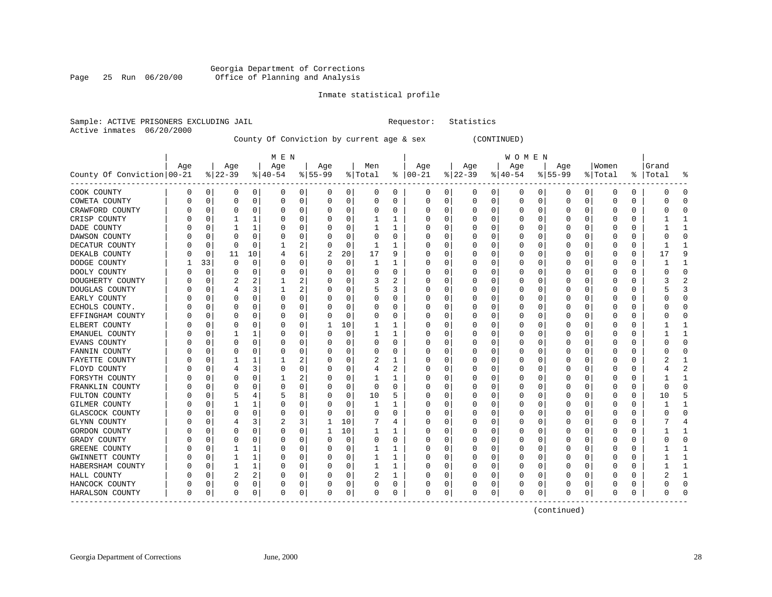# Georgia Department of Corrections<br>Page 25 Run 06/20/00 office of Planning and Analysis Page 25 Run 06/20/00 Office of Planning and Analysis

# Inmate statistical profile

| Sample: ACTIVE PRISONERS EXCLUDING JAIL |  | Requestor: Statistics |  |
|-----------------------------------------|--|-----------------------|--|
| Active inmates 06/20/2000               |  |                       |  |

# County Of Conviction by current age & sex (CONTINUED)

|                            |     |          |           |             | M E N    |                |           |             |              |          |               |          |              |             | W O M E N |             |          |          |          |          |           |                |
|----------------------------|-----|----------|-----------|-------------|----------|----------------|-----------|-------------|--------------|----------|---------------|----------|--------------|-------------|-----------|-------------|----------|----------|----------|----------|-----------|----------------|
|                            | Age |          | Age       |             | Age      |                | Age       |             | Men          |          | Age           |          | Age          |             | Age       |             | Age      |          | Women    |          | Grand     |                |
| County Of Conviction 00-21 |     |          | $8 22-39$ |             | $ 40-54$ |                | $8 55-99$ |             | % Total      |          | $8   00 - 21$ |          | $ 22-39$     |             | $ 40-54 $ |             | $ 55-99$ |          | % Total  |          | %   Total | ႜ              |
| COOK COUNTY                | 0   | 0        | 0         | $\mathbf 0$ | 0        | 0              | 0         | 0           | 0            | 0        | 0             | 0        | 0            | 0           | 0         | 0           | 0        | 0        | 0        | 0        | O         | $\Omega$       |
| COWETA COUNTY              | 0   | $\Omega$ | $\Omega$  | 0           | 0        | 0              | $\Omega$  | 0           | 0            | 0        | 0             | 0        | 0            | 0           | 0         | 0           | 0        | 0        | 0        | 0        |           | $\Omega$       |
| CRAWFORD COUNTY            |     | 0        | $\Omega$  | $\Omega$    | C        | 0              |           | $\Omega$    | 0            | 0        | O             | 0        | 0            | 0           | 0         | 0           | 0        | O        | $\Omega$ | 0        |           | $\cap$         |
| CRISP COUNTY               |     | $\Omega$ |           |             | O        | 0              |           | $\Omega$    | $\mathbf{1}$ | 1        | 0             | $\Omega$ | <sup>0</sup> | 0           | O         | 0           | O        | 0        | $\Omega$ | 0        |           | -1             |
| DADE COUNTY                |     | $\Omega$ |           |             | 0        | 0              |           | $\Omega$    | 1            | 1        | 0             | $\Omega$ | $\Omega$     | $\Omega$    | O         | $\Omega$    | O        | $\Omega$ | $\Omega$ | O        |           | -1             |
| DAWSON COUNTY              |     | 0        | $\Omega$  | $\Omega$    | 0        | 0              |           | $\Omega$    | $\Omega$     | $\Omega$ | 0             | 0        | 0            | $\Omega$    | 0         | $\mathbf 0$ | 0        | $\Omega$ | $\Omega$ | 0        |           | $\Omega$       |
| DECATUR COUNTY             |     | 0        | $\Omega$  | 0           |          | 2              |           | 0           | 1            | 1        | O             | 0        | 0            | 0           | 0         | 0           | 0        | 0        | 0        | 0        |           | $\mathbf{1}$   |
| DEKALB COUNTY              | N   | 0        | 11        | 10          | 4        | 6              | 2         | 20          | 17           | 9        | 0             | 0        | 0            | 0           | 0         | 0           | 0        | 0        | $\Omega$ | 0        | 17        | 9              |
| DODGE COUNTY               |     | 33       | $\Omega$  | 0           | 0        | 0              | ∩         | 0           | -1           | 1        | 0             | 0        | 0            | 0           | 0         | 0           | 0        | 0        | 0        | 0        |           | 1              |
| DOOLY COUNTY               | N   | 0        |           | $\Omega$    | 0        | 0              |           | 0           | 0            | O        | 0             | 0        | 0            | 0           | 0         | 0           | 0        | O        | 0        | U        |           | $\Omega$       |
| DOUGHERTY COUNTY           |     | $\Omega$ |           | 2           |          | 2              |           | $\Omega$    | 3            |          | O             | 0        | 0            | 0           | 0         | $\Omega$    | O        | O        | $\Omega$ | O        |           |                |
| DOUGLAS COUNTY             |     | n        |           | 3           |          | 2              |           | $\Omega$    | 5            | 3        | 0             | 0        | 0            | 0           | 0         | 0           | O        | 0        | $\Omega$ | 0        |           | 3              |
| EARLY COUNTY               |     | $\Omega$ | $\Omega$  | $\Omega$    | $\Omega$ | 0              |           | 0           | 0            | O        | 0             | $\Omega$ | $\Omega$     | $\mathbf 0$ | 0         | $\mathbf 0$ | $\Omega$ | $\Omega$ | $\Omega$ | O        |           | $\Omega$       |
| ECHOLS COUNTY.             |     | 0        | $\Omega$  | $\Omega$    | C        | 0              |           | 0           | 0            | $\Omega$ | O             | 0        | 0            | $\Omega$    | 0         | $\mathbf 0$ | $\Omega$ | $\Omega$ | $\Omega$ | 0        |           | $\Omega$       |
| EFFINGHAM COUNTY           |     | 0        | $\Omega$  | 0           | C        | 0              |           | 0           | 0            | 0        | 0             | 0        | 0            | 0           | 0         | 0           | 0        | 0        | $\Omega$ | 0        |           | $\Omega$       |
| ELBERT COUNTY              |     | 0        | $\Omega$  | 0           | 0        | 0              |           | 10          | 1            | -1       | 0             | 0        | 0            | 0           | 0         | 0           | 0        | 0        | $\Omega$ | 0        |           | -1             |
| EMANUEL COUNTY             |     | 0        |           |             | 0        | 0              |           | 0           | 1            | 1        | 0             | 0        | 0            | $\Omega$    | 0         | 0           | 0        | 0        | $\Omega$ | 0        |           | $\mathbf{1}$   |
| EVANS COUNTY               |     | $\Omega$ | $\Omega$  | $\Omega$    | C        | 0              |           | $\Omega$    | 0            | O        | O             | 0        | 0            | $\Omega$    | 0         | 0           | O        | O        | O        | O        |           | $\Omega$       |
| FANNIN COUNTY              |     | $\Omega$ | $\Omega$  | $\Omega$    | C        | 0              |           | $\Omega$    | 0            | 0        | 0             | $\Omega$ | 0            | 0           | 0         | $\Omega$    | 0        | 0        | $\Omega$ | O        |           | ∩              |
| FAYETTE COUNTY             |     | n        |           |             |          | $\overline{2}$ |           | 0           | 2            | 1        | 0             | $\Omega$ | 0            | $\Omega$    | 0         | 0           | 0        | $\Omega$ | $\Omega$ | 0        |           | -1             |
| FLOYD COUNTY               |     | 0        | 4         | 3           | $\Omega$ | 0              |           | $\mathbf 0$ | 4            | 2        | 0             | 0        | 0            | $\Omega$    | 0         | 0           | 0        | 0        | $\Omega$ | U        |           | $\overline{2}$ |
| FORSYTH COUNTY             |     | 0        | $\Omega$  | $\Omega$    |          | 2              |           | 0           |              | 1        | O             | 0        | 0            | 0           | 0         | 0           | 0        | $\Omega$ | 0        | 0        |           | $\mathbf{1}$   |
| FRANKLIN COUNTY            |     | 0        | $\Omega$  | $\Omega$    | C        | 0              |           | $\Omega$    | 0            | $\Omega$ | $\Omega$      | $\Omega$ | $\Omega$     | $\Omega$    | 0         | $\mathbf 0$ | $\Omega$ | $\Omega$ | $\Omega$ | $\Omega$ |           | $\Omega$       |
| FULTON COUNTY              |     | 0        | 5         | 4           | 5        | 8              |           | 0           | 10           | 5        | 0             | 0        | 0            | 0           | 0         | 0           | 0        | 0        | $\Omega$ | 0        | 10        | 5              |
| GILMER COUNTY              |     | 0        |           |             | C        | 0              |           | 0           | 1            |          | 0             | 0        | 0            | $\Omega$    | 0         | 0           | 0        | 0        | 0        | U        |           | -1             |
| GLASCOCK COUNTY            |     | n        | $\Omega$  | $\Omega$    | C        | 0              |           | $\Omega$    | $\Omega$     | O        | O             | $\Omega$ | <sup>0</sup> | $\Omega$    | O         | 0           | O        | $\Omega$ | $\Omega$ | $\Omega$ |           | $\Omega$       |
| GLYNN COUNTY               |     | $\Omega$ |           | 3           | 2        | 3              | 1         | 10          | 7            | 4        | 0             | 0        | 0            | 0           | 0         | $\Omega$    | 0        | 0        | $\Omega$ | 0        |           |                |
| GORDON COUNTY              |     | $\Omega$ | $\Omega$  | $\Omega$    | $\Omega$ | 0              | 1         | 10          | 1            | 1        | 0             | 0        | $\Omega$     | 0           | 0         | $\Omega$    | 0        | 0        | $\Omega$ | 0        |           | -1             |
| GRADY COUNTY               |     | 0        | $\Omega$  | 0           | $\Omega$ | 0              |           | $\mathbf 0$ | 0            | 0        | 0             | 0        | 0            | 0           | 0         | 0           | 0        | 0        | 0        | 0        |           | $\Omega$       |
| <b>GREENE COUNTY</b>       |     | 0        | 1         |             | C        | 0              |           | 0           | 1            | 1        | O             | $\Omega$ | 0            | $\Omega$    | 0         | $\mathbf 0$ | $\Omega$ | $\Omega$ | $\Omega$ | $\Omega$ |           | $\mathbf{1}$   |
| GWINNETT COUNTY            |     | 0        | 1         | 1           | 0        | 0              |           | $\Omega$    | 1            | 1        | 0             | $\Omega$ | $\Omega$     | $\Omega$    | 0         | $\mathbf 0$ | 0        | $\Omega$ | $\Omega$ | 0        |           | $\mathbf{1}$   |
| HABERSHAM COUNTY           |     | $\Omega$ |           |             | $\Omega$ | 0              |           | 0           | 1            | 1        | 0             | 0        | 0            | 0           | 0         | 0           | 0        | 0        | $\Omega$ | 0        |           | $\mathbf{1}$   |
| HALL COUNTY                | N   | 0        | 2         | 2           | 0        | 0              |           | 0           | 2            |          | 0             | 0        | 0            | 0           | 0         | 0           | 0        | 0        | $\Omega$ | 0        |           | 1              |
| HANCOCK COUNTY             | C   | 0        | $\Omega$  | 0           | 0        | 0              |           | 0           | 0            | 0        | O             | 0        | 0            | 0           | 0         | 0           | 0        | 0        | 0        | 0        |           | $\Omega$       |
| HARALSON COUNTY            | 0   | $\Omega$ | $\Omega$  | 0           | $\Omega$ | 0              | $\Omega$  | 0           | 0            | 0        | $\Omega$      | 0        | 0            | 0           | $\Omega$  | $\mathbf 0$ | O        | 0        | $\Omega$ | 0        |           | ∩              |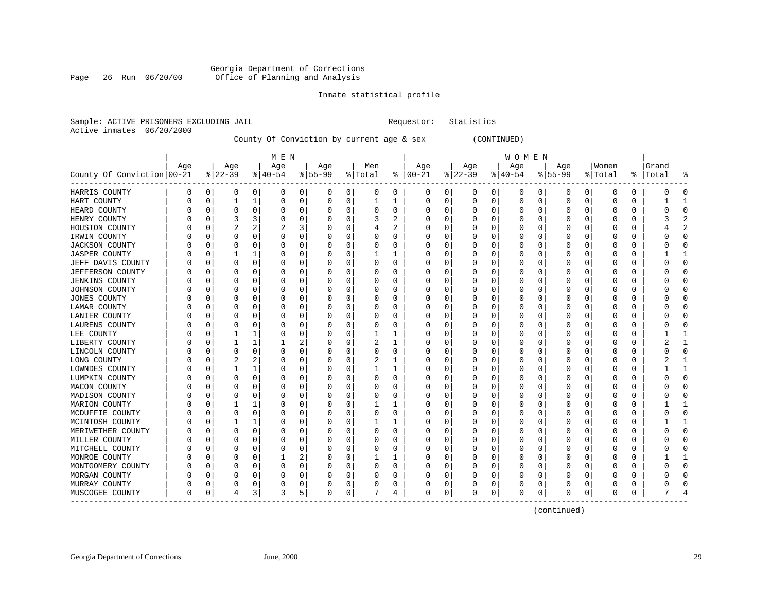# Georgia Department of Corrections<br>Page 26 Run 06/20/00 Office of Planning and Analysis Page 26 Run 06/20/00 Office of Planning and Analysis

# Inmate statistical profile

|  | Sample: ACTIVE PRISONERS EXCLUDING JAIL | Requestor: Statistics |  |
|--|-----------------------------------------|-----------------------|--|
|  | Active inmates 06/20/2000               |                       |  |

# County Of Conviction by current age & sex (CONTINUED)

|                                               |     |              |          |          | M E N    |          |                  |             |     |          |               |              |          |   | W O M E N |             |           |                |              |              |           |                |
|-----------------------------------------------|-----|--------------|----------|----------|----------|----------|------------------|-------------|-----|----------|---------------|--------------|----------|---|-----------|-------------|-----------|----------------|--------------|--------------|-----------|----------------|
|                                               | Age |              | Age      |          | Age      |          | Age              |             | Men |          | Age           |              | Age      |   | Age       |             | Age       |                | Women        |              | Grand     |                |
| County Of Conviction 00-21                    |     |              | $ 22-39$ |          | $ 40-54$ |          | $ 55-99$         | % Total     |     |          | $8   00 - 21$ |              | $ 22-39$ |   | $ 40-54 $ |             | $8 55-99$ |                | % Total      |              | %   Total | ႜ              |
| HARRIS COUNTY                                 | 0   | 0            | 0        | 0        | 0        | 0        | 0                | 0           | 0   | 0        | 0             | 0            | 0        | 0 | 0         | 0           | 0         | $\overline{0}$ | 0            | 0            | O         | $\Omega$       |
| HART COUNTY                                   |     | 0            | 1        | 1        | 0        | 0        | 0                | 0           | 1   | 1        | 0             | 0            | 0        | 0 | O         | 0           | 0         | 0              | $\Omega$     | 0            |           | 1              |
| HEARD COUNTY                                  |     | 0            | O        | 0        | 0        | 0        |                  | 0           | U   | 0        |               | O            | 0        | 0 |           | 0           | Ω         | 0              | $\Omega$     | 0            |           | $\Omega$       |
| HENRY COUNTY                                  |     | $\Omega$     |          | 3        | C        | $\Omega$ |                  | $\Omega$    | 3   | 2        |               | U            | O        | O |           | $\Omega$    |           | O              | $\Omega$     | <sup>0</sup> |           | $\mathfrak{D}$ |
| HOUSTON COUNTY                                |     | $\Omega$     |          |          | 2        | 3        |                  | 0           | 4   | 2        |               | 0            | 0        | 0 |           | $\Omega$    | 0         | 0              | $\Omega$     | O            |           | $\overline{2}$ |
| IRWIN COUNTY                                  |     | 0            | 0        | O        | 0        | 0        |                  | $\mathbf 0$ | 0   | 0        |               | $\Omega$     | C        | 0 |           | 0           |           | 0              | $\Omega$     | 0            |           | $\Omega$       |
| <b>JACKSON COUNTY</b>                         |     | $\mathbf 0$  | $\Omega$ | $\Omega$ | 0        | $\Omega$ |                  | 0           | 0   | 0        |               | $\Omega$     |          | 0 |           | $\mathbf 0$ | 0         | 0              | $\Omega$     | $\Omega$     |           | $\Omega$       |
| <b>JASPER COUNTY</b>                          |     | $\Omega$     | 1        | 1        | 0        | 0        | O                | $\Omega$    | 1   | 1        |               | 0            | 0        | 0 |           | $\Omega$    | 0         | 0              | $\Omega$     | 0            |           | 1              |
| JEFF DAVIS COUNTY                             |     | 0            | 0        | 0        | 0        | 0        | U                | 0           | 0   | 0        | n             | 0            | 0        | 0 |           | 0           | 0         | 0              | n            | 0            |           | $\mathbf 0$    |
| <b>JEFFERSON COUNTY</b>                       |     | 0            | O        | O        | 0        | 0        | O                | 0           | 0   | O        |               | U            | O        | U |           | 0           |           | U              | n            |              |           | $\Omega$       |
| <b>JENKINS COUNTY</b>                         |     | $\mathsf{C}$ | O        | O        | 0        | 0        | O                | 0           | 0   | 0        |               | U            | 0        | 0 |           | $\Omega$    | Ω         | U              | ∩            | U            |           | $\Omega$       |
| JOHNSON COUNTY                                |     | 0            | O        | 0        | 0        | $\Omega$ | $\left( \right)$ | 0           | 0   | 0        |               | 0            | O        | 0 |           | $\Omega$    | Ω         | 0              | ∩            | O            |           | $\Omega$       |
| <b>JONES COUNTY</b>                           |     | $\mathbf 0$  | 0        | $\Omega$ | 0        | $\Omega$ |                  | 0           | 0   | 0        |               | $\Omega$     | 0        | 0 |           | $\Omega$    |           | $\Omega$       | 0            | 0            |           | $\Omega$       |
| LAMAR COUNTY                                  |     | 0            | 0        | 0        | C        | 0        |                  | 0           | 0   | 0        |               | 0            | 0        | 0 |           | 0           | 0         | 0              | 0            | 0            |           | $\Omega$       |
| LANIER COUNTY                                 |     | 0            | O        | O        | $\Omega$ | 0        |                  | 0           | 0   | $\Omega$ | U             | 0            | O        | U |           | 0           | U         | 0              | $\Omega$     | 0            |           | $\Omega$       |
| LAURENS COUNTY                                |     | 0            | O        | $\Omega$ | $\Omega$ | $\Omega$ | O                | 0           | 0   | 0        | O             | 0            | O        | 0 |           | $\Omega$    | U         | 0              | $\Omega$     | 0            |           | $\Omega$       |
| LEE COUNTY                                    |     | 0            |          | 1        | 0        | 0        | O                | 0           | 1   | 1        |               | 0            | 0        | 0 |           | 0           | 0         | 0              | $\Omega$     |              |           | 1              |
| LIBERTY COUNTY                                |     | C.           |          | 1        |          | 2        | O                | 0           | 2   |          |               | U            | 0        | 0 |           | 0           |           | O              | $\Omega$     | U            |           | 1              |
| LINCOLN COUNTY                                |     | $\Omega$     | 0        | 0        | 0        | 0        | 0                | $\Omega$    | 0   | 0        | O             | $\Omega$     | 0        | 0 |           | $\Omega$    | 0         | $\Omega$       | $\Omega$     | 0            |           | $\Omega$       |
| LONG COUNTY                                   |     | 0            | 2        | 2        | 0        | 0        | O                | 0           | 2   | 1        |               | 0            | 0        | 0 |           | $\Omega$    | Ω         | 0              | n            | O            |           | 1              |
| LOWNDES COUNTY                                |     | 0            |          | 1        | 0        | $\Omega$ |                  | 0           |     | 1        |               | $\Omega$     | C        | 0 |           | $\mathbf 0$ |           | 0              | $\Omega$     | 0            |           | $\mathbf{1}$   |
| LUMPKIN COUNTY                                |     | $\mathbf 0$  | $\Omega$ | $\Omega$ | C        | $\Omega$ |                  | $\mathbf 0$ | 0   | $\Omega$ |               | $\Omega$     | 0        | O |           | $\Omega$    | Ω         | 0              | $\Omega$     | $\Omega$     |           | $\Omega$       |
| MACON COUNTY                                  |     | 0            | 0        | 0        | 0        | 0        | O                | 0           | 0   | 0        | O             | 0            | 0        | 0 |           | 0           | 0         | 0              | $\Omega$     | 0            |           | $\mathbf 0$    |
| MADISON COUNTY                                |     | 0            | 0        | 0        | 0        | 0        | O                | 0           | 0   | 0        |               | O            | 0        | 0 |           | 0           | 0         | U              | O            | U            |           | $\mathbf 0$    |
| MARION COUNTY                                 |     | C.           |          | 1        | C        | 0        |                  | 0           |     |          |               | 0            | 0        | 0 |           | $\Omega$    |           | 0              | $\Omega$     | 0            |           | $\mathbf{1}$   |
| MCDUFFIE COUNTY                               |     | 0            | O        | $\Omega$ | 0        | 0        | O                | 0           | 0   | 0        |               | 0            | O        | 0 |           | $\Omega$    | Ω         | 0              | ∩            | 0            |           | $\Omega$       |
| MCINTOSH COUNTY                               |     | $\Omega$     |          | 1        | n        | $\Omega$ |                  | $\Omega$    |     | ı        |               | <sup>0</sup> | O        | 0 |           | $\Omega$    | Ω         | $\Omega$       | $\Omega$     | O            |           | 1              |
| MERIWETHER COUNTY                             |     | $\Omega$     | O        | $\Omega$ | 0        | $\Omega$ |                  | $\Omega$    | 0   | $\Omega$ |               | $\Omega$     | 0        | O |           | $\Omega$    |           | 0              | $\Omega$     | O            |           | $\Omega$       |
| MILLER COUNTY                                 |     | 0            | 0        | 0        | C        | 0        |                  | 0           | 0   | 0        |               | $\Omega$     | 0        | 0 |           | 0           | 0         | 0              | 0            | 0            |           | $\Omega$       |
| MITCHELL COUNTY                               |     | 0            | O        | O        | $\Omega$ | 0        |                  | 0           | 0   | $\Omega$ | U             | 0            | 0        | 0 |           | 0           | U         | 0              | $\Omega$     | 0            |           | $\Omega$       |
| MONROE COUNTY                                 |     | 0            | 0        | 0        |          | 2        | O                | 0           |     | 1        | O             | 0            | 0        | 0 |           | $\Omega$    | 0         | 0              | $\Omega$     | 0            |           | $\mathbf{1}$   |
| MONTGOMERY COUNTY                             |     | 0            | 0        | 0        | 0        | 0        |                  | 0           | 0   | 0        |               | 0            | C        | 0 |           | 0           |           | 0              |              |              |           | $\Omega$       |
| MORGAN COUNTY                                 |     | 0            | O        | 0        | 0        | 0        | O                | 0           | 0   | 0        | O             | 0            | 0        | 0 |           | $\Omega$    |           | 0              | <sup>0</sup> | 0            |           | $\Omega$       |
| MURRAY COUNTY                                 |     | 0            | O        | 0        | 0        | $\Omega$ |                  | 0           | 0   | 0        |               | 0            |          | 0 |           | 0           |           | 0              | <sup>0</sup> | U            |           | $\Omega$       |
| MUSCOGEE COUNTY<br>-------------------------- | 0   | 0            | 4        | 3        | 3        | 5        | 0                | 0           |     | 4        | 0             | 0            | 0        | 0 | 0         | 0           | U         | 0              | $\Omega$     |              |           | 4              |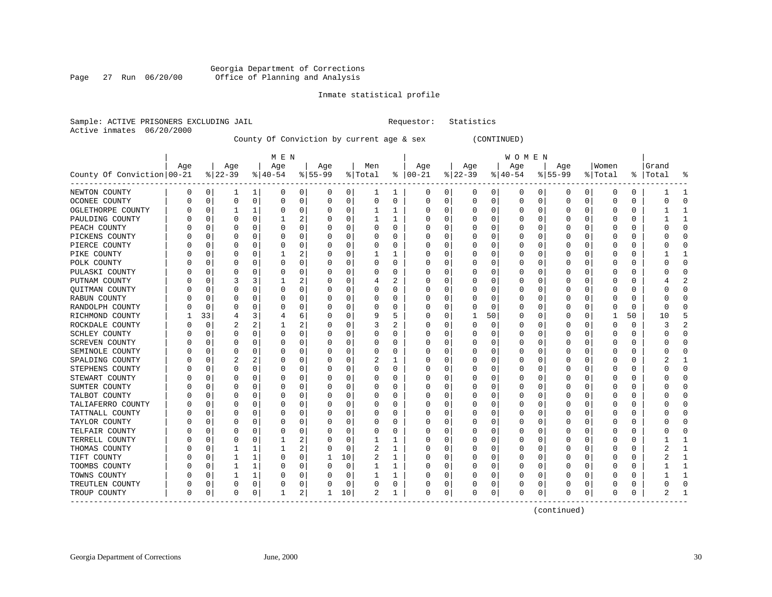# Georgia Department of Corrections Page 27 Run 06/20/00 Office of Planning and Analysis

# Inmate statistical profile

|  |                           | Sample: ACTIVE PRISONERS EXCLUDING JAIL |  | Requestor: Statistics |  |
|--|---------------------------|-----------------------------------------|--|-----------------------|--|
|  | Active inmates 06/20/2000 |                                         |  |                       |  |

# County Of Conviction by current age & sex (CONTINUED)

|                            |     |              |           |          | M E N       |          |          |             |                     |          |               |              |          |    | W O M E N |             |           |                |              |          |           |                |
|----------------------------|-----|--------------|-----------|----------|-------------|----------|----------|-------------|---------------------|----------|---------------|--------------|----------|----|-----------|-------------|-----------|----------------|--------------|----------|-----------|----------------|
|                            | Age |              | Age       |          | Age         |          | Age      |             | Men                 |          | Age           |              | Age      |    | Age       |             | Age       |                | Women        |          | Grand     |                |
| County Of Conviction 00-21 |     |              | $ 22-39 $ |          | $8 40-54$   |          | $ 55-99$ |             | $\frac{1}{2}$ Total |          | $8   00 - 21$ |              | $ 22-39$ |    | $ 40-54$  |             | $8 55-99$ |                | % Total      |          | %   Total | ႜ              |
| NEWTON COUNTY              | 0   | 0            | 1         | 1        | 0           | 0        | 0        | 0           | ı                   | 1        | 0             | 0            | 0        | 0  | 0         | 0           | 0         | 0 <sup>1</sup> | 0            | 0        |           |                |
| OCONEE COUNTY              | U   | $\mathbf 0$  | $\Omega$  | 0        | $\mathbf 0$ | 0        | O        | 0           | $\Omega$            | 0        | $\Omega$      | $\Omega$     | $\Omega$ | 0  | Ω         | $\mathbf 0$ | O         | 0              | $\Omega$     | $\Omega$ |           | $\Omega$       |
| OGLETHORPE COUNTY          |     | $\Omega$     |           | 1        | 0           | $\Omega$ | 0        | $\Omega$    |                     | 1        |               | 0            | 0        | 0  |           | $\Omega$    | 0         | $\Omega$       | $\Omega$     | 0        |           | $\mathbf{1}$   |
| PAULDING COUNTY            |     | 0            | O         | $\Omega$ |             | 2        |          | 0           |                     | 1        |               | <sup>0</sup> | 0        | 0  |           | $\Omega$    |           | 0              | O            | O        |           | 1              |
| PEACH COUNTY               |     | 0            | 0         | O        | 0           | $\Omega$ |          | $\mathbf 0$ | 0                   | 0        |               | $\Omega$     |          | 0  |           | $\mathbf 0$ |           | 0              | 0            | 0        |           | $\Omega$       |
| PICKENS COUNTY             |     | $\Omega$     | $\Omega$  | $\Omega$ | 0           | $\Omega$ | O        | 0           | 0                   | $\Omega$ |               | 0            |          | 0  |           | $\Omega$    | 0         | 0              | $\Omega$     | 0        |           | $\Omega$       |
| PIERCE COUNTY              | U   | 0            | O         | 0        | 0           | 0        | U        | 0           | 0                   | 0        | n             | 0            | 0        | 0  |           | 0           | 0         | 0              | n            | 0        |           | $\Omega$       |
| PIKE COUNTY                | C   | 0            | 0         | 0        |             | 2        | O        | 0           | ı                   | ı        |               | O            | 0        | 0  |           | 0           | 0         | U              | n            | O        |           | 1              |
| POLK COUNTY                |     | C.           | O         | O        | 0           | $\Omega$ |          | 0           | 0                   | 0        |               |              | 0        | U  |           | $\Omega$    | Ω         | O              |              |          |           | $\Omega$       |
| PULASKI COUNTY             |     | $\mathsf{C}$ | O         | O        | C           | 0        | O        | 0           | 0                   | 0        |               | O            | 0        | 0  |           | $\Omega$    | 0         | 0              | ∩            | O        |           | $\Omega$       |
| PUTNAM COUNTY              |     | 0            | 3         | 3        |             | 2        |          | $\Omega$    | 4                   | 2        |               | <sup>0</sup> | 0        | 0  |           | $\Omega$    | U         | 0              | O            | O        |           | 2              |
| <b>OUITMAN COUNTY</b>      |     | 0            | 0         | O        | 0           | $\Omega$ |          | $\mathbf 0$ | 0                   | 0        |               | $\Omega$     | 0        | O  |           | 0           |           | 0              | <sup>0</sup> | U        |           | $\Omega$       |
| RABUN COUNTY               |     | 0            | 0         | O        | 0           | 0        |          | 0           | 0                   | 0        |               | 0            |          | 0  |           | 0           | Ω         | 0              | <sup>0</sup> | 0        |           | $\Omega$       |
| RANDOLPH COUNTY            |     | 0            | O         | O        | $\Omega$    | 0        |          | 0           | 0                   | 0        | U             | 0            | O        | 0  |           | 0           | U         | 0              | $\Omega$     | 0        |           | $\Omega$       |
| RICHMOND COUNTY            |     | 33           | 4         | 3        | 4           | 6        | O        | 0           | 9                   | 5        | O             | 0            | -1       | 50 | O         | 0           | Ω         | 0              | -1           | 50       | 10        | 5              |
| ROCKDALE COUNTY            |     | $\mathbf 0$  | 2         | 2        |             | 2        | 0        | 0           | 3                   | 2        |               |              | 0        | 0  |           | 0           |           | 0              | $\Omega$     |          |           | $\overline{2}$ |
| SCHLEY COUNTY              |     | 0            | O         | O        | 0           | 0        | O        | 0           | 0                   | 0        |               | U            | O        | 0  |           | $\Omega$    | Ω         | U              | ∩            | O        |           | $\Omega$       |
| <b>SCREVEN COUNTY</b>      |     | 0            | 0         | O        | 0           | $\Omega$ | $\left($ | 0           | 0                   | 0        | n             | 0            | O        | 0  |           | $\Omega$    | Ω         | 0              | ∩            | O        |           | $\Omega$       |
| SEMINOLE COUNTY            |     | 0            | 0         | $\Omega$ | 0           | $\Omega$ |          | 0           | 0                   | 0        |               | $\Omega$     | 0        | 0  |           | $\Omega$    |           | 0              | 0            | 0        |           | $\Omega$       |
| SPALDING COUNTY            |     | 0            |           | 2        | 0           | 0        |          | 0           | 2                   | 1        |               | 0            |          | 0  |           | 0           | 0         | 0              | 0            | 0        |           | $\mathbf{1}$   |
| STEPHENS COUNTY            |     | 0            | $\Omega$  | 0        | 0           | 0        | U        | 0           | 0                   | 0        | U             | 0            | O        | U  |           | $\Omega$    | U         | 0              | $\Omega$     | 0        |           | $\Omega$       |
| STEWART COUNTY             |     | 0            | 0         | 0        | 0           | $\Omega$ | 0        | 0           | 0                   | 0        | O             | 0            | 0        | 0  |           | $\Omega$    | 0         | 0              | n            | 0        |           | $\Omega$       |
| SUMTER COUNTY              |     | 0            | 0         | 0        | 0           | 0        | O        | 0           | 0                   | 0        |               | U            | 0        | 0  |           | $\Omega$    | 0         | 0              | 0            |          |           | $\Omega$       |
| TALBOT COUNTY              |     | -0           | O         | O        | C           | 0        |          | 0           | 0                   | 0        |               | U            | 0        | U  |           | $\Omega$    | Ω         | U              | <sup>0</sup> | U        |           | $\Omega$       |
| TALIAFERRO COUNTY          |     | $\Omega$     | O         | O        | $\Omega$    | $\Omega$ |          | $\Omega$    | O                   | $\Omega$ |               | <sup>0</sup> | U        | U  |           | $\Omega$    | U         | 0              | ∩            | O        |           | $\Omega$       |
| TATTNALL COUNTY            |     | $\Omega$     | O         | $\Omega$ | 0           | 0        |          | $\Omega$    | 0                   | 0        |               | <sup>0</sup> | 0        | 0  |           | O           | Ω         | 0              | <sup>0</sup> | O        |           | $\Omega$       |
| TAYLOR COUNTY              |     | 0            | 0         | 0        | 0           | $\Omega$ |          | 0           | 0                   | 0        |               | 0            | 0        | 0  |           | 0           | 0         | 0              | 0            | 0        |           | $\Omega$       |
| TELFAIR COUNTY             |     | 0            | O         | $\Omega$ | C           | $\Omega$ |          | 0           | 0                   | 0        |               | U            | 0        | 0  |           | 0           | 0         | 0              | 0            | $\Omega$ |           | $\Omega$       |
| TERRELL COUNTY             |     | 0            | O         | O        |             | 2        |          | 0           | 1                   | 1        | U             | 0            | O        | U  |           | $\Omega$    | U         | 0              | $\Omega$     | 0        |           | 1              |
| THOMAS COUNTY              |     | 0            |           | 1        |             | 2        | 0        | 0           | 2                   | 1        |               | 0            | 0        | 0  |           | 0           | Ω         | 0              | <sup>0</sup> | 0        |           | 1              |
| TIFT COUNTY                |     | 0            |           | 1        | 0           | 0        |          | 10          | 2                   | 1        |               |              | C        | 0  |           | 0           |           | 0              |              |          |           | 1              |
| TOOMBS COUNTY              |     | $\Omega$     |           | 1        | $\Omega$    | $\Omega$ | O        | $\Omega$    |                     | 1        |               | O            | O        | U  |           | $\Omega$    | Ω         | O              | $\Omega$     | O        |           | 1              |
| TOWNS COUNTY               |     | $\Omega$     |           | 1        | 0           | $\Omega$ | O        | $\Omega$    | 1                   | 1        |               | $\Omega$     | 0        | 0  |           | $\Omega$    | 0         | $\Omega$       | $\Omega$     | 0        |           | $\mathbf{1}$   |
| TREUTLEN COUNTY            |     | 0            | 0         | 0        | 0           | 0        | 0        | 0           | 0                   | 0        |               | 0            |          | 0  |           | 0           |           | 0              | O            |          |           | $\Omega$       |
| TROUP COUNTY               | 0   | 0            | 0         | 0        |             | 2        |          | 10          | 2                   | 1        | $\Omega$      | 0            | C        | 0  |           | 0           |           | 0              | $\Omega$     |          |           |                |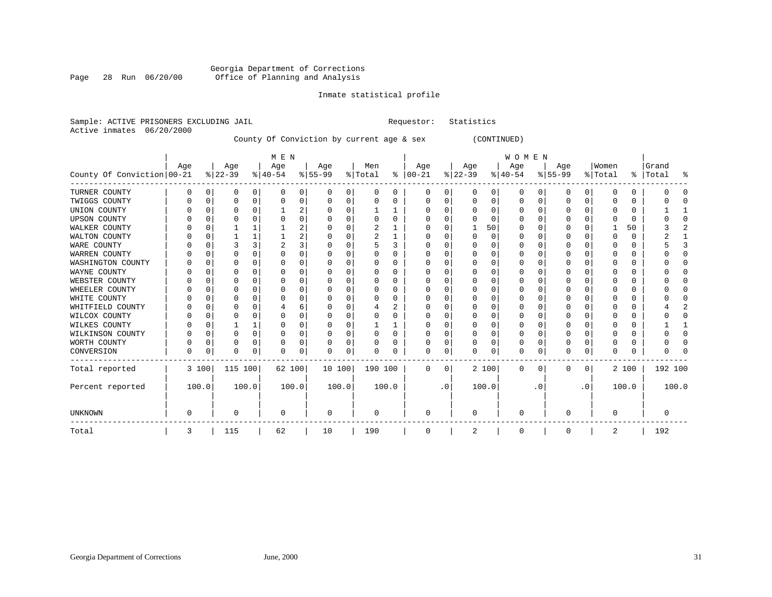# Georgia Department of Corrections<br>Page 28 Run 06/20/00 Office of Planning and Analysis Page 28 Run 06/20/00 Office of Planning and Analysis

# Inmate statistical profile

| Sample: ACTIVE PRISONERS EXCLUDING JAIL |     |             |             |          | Requestor:                                |                | Statistics |             |                |                |               |           |             |          |             |          |             |           |           |               |         |                |
|-----------------------------------------|-----|-------------|-------------|----------|-------------------------------------------|----------------|------------|-------------|----------------|----------------|---------------|-----------|-------------|----------|-------------|----------|-------------|-----------|-----------|---------------|---------|----------------|
| 06/20/2000<br>Active inmates            |     |             |             |          | County Of Conviction by current age & sex |                |            |             |                |                |               |           | (CONTINUED) |          |             |          |             |           |           |               |         |                |
|                                         |     |             |             |          | M E N                                     |                |            |             |                |                |               |           |             |          | W O M E N   |          |             |           |           |               |         |                |
|                                         | Age |             | Age         |          | Age                                       |                | Age        |             | Men            |                | Age           |           | Age         |          | Age         |          | Age         |           | Women     |               | Grand   |                |
| County Of Conviction   00-21            |     |             | $ 22-39$    |          | $ 40-54 $                                 |                | $8 55-99$  |             | % Total        |                | $8   00 - 21$ |           | $ 22-39$    |          | $ 40-54$    |          | $8 55-99$   |           | % Total   | $\frac{1}{6}$ | Total   | ႜ              |
| TURNER COUNTY                           | 0   | 0           | 0           | 0        | 0                                         | 0              | 0          | 0           | 0              | 0              | 0             | 0         | 0           | 0        | 0           | 0        | 0           | 0         | 0         | 0             | 0       | C              |
| TWIGGS COUNTY                           | 0   | 0           | $\Omega$    | 0        | 0                                         | 0              | 0          | 0           | 0              | 0              | $\mathbf 0$   | 0         | $\mathbf 0$ | 0        | 0           | 0        | $\Omega$    | 0         | $\Omega$  | 0             | 0       | $\bigcap$      |
| UNION COUNTY                            | U   | $\Omega$    | $\Omega$    | $\Omega$ | 1                                         | 2              | $\Omega$   | $\Omega$    | 1              | 1              | $\Omega$      | $\Omega$  | $\Omega$    | $\Omega$ | 0           | $\Omega$ | $\Omega$    | $\Omega$  | $\Omega$  | $\Omega$      |         | -1             |
| <b>UPSON COUNTY</b>                     | U   | $\Omega$    | $\Omega$    | $\Omega$ | $\Omega$                                  | 0              | $\Omega$   | $\Omega$    | $\Omega$       | $\Omega$       | $\Omega$      | $\Omega$  | $\Omega$    | $\Omega$ | $\Omega$    | $\Omega$ | $\Omega$    | $\Omega$  | O         | $\Omega$      | U       | $\Omega$       |
| WALKER COUNTY                           | U   | $\Omega$    | 1           |          | 1                                         | 2              | $\Omega$   | $\Omega$    | $\overline{c}$ | 1              | $\Omega$      | $\Omega$  | 1           | 50       | $\Omega$    | $\Omega$ | $\Omega$    | $\Omega$  | 1         | 50            | 3       | $\overline{2}$ |
| WALTON COUNTY                           | U   | $\Omega$    | 1           | 1        | -1                                        | $\overline{2}$ | $\Omega$   | $\Omega$    | $\overline{2}$ | 1              | $\Omega$      | $\Omega$  | $\Omega$    | $\Omega$ | $\Omega$    | $\Omega$ | $\Omega$    | $\Omega$  | $\Omega$  | 0             | 2       | 1              |
| WARE COUNTY                             | U   | $\Omega$    | 3           | 3        | $\overline{2}$                            | $\overline{3}$ | $\Omega$   | $\Omega$    | 5              | 3              | $\Omega$      | $\Omega$  | $\Omega$    | $\Omega$ | $\Omega$    | $\Omega$ | $\Omega$    | $\Omega$  | $\bigcap$ | 0             |         | २              |
| WARREN COUNTY                           | U   | $\Omega$    | $\Omega$    | $\Omega$ | $\Omega$                                  | 0              | $\Omega$   | $\Omega$    | 0              | $\Omega$       | $\mathbf 0$   | $\Omega$  | $\Omega$    | $\Omega$ | $\Omega$    | $\Omega$ | $\Omega$    | $\Omega$  | C         | 0             | U       | $\Omega$       |
| WASHINGTON COUNTY                       | U   | $\Omega$    | $\Omega$    | $\Omega$ | $\Omega$                                  | 0              | ∩          | $\Omega$    | 0              | 0              | $\mathbf 0$   | 0         | $\Omega$    | $\Omega$ | $\Omega$    | $\Omega$ | $\Omega$    | $\Omega$  | C         | 0             | n       | $\Omega$       |
| WAYNE COUNTY                            | U   | $\Omega$    | $\Omega$    | $\Omega$ | $\Omega$                                  | 0              | ∩          | $\Omega$    | 0              | 0              | $\mathbf 0$   | 0         | $\Omega$    | $\Omega$ | $\Omega$    | $\Omega$ | $\Omega$    | $\Omega$  | C         | 0             |         | $\Omega$       |
| WEBSTER COUNTY                          | U   | $\Omega$    | $\Omega$    | $\Omega$ | $\Omega$                                  | 0              | ∩          | $\Omega$    | 0              | 0              | $\Omega$      | $\Omega$  | $\Omega$    | $\Omega$ | $\Omega$    | $\Omega$ | $\Omega$    | $\Omega$  | C         | 0             |         | $\Omega$       |
| WHEELER COUNTY                          | U   | $\Omega$    | $\Omega$    | $\Omega$ | $\Omega$                                  | 0              | ∩          | $\Omega$    | $\Omega$       | 0              | $\Omega$      | $\Omega$  | $\Omega$    | $\Omega$ | $\Omega$    | $\Omega$ | $\Omega$    | $\Omega$  | C         | 0             |         | $\Omega$       |
| WHITE COUNTY                            | U   | $\Omega$    | $\Omega$    | $\Omega$ | $\Omega$                                  | 0              | ∩          | $\Omega$    | $\Omega$       | 0              | $\Omega$      | $\Omega$  | $\Omega$    | $\Omega$ | $\Omega$    | $\Omega$ | $\Omega$    | $\Omega$  | C         | 0             |         | $\Omega$       |
| WHITFIELD COUNTY                        | U   | $\Omega$    | $\Omega$    | $\Omega$ | 4                                         | 6              | $\Omega$   | $\Omega$    | 4              | $\overline{a}$ | $\Omega$      | $\Omega$  | $\Omega$    | $\Omega$ | $\Omega$    | $\Omega$ | $\Omega$    | $\Omega$  | C         | 0             |         | $\overline{2}$ |
| WILCOX COUNTY                           | U   | $\Omega$    | $\Omega$    | $\Omega$ | $\Omega$                                  | 0              | $\Omega$   | $\Omega$    | $\Omega$       | 0              | $\Omega$      | $\Omega$  | $\Omega$    | $\Omega$ | $\Omega$    | $\Omega$ | $\Omega$    | $\Omega$  | C         | 0             | O       | $\Omega$       |
| WILKES COUNTY                           | U   | $\Omega$    |             |          | $\Omega$                                  | 0              | $\Omega$   | $\mathbf 0$ |                | 1              | $\Omega$      | 0         | $\mathbf 0$ | $\Omega$ | $\Omega$    | $\Omega$ | $\Omega$    | $\Omega$  | C         | 0             |         | -1             |
| WILKINSON COUNTY                        | U   | $\mathbf 0$ | $\Omega$    | $\Omega$ | $\mathbf 0$                               | 0              | $\Omega$   | $\mathbf 0$ | $\Omega$       | $\Omega$       | $\Omega$      | 0         | $\mathbf 0$ | $\Omega$ | $\mathbf 0$ | 0        | $\Omega$    | $\Omega$  | $\cap$    | 0             | O       | $\mathbf 0$    |
| WORTH COUNTY                            | 0   | $\mathbf 0$ | $\Omega$    | $\Omega$ | $\mathbf 0$                               | 0              | $\Omega$   | $\mathbf 0$ | $\Omega$       | 0              | $\Omega$      | 0         | $\mathbf 0$ | 0        | 0           | 0        | $\Omega$    | 0         | 0         | 0             |         | $\bigcap$      |
| CONVERSION                              | 0   | 0           | $\mathbf 0$ | 0        | $\Omega$                                  | 0              | $\Omega$   | 0           | $\Omega$       | 0              | $\mathbf 0$   | 0         | 0           | 0        | $\mathbf 0$ | 0        | $\mathbf 0$ | 0         | $\Omega$  | 0             | Λ       | O              |
| Total reported                          |     | 3 100       | 115 100     |          | 62 100                                    |                | 10 100     |             | 190 100        |                | 0             | 0         |             | 2 100    | 0           | 0        | 0           | 0         |           | 2 100         | 192 100 |                |
| Percent reported                        |     | 100.0       |             | 100.0    |                                           | 100.0          | 100.0      |             |                | 100.0          |               | $\cdot$ 0 |             | 100.0    |             | . 0      |             | $\cdot$ 0 |           | 100.0         |         | 100.0          |
| UNKNOWN                                 | 0   |             | $\Omega$    |          | 0                                         |                | 0          |             | 0              |                | $\mathbf 0$   |           | $\Omega$    |          | 0           |          | $\Omega$    |           | $\Omega$  |               | 0       |                |
| Total                                   | 3   |             | 115         |          | 62                                        |                | 10         |             | 190            |                | 0             |           | 2           |          | 0           |          | 0           |           | 2         |               | 192     |                |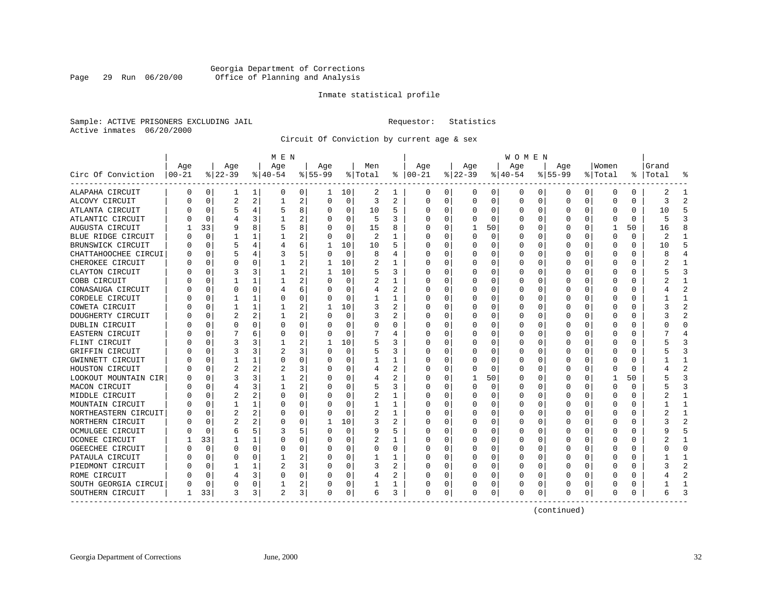# Georgia Department of Corrections<br>Page 29 Run 06/20/00 Office of Planning and Analysis Page 29 Run 06/20/00 Office of Planning and Analysis

# Inmate statistical profile

Sample: ACTIVE PRISONERS EXCLUDING JAIL **Requestor:** Statistics Active inmates 06/20/2000

Circuit Of Conviction by current age & sex

|                      |          |              |           |              | M E N          |                |              |             |          |                |          |          |          |          | W O M E N    |             |           |          |             |             |           |                |
|----------------------|----------|--------------|-----------|--------------|----------------|----------------|--------------|-------------|----------|----------------|----------|----------|----------|----------|--------------|-------------|-----------|----------|-------------|-------------|-----------|----------------|
|                      | Age      |              | Age       |              | Age            |                | Age          |             | Men      |                | Age      |          | Age      |          | Age          |             | Age       |          | Women       |             | Grand     |                |
| Circ Of Conviction   | $ 00-21$ |              | $ 22-39 $ |              | $8 40-54$      |                | $ 55-99$     |             | % Total  | ႜ              | $ 00-21$ |          | $ 22-39$ |          | $ 40-54$     |             | $8 55-99$ |          | % Total     |             | %   Total | ႜ              |
| ALAPAHA CIRCUIT      | 0        | 0            | 1         | $\mathbf{1}$ | 0              | 0              | 1            | 10          | 2        | 1              | 0        | 0        | 0        | 0        | 0            | 0           | 0         | 0        | 0           | 0           | 2         | -1             |
| ALCOVY CIRCUIT       |          | $\Omega$     | 2         | 2            | 1              | 2              | $\Omega$     | 0           | 3        | $\overline{c}$ | $\Omega$ | $\Omega$ | $\Omega$ | $\Omega$ | <sup>0</sup> | 0           | $\Omega$  | $\Omega$ | $\Omega$    | $\Omega$    | 3         | $\overline{2}$ |
| ATLANTA CIRCUIT      |          | $\Omega$     | 5         | 4            | 5              | 8              | 0            | 0           | 10       | 5              |          | 0        | 0        | 0        |              | $\Omega$    | 0         | $\Omega$ | $\Omega$    | $\Omega$    | 10        | 5              |
| ATLANTIC CIRCUIT     |          | $\Omega$     | 4         | 3            |                | $\overline{a}$ |              | $\mathbf 0$ | 5        | 3              |          | O        |          | 0        |              | 0           | 0         | 0        | 0           | 0           |           | 3              |
| AUGUSTA CIRCUIT      |          | 33           | 9         | 8            | 5              | 8              |              | 0           | 15       | 8              |          | U        | 1        | 50       |              | 0           | U         | 0        | -1          | 50          | 16        |                |
| BLUE RIDGE CIRCUIT   |          | $\Omega$     |           |              |                | 2              |              | 0           | 2        | 1              |          |          | U        | 0        |              | 0           | 0         | $\Omega$ | 0           | $\mathbf 0$ | 2         | -1             |
| BRUNSWICK CIRCUIT    |          | $\Omega$     | 5         | 4            | 4              | 6              | 1            | 10          | 10       | 5              |          |          | 0        | 0        |              | 0           | 0         | 0        | 0           | 0           | 10        | 5              |
| CHATTAHOOCHEE CIRCUI |          | $\Omega$     | 5         | 4            |                | 5              |              | 0           | 8        | 4              |          |          | 0        | 0        |              | 0           | C         | 0        | O           | 0           |           |                |
| CHEROKEE CIRCUIT     |          | ∩            | U         | 0            |                | 2              | 1            | 10          | 2        | 1              |          |          | O        | U        |              | $\Omega$    | U         | U        | $\cap$      | $\Omega$    |           | -1             |
| CLAYTON CIRCUIT      |          | $\Omega$     | 3         | 3            |                | $\overline{a}$ | -1           | 10          |          | ς              |          | U        | U        | O        |              | $\Omega$    | U         | $\Omega$ | $\Omega$    | 0           |           | 3              |
| COBB CIRCUIT         |          | $\Omega$     |           | $\mathbf{1}$ |                | 2              | U            | $\mathbf 0$ | 2        | 1              |          | $\Omega$ | 0        | 0        |              | $\Omega$    | 0         | $\Omega$ | $\Omega$    | 0           |           | $\mathbf{1}$   |
| CONASAUGA CIRCUIT    |          | $\Omega$     | 0         | 0            |                | 6              |              | 0           | 4        | 2              |          | U        | 0        | 0        |              | 0           | 0         | 0        | $\Omega$    | 0           |           | $\overline{c}$ |
| CORDELE CIRCUIT      |          | $\Omega$     |           | 1            | O              | 0              |              | 0           | 1        | 1              |          | O        | U        | U        |              | 0           | U         | $\Omega$ | $\Omega$    | 0           |           | $\mathbf{1}$   |
| COWETA CIRCUIT       |          | $\Omega$     |           | 1            |                | 2              | 1            | 10          | 3        | 2              |          | 0        | O        | U        |              | 0           | U         | $\Omega$ | 0           | 0           |           | 2              |
| DOUGHERTY CIRCUIT    |          | $\Omega$     | 2         | 2            |                | 2              |              | 0           | 3        | 2              |          |          | 0        | U        |              | 0           | 0         | 0        | O           | 0           |           |                |
| DUBLIN CIRCUIT       |          | ∩            | U         | 0            | $\Omega$       | 0              |              | 0           | $\Omega$ | $\Omega$       |          |          | O        | U        |              | 0           | 0         | U        | $\cap$      | O           |           | ∩              |
| EASTERN CIRCUIT      |          | ∩            |           | 6            | $\Omega$       | 0              | U            | $\Omega$    |          | 4              |          | U        | O        | U        |              | $\Omega$    | U         | $\Omega$ | $\Omega$    | $\Omega$    |           |                |
| FLINT CIRCUIT        |          | $\Omega$     | 3         | 3            |                | 2              | -1           | 10          | 5        | ζ              |          | 0        | O        | O        |              | $\Omega$    | U         | $\Omega$ | $\Omega$    | O           |           | 3              |
| GRIFFIN CIRCUIT      |          | $\Omega$     | 3         | 3            | 2              | 3 <sup>1</sup> | 0            | $\mathbf 0$ |          | 3              |          | $\Omega$ |          | 0        |              | $\mathbf 0$ | 0         | $\Omega$ | 0           | 0           |           | 3              |
| GWINNETT CIRCUIT     |          | $\Omega$     |           | 1            | 0              | 0              | U            | 0           |          | 1              |          | O        |          | U        |              | 0           | 0         | 0        | 0           | $\Omega$    |           | $\mathbf{1}$   |
| HOUSTON CIRCUIT      |          | $\Omega$     | 2         | 2            | 2              | 3              | U            | 0           | 4        | 2              | ∩        | 0        | O        | 0        | U            | 0           | 0         | $\Omega$ | 0           | 0           |           | $\overline{2}$ |
| LOOKOUT MOUNTAIN CIR |          | $\Omega$     | 3         | 3            |                | 2              | U            | 0           | 4        | 2              |          | 0        | E.       | 50       | U            | 0           | 0         | 0        | -1          | 50          |           | 3              |
| MACON CIRCUIT        |          | $\Omega$     | 4         | 3            |                | 2              |              | 0           |          | 3              |          |          | 0        | 0        |              | 0           | C         | 0        | $\Omega$    | $\Omega$    |           | 3              |
| MIDDLE CIRCUIT       |          | ∩            |           |              | $\Omega$       | 0              |              | U           | 2        | 1              |          |          | O        | U        |              | $\Omega$    | U         | U        | $\cap$      | $\Omega$    |           | 1              |
| MOUNTAIN CIRCUIT     |          | <sup>0</sup> | 1         | 1            | <sup>0</sup>   | 0              | U            | 0           | 1        | 1              |          | U        | O        | U        |              | $\Omega$    | O         | $\Omega$ | 0           | 0           |           | -1             |
| NORTHEASTERN CIRCUIT |          | $\Omega$     | 2         | 2            | $\Omega$       | 0              | O            | $\Omega$    | 2        | 1              |          | O        | O        | O        |              | $\Omega$    | U         | $\Omega$ | $\Omega$    | O           |           | $\mathbf{1}$   |
| NORTHERN CIRCUIT     |          | $\Omega$     | 2         | 2            | $\Omega$       | 0              | $\mathbf{1}$ | 10          | 3        | 2              |          | $\Omega$ | C        | 0        |              | $\mathbf 0$ | $\Omega$  | $\Omega$ | $\mathbf 0$ | $\Omega$    |           | $\overline{2}$ |
| OCMULGEE CIRCUIT     |          | $\Omega$     | 6         | 5.           | 3              | 5              | U            | 0           | 9        | 5              |          | O        | 0        | U        |              | $\Omega$    | 0         | 0        | $\Omega$    | $\Omega$    |           |                |
| OCONEE CIRCUIT       |          | 33           |           | 1            | O              | 0              | U            | 0           | 2        | 1              | ∩        | O        | O        | U        |              | 0           | 0         | $\Omega$ | 0           | 0           |           | -1             |
| OGEECHEE CIRCUIT     |          | $\Omega$     | O         | 0            | $\Omega$       | 0              | U            | 0           | $\Omega$ | 0              |          |          | O        | U        |              | 0           | O         | 0        | 0           | 0           |           | ∩              |
| PATAULA CIRCUIT      |          | $\Omega$     | U         | O            |                | 2              |              | 0           |          | 1              |          |          | O        | U        |              | 0           | U         | U        | C           | O           |           | $\mathbf{1}$   |
| PIEDMONT CIRCUIT     |          | $\Omega$     |           | 1            | 2              | 3              | U            | 0           | 3        | 2              |          | O        | O        | 0        |              | 0           | U         | U        | $\Omega$    | $\Omega$    |           | $\overline{2}$ |
| ROME CIRCUIT         |          | $\Omega$     |           | 3            | $\Omega$       | 0              | 0            | 0           | 4        | 2              | O        | 0        | 0        | 0        |              | 0           | 0         | $\Omega$ | 0           | 0           |           | 2              |
| SOUTH GEORGIA CIRCUI |          | $\Omega$     |           | U            |                | 2              | 0            | 0           |          | 1              |          | 0        | 0        | 0        |              | 0           | U         | 0        | 0           | 0           |           |                |
| SOUTHERN CIRCUIT     |          | 33           | 3         | 3            | $\overline{c}$ | 3              | 0            | 0           | 6        | 3              | $\Omega$ | 0        | 0        | 0        |              | 0           | 0         | 0        | O           | 0           |           | 3              |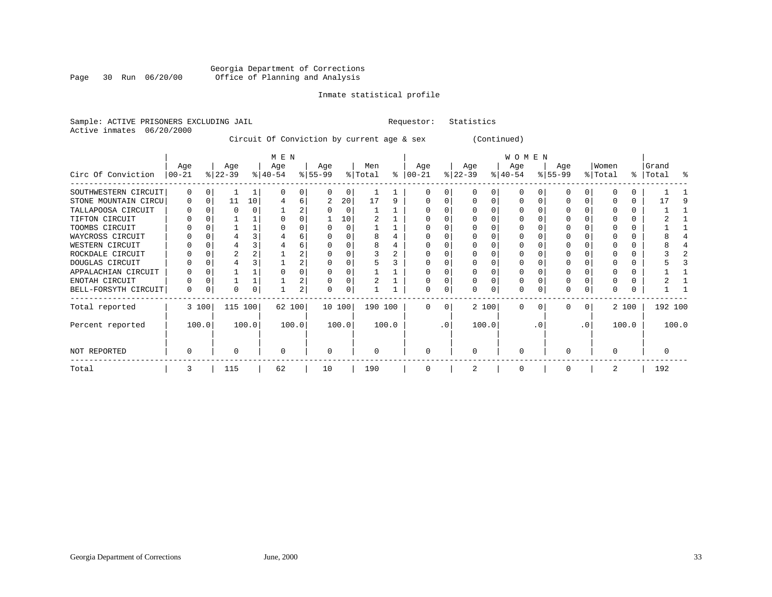# Georgia Department of Corrections Page 30 Run 06/20/00 Office of Planning and Analysis

# Inmate statistical profile

Requestor: Statistics

|  |                           | Sample: ACTIVE PRISONERS EXCLUDING JAIL |  |                                                                                     |  |
|--|---------------------------|-----------------------------------------|--|-------------------------------------------------------------------------------------|--|
|  | Active inmates 06/20/2000 |                                         |  |                                                                                     |  |
|  |                           |                                         |  | $Q_2^+$ $\infty$ $Q_2^+$ $Q_3^ Q_4^ Q_5^ Q_6^ Q_7^+$ $Q_8^ Q_9^+$ $Q_9^ Q_9^ Q_9^-$ |  |

Circuit Of Conviction by current age & sex (Continued)

|                      |                 |       |                  |          | M E N            |       |                  |          |                |       |                  |           |                  |       | W O M E N        |     |                  |           |                  |       |                    |       |
|----------------------|-----------------|-------|------------------|----------|------------------|-------|------------------|----------|----------------|-------|------------------|-----------|------------------|-------|------------------|-----|------------------|-----------|------------------|-------|--------------------|-------|
| Circ Of Conviction   | Age<br>$ 00-21$ |       | Age<br>$ 22-39 $ |          | Age<br>$ 40-54 $ |       | Age<br>$ 55-99 $ |          | Men<br>% Total | ႜ     | Age<br>$00 - 21$ |           | Age<br>$ 22-39 $ |       | Age<br>$ 40-54 $ |     | Age<br>$8 55-99$ |           | Women<br>% Total |       | Grand<br>%   Total | း     |
| SOUTHWESTERN CIRCUIT | $\Omega$        |       |                  |          |                  | 0     |                  | $\Omega$ |                |       |                  |           |                  |       | $\Omega$         |     |                  |           |                  |       |                    |       |
| STONE MOUNTAIN CIRCU | 0               | O     | 11               | 10       |                  | 6     | 2                | 20       | 17             | 9     |                  |           |                  |       | $\Omega$         |     |                  |           |                  | 0     | 17                 |       |
| TALLAPOOSA CIRCUIT   | O               |       |                  |          |                  | 2     |                  | $\Omega$ |                |       |                  |           |                  |       |                  |     |                  |           |                  | U     |                    |       |
| TIFTON CIRCUIT       |                 |       |                  |          |                  |       |                  | 10       |                |       |                  |           |                  |       |                  |     |                  |           |                  | 0     |                    |       |
| TOOMBS CIRCUIT       |                 |       |                  |          |                  | 0     |                  | $\Omega$ |                |       |                  |           |                  |       |                  |     |                  |           |                  | 0     |                    |       |
| WAYCROSS CIRCUIT     |                 |       |                  |          |                  | 6     |                  |          |                |       |                  |           |                  |       |                  |     |                  |           |                  | 0     |                    |       |
| WESTERN CIRCUIT      |                 |       |                  |          |                  | 6     |                  |          |                |       |                  |           |                  |       |                  |     |                  |           |                  |       |                    |       |
| ROCKDALE CIRCUIT     |                 |       |                  |          |                  | 2     |                  |          |                |       |                  |           |                  |       |                  |     |                  |           |                  |       |                    |       |
| DOUGLAS CIRCUIT      |                 |       |                  |          |                  | 2     |                  |          |                |       |                  |           |                  |       | $\Omega$         |     | 0                |           |                  | 0     |                    |       |
| APPALACHIAN CIRCUIT  |                 |       |                  |          |                  |       |                  |          |                |       |                  |           |                  |       |                  |     |                  |           |                  |       |                    |       |
| ENOTAH CIRCUIT       | O               |       |                  |          |                  | 2     |                  |          |                |       |                  |           |                  |       |                  |     |                  |           |                  |       |                    |       |
| BELL-FORSYTH CIRCUIT | 0               |       | $\Omega$         | $\Omega$ |                  | 2     |                  | 0        |                |       |                  | 0         |                  | 0     | $\Omega$         |     | 0                | 0         | 0                |       |                    |       |
| Total reported       |                 | 3 100 | 115 100          |          | 62 100           |       | 10 100           |          | 190 100        |       | $\Omega$         | $\Omega$  |                  | 2 100 | $\Omega$         | 0   | 0                | $\Omega$  |                  | 2 100 | 192 100            |       |
| Percent reported     |                 | 100.0 |                  | 100.0    |                  | 100.0 |                  | 100.0    |                | 100.0 |                  | $\cdot$ 0 |                  | 100.0 |                  | . 0 |                  | $\cdot$ 0 |                  | 100.0 |                    | 100.0 |
| NOT REPORTED         | O               |       |                  |          |                  |       | $\Omega$         |          | U              |       | $\Omega$         |           | $\Omega$         |       | $\Omega$         |     | U                |           | $\Omega$         |       |                    |       |
| Total                | 3               |       | 115              |          | 62               |       | 10               |          | 190            |       | 0                |           | 2                |       | 0                |     | O                |           | 2                |       | 192                |       |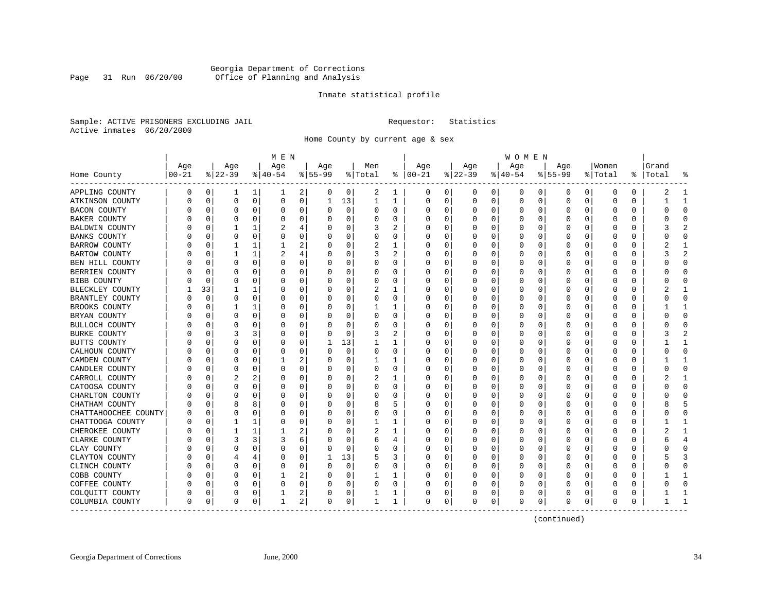# Georgia Department of Corrections<br>Page 31 Run 06/20/00 Office of Planning and Analysis Page 31 Run 06/20/00 Office of Planning and Analysis

# Inmate statistical profile

Sample: ACTIVE PRISONERS EXCLUDING JAIL **Requestor:** Statistics Active inmates 06/20/2000

Home County by current age & sex

| Age<br>Age<br>Age<br>Age<br>Age<br>Men<br>Age<br>Age<br>Age<br>Women<br>Grand<br>$ 22-39$<br>$ 00 - 21$<br>$ 40-54$<br>$8 55-99$<br>% Total<br>$\frac{6}{6}$<br>$ 00-21$<br>$ 22-39$<br>$ 40-54$<br>$8 55-99$<br>%   Total<br>Home County<br>% Total<br>0<br>$\mathbf{1}$<br>2<br>0<br>2<br>0<br>0<br>0<br>0<br>0<br>APPLING COUNTY<br>0<br>0<br>1<br>0<br>0<br>0<br>0<br>0<br>2<br>ı<br>ı<br>$\mathbf 0$<br>$\mathbf 0$<br>13<br>0<br>0<br>0<br>1<br>$\mathbf 1$<br>1<br>$\Omega$<br>0<br>0<br>0<br>$\Omega$<br>0<br>0<br>0<br>$\mathbf 0$<br>0<br>ATKINSON COUNTY<br>0<br><b>BACON COUNTY</b><br>0<br>0<br>0<br>0<br>0<br>0<br>0<br>0<br>0<br>U<br>$\Omega$<br>$\Omega$<br>$\Omega$<br>0<br><sup>0</sup><br>0<br>0<br>0<br>0<br>BAKER COUNTY<br>$\Omega$<br>0<br>$\Omega$<br>0<br>0<br>0<br>0<br>0<br>0<br>0<br>0<br>$\Omega$<br>0<br>0<br>0<br>$\overline{c}$<br>BALDWIN COUNTY<br>$\Omega$<br>1<br>2<br>4<br>3<br>O<br>U<br>$\Omega$<br>U<br>$\Omega$<br>$\Omega$<br>$\Omega$<br>U<br>Ω<br>$\Omega$<br>$\mathbf 0$<br>0<br>0<br>0<br>0<br><b>BANKS COUNTY</b><br>$\Omega$<br>0<br>$\Omega$<br>0<br>O<br>0<br>0<br>0<br>O<br>U<br>O<br>1<br>2<br>0<br>2<br>1<br>0<br>0<br>BARROW COUNTY<br>0<br>1<br>O<br>0<br>0<br>0<br>0<br>0<br>0<br>2<br>BARTOW COUNTY<br>1<br>2<br>4<br>3<br>0<br>0<br>0<br>0<br>0<br>0<br>0<br>U<br>O<br>0<br>Ω<br>0<br>BEN HILL COUNTY<br>0<br>O<br>0<br>0<br>0<br>0<br>0<br>0<br>U<br>$\Omega$<br>0<br>O<br>0<br>Ω<br>0<br>0<br>0<br>BERRIEN COUNTY<br>0<br>$\Omega$<br>U<br>0<br>$\Omega$<br>0<br>U<br>0<br>U<br>U<br>$\cap$<br>O<br>U<br>$\Omega$<br>$\Omega$<br>O<br>0<br>BIBB COUNTY<br>0<br>$\Omega$<br>0<br>$\Omega$<br>0<br>$\Omega$<br>$\Omega$<br>$\Omega$<br>U<br>U<br>0<br>O<br>O<br>U<br>0<br>0<br>0<br>0<br>33<br>0<br>0<br>1<br>$\Omega$<br>2<br>1<br>O<br>0<br>0<br>0<br>0<br>0<br>BLECKLEY COUNTY<br>0<br>0<br>2<br>0<br>0<br>0<br>0<br>BRANTLEY COUNTY<br>$\Omega$<br>0<br>0<br>0<br>U<br>$\Omega$<br>O<br>0<br>U<br>0<br>0<br>0<br>O<br>0<br>BROOKS COUNTY<br>$\Omega$<br>0<br>0<br>0<br>0<br>0<br>1<br>U<br>$\Omega$<br>O<br>0<br>Ω<br>0<br>0<br>0<br>1<br>0<br>0<br>BRYAN COUNTY<br>0<br>$\Omega$<br>0<br>$\Omega$<br>0<br>0<br>0<br>0<br>0<br>U<br>0<br>0<br>0<br>-0<br>BULLOCH COUNTY<br>0<br>0<br>0<br>U<br>0<br>U<br>U<br>O<br>$\Omega$<br>U<br>$\Omega$<br>U<br>$\Omega$<br>0<br>U<br>O<br>$\cap$<br>0<br>0<br>3<br>2<br><b>BURKE COUNTY</b><br>3<br>3<br>$\Omega$<br>U<br>0<br>0<br>0<br>$\Omega$<br>0<br>$\Omega$<br>$\Omega$<br>U<br>O<br>O<br>13<br>0<br>0<br>0<br>BUTTS COUNTY<br>0<br>0<br>$\Omega$<br>1<br>1<br>O<br>0<br>0<br>0<br>0<br>0<br>0<br>$\mathbf 0$<br>CALHOUN COUNTY<br>0<br>$\Omega$<br>0<br>U<br>0<br>0<br>O<br>0<br>0<br>0<br>0<br>0<br>$\Omega$<br>$\Omega$<br>0<br>O<br>2<br>0<br>CAMDEN COUNTY<br>0<br>0<br>0<br>0<br>0<br>0<br>0<br>U<br>$\Omega$<br>O<br>0<br>Ω<br>0<br>0<br>1<br>ı<br>0<br>0<br>CANDLER COUNTY<br>$\Omega$<br>0<br>0<br>$\Omega$<br>$\Omega$<br>0<br>0<br>0<br>0<br>0<br>0<br>$\Omega$<br>O<br>U<br>O<br>Ω<br>CARROLL COUNTY<br>2<br>2<br>0<br>0<br>2<br>0<br>$\mathbf 0$<br>O<br>$\Omega$<br>$\Omega$<br>U<br>1<br>$\Omega$<br>O<br>O<br>Ω<br>0<br>0<br>$\Omega$<br>0<br>CATOOSA COUNTY<br>U<br>0<br>$\Omega$<br>0<br>0<br>0<br>0<br>0<br>$\Omega$<br>$\Omega$<br>U<br>0<br>0<br>0<br>0<br>0<br>0<br>0<br>0<br>CHARLTON COUNTY<br>$\Omega$<br>0<br>U<br>0<br>0<br>0<br>O<br>0<br>0<br>0<br>0<br>0<br>U<br>C<br>0<br>5<br>CHATHAM COUNTY<br>8<br>8<br>$\Omega$<br>0<br>8<br>0<br>0<br>0<br>U<br>∩<br>O<br>O<br>Λ<br>0<br>0<br>0<br>0<br>0<br>CHATTAHOOCHEE COUNTY<br>0<br>0<br>0<br>0<br>0<br>0<br>0<br>$\Omega$<br>U<br>$\Omega$<br>0<br>O<br>0<br>0<br>0<br>O<br>0<br>CHATTOOGA COUNTY<br>$\Omega$<br>1<br>$\Omega$<br>0<br>1<br>O<br>0<br>0<br>U<br>U<br>$\Omega$<br>O<br>U<br>1<br>O<br>Ω<br>2<br>2<br>CHEROKEE COUNTY<br>0<br>0<br>$\Omega$<br>$\Omega$<br>1<br>1<br>O<br>0<br>0<br>0<br>0<br>0<br>U<br>O<br>O<br>0<br>3<br>6<br>0<br>CLARKE COUNTY<br>3<br>3<br>$\Omega$<br>0<br>0<br>$\Omega$<br>$\mathbf 0$<br>0<br>$\Omega$<br>U<br>6<br>4<br>0<br>0<br>CLAY COUNTY<br>$\Omega$<br>O<br>0<br>$\Omega$<br>0<br>$\Omega$<br>$\mathbf 0$<br>0<br>0<br>0<br>$\Omega$<br>0<br>$\mathbf 0$<br>0<br>U<br>O<br>13<br>CLAYTON COUNTY<br>0<br>5<br>3<br>0<br>0<br>0<br>4<br>0<br>-1<br>$\Omega$<br>O<br>0<br><sup>0</sup><br>0<br>0<br>0<br>0<br>4<br>0<br>CLINCH COUNTY<br>0<br>0<br>0<br>$\Omega$<br>0<br>0<br>0<br>$\Omega$<br>0<br>0<br>O<br>0<br>0<br>0<br>0<br>0<br>2<br>0<br>$\Omega$<br>0<br>1<br>$\Omega$<br>0<br>$\mathbf 0$<br>$\Omega$<br>O<br>$\Omega$<br>COBB COUNTY<br>0<br>0<br>0<br>Ω<br>0<br>0<br>0<br>COFFEE COUNTY<br>0<br>$\Omega$<br>0<br>0<br>0<br>$\mathbf 0$<br>$\Omega$<br>0<br>$\Omega$<br>0<br>0<br>O<br>0<br>0<br>0<br>0<br>0<br>2<br>0<br>0<br>0<br>1<br>0<br>0<br>0<br>$\Omega$<br>0<br>COLQUITT COUNTY<br>0<br>0<br>0<br>0<br>0 |                 |   |   |   |   | M E N        |   |   |   |   |   |   |   |   |   | W O M E N |   |   |   |   |   |                |
|----------------------------------------------------------------------------------------------------------------------------------------------------------------------------------------------------------------------------------------------------------------------------------------------------------------------------------------------------------------------------------------------------------------------------------------------------------------------------------------------------------------------------------------------------------------------------------------------------------------------------------------------------------------------------------------------------------------------------------------------------------------------------------------------------------------------------------------------------------------------------------------------------------------------------------------------------------------------------------------------------------------------------------------------------------------------------------------------------------------------------------------------------------------------------------------------------------------------------------------------------------------------------------------------------------------------------------------------------------------------------------------------------------------------------------------------------------------------------------------------------------------------------------------------------------------------------------------------------------------------------------------------------------------------------------------------------------------------------------------------------------------------------------------------------------------------------------------------------------------------------------------------------------------------------------------------------------------------------------------------------------------------------------------------------------------------------------------------------------------------------------------------------------------------------------------------------------------------------------------------------------------------------------------------------------------------------------------------------------------------------------------------------------------------------------------------------------------------------------------------------------------------------------------------------------------------------------------------------------------------------------------------------------------------------------------------------------------------------------------------------------------------------------------------------------------------------------------------------------------------------------------------------------------------------------------------------------------------------------------------------------------------------------------------------------------------------------------------------------------------------------------------------------------------------------------------------------------------------------------------------------------------------------------------------------------------------------------------------------------------------------------------------------------------------------------------------------------------------------------------------------------------------------------------------------------------------------------------------------------------------------------------------------------------------------------------------------------------------------------------------------------------------------------------------------------------------------------------------------------------------------------------------------------------------------------------------------------------------------------------------------------------------------------------------------------------------------------------------------------------------------------------------------------------------------------------------------------------------------------------------------------------------------------------------------------------------------------------------------------------------------------------------------------------------------------------------------------------------------------------------------------------------------------------------------------------------------------------------------------------------------------------------------------------------------------------------------------------------------------------------------------------------------------------------------------------------------------------------------------|-----------------|---|---|---|---|--------------|---|---|---|---|---|---|---|---|---|-----------|---|---|---|---|---|----------------|
|                                                                                                                                                                                                                                                                                                                                                                                                                                                                                                                                                                                                                                                                                                                                                                                                                                                                                                                                                                                                                                                                                                                                                                                                                                                                                                                                                                                                                                                                                                                                                                                                                                                                                                                                                                                                                                                                                                                                                                                                                                                                                                                                                                                                                                                                                                                                                                                                                                                                                                                                                                                                                                                                                                                                                                                                                                                                                                                                                                                                                                                                                                                                                                                                                                                                                                                                                                                                                                                                                                                                                                                                                                                                                                                                                                                                                                                                                                                                                                                                                                                                                                                                                                                                                                                                                                                                                                                                                                                                                                                                                                                                                                                                                                                                                                                                                                                                |                 |   |   |   |   |              |   |   |   |   |   |   |   |   |   |           |   |   |   |   |   |                |
|                                                                                                                                                                                                                                                                                                                                                                                                                                                                                                                                                                                                                                                                                                                                                                                                                                                                                                                                                                                                                                                                                                                                                                                                                                                                                                                                                                                                                                                                                                                                                                                                                                                                                                                                                                                                                                                                                                                                                                                                                                                                                                                                                                                                                                                                                                                                                                                                                                                                                                                                                                                                                                                                                                                                                                                                                                                                                                                                                                                                                                                                                                                                                                                                                                                                                                                                                                                                                                                                                                                                                                                                                                                                                                                                                                                                                                                                                                                                                                                                                                                                                                                                                                                                                                                                                                                                                                                                                                                                                                                                                                                                                                                                                                                                                                                                                                                                |                 |   |   |   |   |              |   |   |   |   |   |   |   |   |   |           |   |   |   |   |   |                |
|                                                                                                                                                                                                                                                                                                                                                                                                                                                                                                                                                                                                                                                                                                                                                                                                                                                                                                                                                                                                                                                                                                                                                                                                                                                                                                                                                                                                                                                                                                                                                                                                                                                                                                                                                                                                                                                                                                                                                                                                                                                                                                                                                                                                                                                                                                                                                                                                                                                                                                                                                                                                                                                                                                                                                                                                                                                                                                                                                                                                                                                                                                                                                                                                                                                                                                                                                                                                                                                                                                                                                                                                                                                                                                                                                                                                                                                                                                                                                                                                                                                                                                                                                                                                                                                                                                                                                                                                                                                                                                                                                                                                                                                                                                                                                                                                                                                                |                 |   |   |   |   |              |   |   |   |   |   |   |   |   |   |           |   |   |   |   |   | $\mathbf{1}$   |
|                                                                                                                                                                                                                                                                                                                                                                                                                                                                                                                                                                                                                                                                                                                                                                                                                                                                                                                                                                                                                                                                                                                                                                                                                                                                                                                                                                                                                                                                                                                                                                                                                                                                                                                                                                                                                                                                                                                                                                                                                                                                                                                                                                                                                                                                                                                                                                                                                                                                                                                                                                                                                                                                                                                                                                                                                                                                                                                                                                                                                                                                                                                                                                                                                                                                                                                                                                                                                                                                                                                                                                                                                                                                                                                                                                                                                                                                                                                                                                                                                                                                                                                                                                                                                                                                                                                                                                                                                                                                                                                                                                                                                                                                                                                                                                                                                                                                |                 |   |   |   |   |              |   |   |   |   |   |   |   |   |   |           |   |   |   |   |   | $\mathbf{1}$   |
|                                                                                                                                                                                                                                                                                                                                                                                                                                                                                                                                                                                                                                                                                                                                                                                                                                                                                                                                                                                                                                                                                                                                                                                                                                                                                                                                                                                                                                                                                                                                                                                                                                                                                                                                                                                                                                                                                                                                                                                                                                                                                                                                                                                                                                                                                                                                                                                                                                                                                                                                                                                                                                                                                                                                                                                                                                                                                                                                                                                                                                                                                                                                                                                                                                                                                                                                                                                                                                                                                                                                                                                                                                                                                                                                                                                                                                                                                                                                                                                                                                                                                                                                                                                                                                                                                                                                                                                                                                                                                                                                                                                                                                                                                                                                                                                                                                                                |                 |   |   |   |   |              |   |   |   |   |   |   |   |   |   |           |   |   |   |   |   | $\Omega$       |
|                                                                                                                                                                                                                                                                                                                                                                                                                                                                                                                                                                                                                                                                                                                                                                                                                                                                                                                                                                                                                                                                                                                                                                                                                                                                                                                                                                                                                                                                                                                                                                                                                                                                                                                                                                                                                                                                                                                                                                                                                                                                                                                                                                                                                                                                                                                                                                                                                                                                                                                                                                                                                                                                                                                                                                                                                                                                                                                                                                                                                                                                                                                                                                                                                                                                                                                                                                                                                                                                                                                                                                                                                                                                                                                                                                                                                                                                                                                                                                                                                                                                                                                                                                                                                                                                                                                                                                                                                                                                                                                                                                                                                                                                                                                                                                                                                                                                |                 |   |   |   |   |              |   |   |   |   |   |   |   |   |   |           |   |   |   |   |   | $\Omega$       |
|                                                                                                                                                                                                                                                                                                                                                                                                                                                                                                                                                                                                                                                                                                                                                                                                                                                                                                                                                                                                                                                                                                                                                                                                                                                                                                                                                                                                                                                                                                                                                                                                                                                                                                                                                                                                                                                                                                                                                                                                                                                                                                                                                                                                                                                                                                                                                                                                                                                                                                                                                                                                                                                                                                                                                                                                                                                                                                                                                                                                                                                                                                                                                                                                                                                                                                                                                                                                                                                                                                                                                                                                                                                                                                                                                                                                                                                                                                                                                                                                                                                                                                                                                                                                                                                                                                                                                                                                                                                                                                                                                                                                                                                                                                                                                                                                                                                                |                 |   |   |   |   |              |   |   |   |   |   |   |   |   |   |           |   |   |   |   |   | $\overline{2}$ |
|                                                                                                                                                                                                                                                                                                                                                                                                                                                                                                                                                                                                                                                                                                                                                                                                                                                                                                                                                                                                                                                                                                                                                                                                                                                                                                                                                                                                                                                                                                                                                                                                                                                                                                                                                                                                                                                                                                                                                                                                                                                                                                                                                                                                                                                                                                                                                                                                                                                                                                                                                                                                                                                                                                                                                                                                                                                                                                                                                                                                                                                                                                                                                                                                                                                                                                                                                                                                                                                                                                                                                                                                                                                                                                                                                                                                                                                                                                                                                                                                                                                                                                                                                                                                                                                                                                                                                                                                                                                                                                                                                                                                                                                                                                                                                                                                                                                                |                 |   |   |   |   |              |   |   |   |   |   |   |   |   |   |           |   |   |   |   |   | $\Omega$       |
|                                                                                                                                                                                                                                                                                                                                                                                                                                                                                                                                                                                                                                                                                                                                                                                                                                                                                                                                                                                                                                                                                                                                                                                                                                                                                                                                                                                                                                                                                                                                                                                                                                                                                                                                                                                                                                                                                                                                                                                                                                                                                                                                                                                                                                                                                                                                                                                                                                                                                                                                                                                                                                                                                                                                                                                                                                                                                                                                                                                                                                                                                                                                                                                                                                                                                                                                                                                                                                                                                                                                                                                                                                                                                                                                                                                                                                                                                                                                                                                                                                                                                                                                                                                                                                                                                                                                                                                                                                                                                                                                                                                                                                                                                                                                                                                                                                                                |                 |   |   |   |   |              |   |   |   |   |   |   |   |   |   |           |   |   |   |   |   | $\mathbf{1}$   |
|                                                                                                                                                                                                                                                                                                                                                                                                                                                                                                                                                                                                                                                                                                                                                                                                                                                                                                                                                                                                                                                                                                                                                                                                                                                                                                                                                                                                                                                                                                                                                                                                                                                                                                                                                                                                                                                                                                                                                                                                                                                                                                                                                                                                                                                                                                                                                                                                                                                                                                                                                                                                                                                                                                                                                                                                                                                                                                                                                                                                                                                                                                                                                                                                                                                                                                                                                                                                                                                                                                                                                                                                                                                                                                                                                                                                                                                                                                                                                                                                                                                                                                                                                                                                                                                                                                                                                                                                                                                                                                                                                                                                                                                                                                                                                                                                                                                                |                 |   |   |   |   |              |   |   |   |   |   |   |   |   |   |           |   |   |   |   |   | $\overline{2}$ |
|                                                                                                                                                                                                                                                                                                                                                                                                                                                                                                                                                                                                                                                                                                                                                                                                                                                                                                                                                                                                                                                                                                                                                                                                                                                                                                                                                                                                                                                                                                                                                                                                                                                                                                                                                                                                                                                                                                                                                                                                                                                                                                                                                                                                                                                                                                                                                                                                                                                                                                                                                                                                                                                                                                                                                                                                                                                                                                                                                                                                                                                                                                                                                                                                                                                                                                                                                                                                                                                                                                                                                                                                                                                                                                                                                                                                                                                                                                                                                                                                                                                                                                                                                                                                                                                                                                                                                                                                                                                                                                                                                                                                                                                                                                                                                                                                                                                                |                 |   |   |   |   |              |   |   |   |   |   |   |   |   |   |           |   |   |   |   |   | $\Omega$       |
|                                                                                                                                                                                                                                                                                                                                                                                                                                                                                                                                                                                                                                                                                                                                                                                                                                                                                                                                                                                                                                                                                                                                                                                                                                                                                                                                                                                                                                                                                                                                                                                                                                                                                                                                                                                                                                                                                                                                                                                                                                                                                                                                                                                                                                                                                                                                                                                                                                                                                                                                                                                                                                                                                                                                                                                                                                                                                                                                                                                                                                                                                                                                                                                                                                                                                                                                                                                                                                                                                                                                                                                                                                                                                                                                                                                                                                                                                                                                                                                                                                                                                                                                                                                                                                                                                                                                                                                                                                                                                                                                                                                                                                                                                                                                                                                                                                                                |                 |   |   |   |   |              |   |   |   |   |   |   |   |   |   |           |   |   |   |   |   | $\Omega$       |
|                                                                                                                                                                                                                                                                                                                                                                                                                                                                                                                                                                                                                                                                                                                                                                                                                                                                                                                                                                                                                                                                                                                                                                                                                                                                                                                                                                                                                                                                                                                                                                                                                                                                                                                                                                                                                                                                                                                                                                                                                                                                                                                                                                                                                                                                                                                                                                                                                                                                                                                                                                                                                                                                                                                                                                                                                                                                                                                                                                                                                                                                                                                                                                                                                                                                                                                                                                                                                                                                                                                                                                                                                                                                                                                                                                                                                                                                                                                                                                                                                                                                                                                                                                                                                                                                                                                                                                                                                                                                                                                                                                                                                                                                                                                                                                                                                                                                |                 |   |   |   |   |              |   |   |   |   |   |   |   |   |   |           |   |   |   |   |   | ∩              |
|                                                                                                                                                                                                                                                                                                                                                                                                                                                                                                                                                                                                                                                                                                                                                                                                                                                                                                                                                                                                                                                                                                                                                                                                                                                                                                                                                                                                                                                                                                                                                                                                                                                                                                                                                                                                                                                                                                                                                                                                                                                                                                                                                                                                                                                                                                                                                                                                                                                                                                                                                                                                                                                                                                                                                                                                                                                                                                                                                                                                                                                                                                                                                                                                                                                                                                                                                                                                                                                                                                                                                                                                                                                                                                                                                                                                                                                                                                                                                                                                                                                                                                                                                                                                                                                                                                                                                                                                                                                                                                                                                                                                                                                                                                                                                                                                                                                                |                 |   |   |   |   |              |   |   |   |   |   |   |   |   |   |           |   |   |   |   |   | 1              |
|                                                                                                                                                                                                                                                                                                                                                                                                                                                                                                                                                                                                                                                                                                                                                                                                                                                                                                                                                                                                                                                                                                                                                                                                                                                                                                                                                                                                                                                                                                                                                                                                                                                                                                                                                                                                                                                                                                                                                                                                                                                                                                                                                                                                                                                                                                                                                                                                                                                                                                                                                                                                                                                                                                                                                                                                                                                                                                                                                                                                                                                                                                                                                                                                                                                                                                                                                                                                                                                                                                                                                                                                                                                                                                                                                                                                                                                                                                                                                                                                                                                                                                                                                                                                                                                                                                                                                                                                                                                                                                                                                                                                                                                                                                                                                                                                                                                                |                 |   |   |   |   |              |   |   |   |   |   |   |   |   |   |           |   |   |   |   |   | $\Omega$       |
|                                                                                                                                                                                                                                                                                                                                                                                                                                                                                                                                                                                                                                                                                                                                                                                                                                                                                                                                                                                                                                                                                                                                                                                                                                                                                                                                                                                                                                                                                                                                                                                                                                                                                                                                                                                                                                                                                                                                                                                                                                                                                                                                                                                                                                                                                                                                                                                                                                                                                                                                                                                                                                                                                                                                                                                                                                                                                                                                                                                                                                                                                                                                                                                                                                                                                                                                                                                                                                                                                                                                                                                                                                                                                                                                                                                                                                                                                                                                                                                                                                                                                                                                                                                                                                                                                                                                                                                                                                                                                                                                                                                                                                                                                                                                                                                                                                                                |                 |   |   |   |   |              |   |   |   |   |   |   |   |   |   |           |   |   |   |   |   | 1              |
|                                                                                                                                                                                                                                                                                                                                                                                                                                                                                                                                                                                                                                                                                                                                                                                                                                                                                                                                                                                                                                                                                                                                                                                                                                                                                                                                                                                                                                                                                                                                                                                                                                                                                                                                                                                                                                                                                                                                                                                                                                                                                                                                                                                                                                                                                                                                                                                                                                                                                                                                                                                                                                                                                                                                                                                                                                                                                                                                                                                                                                                                                                                                                                                                                                                                                                                                                                                                                                                                                                                                                                                                                                                                                                                                                                                                                                                                                                                                                                                                                                                                                                                                                                                                                                                                                                                                                                                                                                                                                                                                                                                                                                                                                                                                                                                                                                                                |                 |   |   |   |   |              |   |   |   |   |   |   |   |   |   |           |   |   |   |   |   | $\Omega$       |
|                                                                                                                                                                                                                                                                                                                                                                                                                                                                                                                                                                                                                                                                                                                                                                                                                                                                                                                                                                                                                                                                                                                                                                                                                                                                                                                                                                                                                                                                                                                                                                                                                                                                                                                                                                                                                                                                                                                                                                                                                                                                                                                                                                                                                                                                                                                                                                                                                                                                                                                                                                                                                                                                                                                                                                                                                                                                                                                                                                                                                                                                                                                                                                                                                                                                                                                                                                                                                                                                                                                                                                                                                                                                                                                                                                                                                                                                                                                                                                                                                                                                                                                                                                                                                                                                                                                                                                                                                                                                                                                                                                                                                                                                                                                                                                                                                                                                |                 |   |   |   |   |              |   |   |   |   |   |   |   |   |   |           |   |   |   |   |   | $\Omega$       |
|                                                                                                                                                                                                                                                                                                                                                                                                                                                                                                                                                                                                                                                                                                                                                                                                                                                                                                                                                                                                                                                                                                                                                                                                                                                                                                                                                                                                                                                                                                                                                                                                                                                                                                                                                                                                                                                                                                                                                                                                                                                                                                                                                                                                                                                                                                                                                                                                                                                                                                                                                                                                                                                                                                                                                                                                                                                                                                                                                                                                                                                                                                                                                                                                                                                                                                                                                                                                                                                                                                                                                                                                                                                                                                                                                                                                                                                                                                                                                                                                                                                                                                                                                                                                                                                                                                                                                                                                                                                                                                                                                                                                                                                                                                                                                                                                                                                                |                 |   |   |   |   |              |   |   |   |   |   |   |   |   |   |           |   |   |   |   |   | $\overline{2}$ |
|                                                                                                                                                                                                                                                                                                                                                                                                                                                                                                                                                                                                                                                                                                                                                                                                                                                                                                                                                                                                                                                                                                                                                                                                                                                                                                                                                                                                                                                                                                                                                                                                                                                                                                                                                                                                                                                                                                                                                                                                                                                                                                                                                                                                                                                                                                                                                                                                                                                                                                                                                                                                                                                                                                                                                                                                                                                                                                                                                                                                                                                                                                                                                                                                                                                                                                                                                                                                                                                                                                                                                                                                                                                                                                                                                                                                                                                                                                                                                                                                                                                                                                                                                                                                                                                                                                                                                                                                                                                                                                                                                                                                                                                                                                                                                                                                                                                                |                 |   |   |   |   |              |   |   |   |   |   |   |   |   |   |           |   |   |   |   |   | $\mathbf{1}$   |
|                                                                                                                                                                                                                                                                                                                                                                                                                                                                                                                                                                                                                                                                                                                                                                                                                                                                                                                                                                                                                                                                                                                                                                                                                                                                                                                                                                                                                                                                                                                                                                                                                                                                                                                                                                                                                                                                                                                                                                                                                                                                                                                                                                                                                                                                                                                                                                                                                                                                                                                                                                                                                                                                                                                                                                                                                                                                                                                                                                                                                                                                                                                                                                                                                                                                                                                                                                                                                                                                                                                                                                                                                                                                                                                                                                                                                                                                                                                                                                                                                                                                                                                                                                                                                                                                                                                                                                                                                                                                                                                                                                                                                                                                                                                                                                                                                                                                |                 |   |   |   |   |              |   |   |   |   |   |   |   |   |   |           |   |   |   |   |   | $\Omega$       |
|                                                                                                                                                                                                                                                                                                                                                                                                                                                                                                                                                                                                                                                                                                                                                                                                                                                                                                                                                                                                                                                                                                                                                                                                                                                                                                                                                                                                                                                                                                                                                                                                                                                                                                                                                                                                                                                                                                                                                                                                                                                                                                                                                                                                                                                                                                                                                                                                                                                                                                                                                                                                                                                                                                                                                                                                                                                                                                                                                                                                                                                                                                                                                                                                                                                                                                                                                                                                                                                                                                                                                                                                                                                                                                                                                                                                                                                                                                                                                                                                                                                                                                                                                                                                                                                                                                                                                                                                                                                                                                                                                                                                                                                                                                                                                                                                                                                                |                 |   |   |   |   |              |   |   |   |   |   |   |   |   |   |           |   |   |   |   |   | 1              |
|                                                                                                                                                                                                                                                                                                                                                                                                                                                                                                                                                                                                                                                                                                                                                                                                                                                                                                                                                                                                                                                                                                                                                                                                                                                                                                                                                                                                                                                                                                                                                                                                                                                                                                                                                                                                                                                                                                                                                                                                                                                                                                                                                                                                                                                                                                                                                                                                                                                                                                                                                                                                                                                                                                                                                                                                                                                                                                                                                                                                                                                                                                                                                                                                                                                                                                                                                                                                                                                                                                                                                                                                                                                                                                                                                                                                                                                                                                                                                                                                                                                                                                                                                                                                                                                                                                                                                                                                                                                                                                                                                                                                                                                                                                                                                                                                                                                                |                 |   |   |   |   |              |   |   |   |   |   |   |   |   |   |           |   |   |   |   |   | $\Omega$       |
|                                                                                                                                                                                                                                                                                                                                                                                                                                                                                                                                                                                                                                                                                                                                                                                                                                                                                                                                                                                                                                                                                                                                                                                                                                                                                                                                                                                                                                                                                                                                                                                                                                                                                                                                                                                                                                                                                                                                                                                                                                                                                                                                                                                                                                                                                                                                                                                                                                                                                                                                                                                                                                                                                                                                                                                                                                                                                                                                                                                                                                                                                                                                                                                                                                                                                                                                                                                                                                                                                                                                                                                                                                                                                                                                                                                                                                                                                                                                                                                                                                                                                                                                                                                                                                                                                                                                                                                                                                                                                                                                                                                                                                                                                                                                                                                                                                                                |                 |   |   |   |   |              |   |   |   |   |   |   |   |   |   |           |   |   |   |   |   | $\mathbf{1}$   |
|                                                                                                                                                                                                                                                                                                                                                                                                                                                                                                                                                                                                                                                                                                                                                                                                                                                                                                                                                                                                                                                                                                                                                                                                                                                                                                                                                                                                                                                                                                                                                                                                                                                                                                                                                                                                                                                                                                                                                                                                                                                                                                                                                                                                                                                                                                                                                                                                                                                                                                                                                                                                                                                                                                                                                                                                                                                                                                                                                                                                                                                                                                                                                                                                                                                                                                                                                                                                                                                                                                                                                                                                                                                                                                                                                                                                                                                                                                                                                                                                                                                                                                                                                                                                                                                                                                                                                                                                                                                                                                                                                                                                                                                                                                                                                                                                                                                                |                 |   |   |   |   |              |   |   |   |   |   |   |   |   |   |           |   |   |   |   |   | $\Omega$       |
|                                                                                                                                                                                                                                                                                                                                                                                                                                                                                                                                                                                                                                                                                                                                                                                                                                                                                                                                                                                                                                                                                                                                                                                                                                                                                                                                                                                                                                                                                                                                                                                                                                                                                                                                                                                                                                                                                                                                                                                                                                                                                                                                                                                                                                                                                                                                                                                                                                                                                                                                                                                                                                                                                                                                                                                                                                                                                                                                                                                                                                                                                                                                                                                                                                                                                                                                                                                                                                                                                                                                                                                                                                                                                                                                                                                                                                                                                                                                                                                                                                                                                                                                                                                                                                                                                                                                                                                                                                                                                                                                                                                                                                                                                                                                                                                                                                                                |                 |   |   |   |   |              |   |   |   |   |   |   |   |   |   |           |   |   |   |   |   | $\Omega$       |
|                                                                                                                                                                                                                                                                                                                                                                                                                                                                                                                                                                                                                                                                                                                                                                                                                                                                                                                                                                                                                                                                                                                                                                                                                                                                                                                                                                                                                                                                                                                                                                                                                                                                                                                                                                                                                                                                                                                                                                                                                                                                                                                                                                                                                                                                                                                                                                                                                                                                                                                                                                                                                                                                                                                                                                                                                                                                                                                                                                                                                                                                                                                                                                                                                                                                                                                                                                                                                                                                                                                                                                                                                                                                                                                                                                                                                                                                                                                                                                                                                                                                                                                                                                                                                                                                                                                                                                                                                                                                                                                                                                                                                                                                                                                                                                                                                                                                |                 |   |   |   |   |              |   |   |   |   |   |   |   |   |   |           |   |   |   |   |   | 5              |
|                                                                                                                                                                                                                                                                                                                                                                                                                                                                                                                                                                                                                                                                                                                                                                                                                                                                                                                                                                                                                                                                                                                                                                                                                                                                                                                                                                                                                                                                                                                                                                                                                                                                                                                                                                                                                                                                                                                                                                                                                                                                                                                                                                                                                                                                                                                                                                                                                                                                                                                                                                                                                                                                                                                                                                                                                                                                                                                                                                                                                                                                                                                                                                                                                                                                                                                                                                                                                                                                                                                                                                                                                                                                                                                                                                                                                                                                                                                                                                                                                                                                                                                                                                                                                                                                                                                                                                                                                                                                                                                                                                                                                                                                                                                                                                                                                                                                |                 |   |   |   |   |              |   |   |   |   |   |   |   |   |   |           |   |   |   |   |   | $\Omega$       |
|                                                                                                                                                                                                                                                                                                                                                                                                                                                                                                                                                                                                                                                                                                                                                                                                                                                                                                                                                                                                                                                                                                                                                                                                                                                                                                                                                                                                                                                                                                                                                                                                                                                                                                                                                                                                                                                                                                                                                                                                                                                                                                                                                                                                                                                                                                                                                                                                                                                                                                                                                                                                                                                                                                                                                                                                                                                                                                                                                                                                                                                                                                                                                                                                                                                                                                                                                                                                                                                                                                                                                                                                                                                                                                                                                                                                                                                                                                                                                                                                                                                                                                                                                                                                                                                                                                                                                                                                                                                                                                                                                                                                                                                                                                                                                                                                                                                                |                 |   |   |   |   |              |   |   |   |   |   |   |   |   |   |           |   |   |   |   |   | -1             |
|                                                                                                                                                                                                                                                                                                                                                                                                                                                                                                                                                                                                                                                                                                                                                                                                                                                                                                                                                                                                                                                                                                                                                                                                                                                                                                                                                                                                                                                                                                                                                                                                                                                                                                                                                                                                                                                                                                                                                                                                                                                                                                                                                                                                                                                                                                                                                                                                                                                                                                                                                                                                                                                                                                                                                                                                                                                                                                                                                                                                                                                                                                                                                                                                                                                                                                                                                                                                                                                                                                                                                                                                                                                                                                                                                                                                                                                                                                                                                                                                                                                                                                                                                                                                                                                                                                                                                                                                                                                                                                                                                                                                                                                                                                                                                                                                                                                                |                 |   |   |   |   |              |   |   |   |   |   |   |   |   |   |           |   |   |   |   |   | -1             |
|                                                                                                                                                                                                                                                                                                                                                                                                                                                                                                                                                                                                                                                                                                                                                                                                                                                                                                                                                                                                                                                                                                                                                                                                                                                                                                                                                                                                                                                                                                                                                                                                                                                                                                                                                                                                                                                                                                                                                                                                                                                                                                                                                                                                                                                                                                                                                                                                                                                                                                                                                                                                                                                                                                                                                                                                                                                                                                                                                                                                                                                                                                                                                                                                                                                                                                                                                                                                                                                                                                                                                                                                                                                                                                                                                                                                                                                                                                                                                                                                                                                                                                                                                                                                                                                                                                                                                                                                                                                                                                                                                                                                                                                                                                                                                                                                                                                                |                 |   |   |   |   |              |   |   |   |   |   |   |   |   |   |           |   |   |   |   |   | $\overline{4}$ |
|                                                                                                                                                                                                                                                                                                                                                                                                                                                                                                                                                                                                                                                                                                                                                                                                                                                                                                                                                                                                                                                                                                                                                                                                                                                                                                                                                                                                                                                                                                                                                                                                                                                                                                                                                                                                                                                                                                                                                                                                                                                                                                                                                                                                                                                                                                                                                                                                                                                                                                                                                                                                                                                                                                                                                                                                                                                                                                                                                                                                                                                                                                                                                                                                                                                                                                                                                                                                                                                                                                                                                                                                                                                                                                                                                                                                                                                                                                                                                                                                                                                                                                                                                                                                                                                                                                                                                                                                                                                                                                                                                                                                                                                                                                                                                                                                                                                                |                 |   |   |   |   |              |   |   |   |   |   |   |   |   |   |           |   |   |   |   |   | $\Omega$       |
|                                                                                                                                                                                                                                                                                                                                                                                                                                                                                                                                                                                                                                                                                                                                                                                                                                                                                                                                                                                                                                                                                                                                                                                                                                                                                                                                                                                                                                                                                                                                                                                                                                                                                                                                                                                                                                                                                                                                                                                                                                                                                                                                                                                                                                                                                                                                                                                                                                                                                                                                                                                                                                                                                                                                                                                                                                                                                                                                                                                                                                                                                                                                                                                                                                                                                                                                                                                                                                                                                                                                                                                                                                                                                                                                                                                                                                                                                                                                                                                                                                                                                                                                                                                                                                                                                                                                                                                                                                                                                                                                                                                                                                                                                                                                                                                                                                                                |                 |   |   |   |   |              |   |   |   |   |   |   |   |   |   |           |   |   |   |   |   | 3              |
|                                                                                                                                                                                                                                                                                                                                                                                                                                                                                                                                                                                                                                                                                                                                                                                                                                                                                                                                                                                                                                                                                                                                                                                                                                                                                                                                                                                                                                                                                                                                                                                                                                                                                                                                                                                                                                                                                                                                                                                                                                                                                                                                                                                                                                                                                                                                                                                                                                                                                                                                                                                                                                                                                                                                                                                                                                                                                                                                                                                                                                                                                                                                                                                                                                                                                                                                                                                                                                                                                                                                                                                                                                                                                                                                                                                                                                                                                                                                                                                                                                                                                                                                                                                                                                                                                                                                                                                                                                                                                                                                                                                                                                                                                                                                                                                                                                                                |                 |   |   |   |   |              |   |   |   |   |   |   |   |   |   |           |   |   |   |   |   | $\Omega$       |
|                                                                                                                                                                                                                                                                                                                                                                                                                                                                                                                                                                                                                                                                                                                                                                                                                                                                                                                                                                                                                                                                                                                                                                                                                                                                                                                                                                                                                                                                                                                                                                                                                                                                                                                                                                                                                                                                                                                                                                                                                                                                                                                                                                                                                                                                                                                                                                                                                                                                                                                                                                                                                                                                                                                                                                                                                                                                                                                                                                                                                                                                                                                                                                                                                                                                                                                                                                                                                                                                                                                                                                                                                                                                                                                                                                                                                                                                                                                                                                                                                                                                                                                                                                                                                                                                                                                                                                                                                                                                                                                                                                                                                                                                                                                                                                                                                                                                |                 |   |   |   |   |              |   |   |   |   |   |   |   |   |   |           |   |   |   |   |   | $\mathbf{1}$   |
|                                                                                                                                                                                                                                                                                                                                                                                                                                                                                                                                                                                                                                                                                                                                                                                                                                                                                                                                                                                                                                                                                                                                                                                                                                                                                                                                                                                                                                                                                                                                                                                                                                                                                                                                                                                                                                                                                                                                                                                                                                                                                                                                                                                                                                                                                                                                                                                                                                                                                                                                                                                                                                                                                                                                                                                                                                                                                                                                                                                                                                                                                                                                                                                                                                                                                                                                                                                                                                                                                                                                                                                                                                                                                                                                                                                                                                                                                                                                                                                                                                                                                                                                                                                                                                                                                                                                                                                                                                                                                                                                                                                                                                                                                                                                                                                                                                                                |                 |   |   |   |   |              |   |   |   |   |   |   |   |   |   |           |   |   |   |   |   | $\Omega$       |
|                                                                                                                                                                                                                                                                                                                                                                                                                                                                                                                                                                                                                                                                                                                                                                                                                                                                                                                                                                                                                                                                                                                                                                                                                                                                                                                                                                                                                                                                                                                                                                                                                                                                                                                                                                                                                                                                                                                                                                                                                                                                                                                                                                                                                                                                                                                                                                                                                                                                                                                                                                                                                                                                                                                                                                                                                                                                                                                                                                                                                                                                                                                                                                                                                                                                                                                                                                                                                                                                                                                                                                                                                                                                                                                                                                                                                                                                                                                                                                                                                                                                                                                                                                                                                                                                                                                                                                                                                                                                                                                                                                                                                                                                                                                                                                                                                                                                |                 |   |   |   |   |              |   |   |   |   |   |   |   |   |   |           |   |   |   |   |   | $\mathbf{1}$   |
|                                                                                                                                                                                                                                                                                                                                                                                                                                                                                                                                                                                                                                                                                                                                                                                                                                                                                                                                                                                                                                                                                                                                                                                                                                                                                                                                                                                                                                                                                                                                                                                                                                                                                                                                                                                                                                                                                                                                                                                                                                                                                                                                                                                                                                                                                                                                                                                                                                                                                                                                                                                                                                                                                                                                                                                                                                                                                                                                                                                                                                                                                                                                                                                                                                                                                                                                                                                                                                                                                                                                                                                                                                                                                                                                                                                                                                                                                                                                                                                                                                                                                                                                                                                                                                                                                                                                                                                                                                                                                                                                                                                                                                                                                                                                                                                                                                                                | COLUMBIA COUNTY | 0 | 0 | 0 | 0 | $\mathbf{1}$ | 2 | 0 | 0 | 1 | 1 | 0 | 0 | 0 | 0 | 0         | 0 | 0 | 0 | 0 | 0 | $\mathbf{1}$   |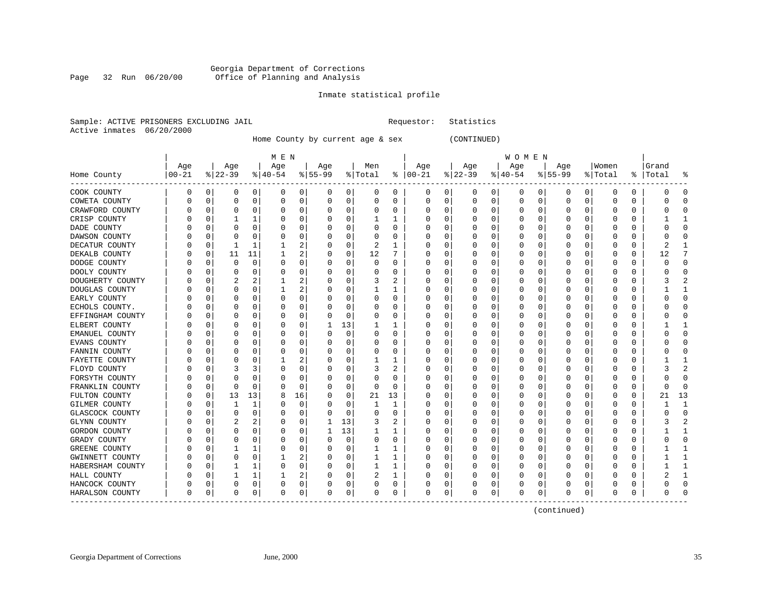# Georgia Department of Corrections Page 32 Run 06/20/00 Office of Planning and Analysis

# Inmate statistical profile

|  | Sample: ACTIVE PRISONERS EXCLUDING JAIL |  | Requestor: Statistics |  |
|--|-----------------------------------------|--|-----------------------|--|
|  | Active inmates 06/20/2000               |  |                       |  |

Home County by current age & sex (CONTINUED)

|                         | Age        |             |          |          |             |                |          |          |          |          |               |          |           |   | W O M E N |          |             |          |          |          |           |                |
|-------------------------|------------|-------------|----------|----------|-------------|----------------|----------|----------|----------|----------|---------------|----------|-----------|---|-----------|----------|-------------|----------|----------|----------|-----------|----------------|
|                         |            |             | Age      |          | Age         |                | Age      |          | Men      |          | Age           |          | Age       |   | Age       |          | Age         |          | Women    |          | Grand     |                |
| Home County<br>-------- | $ 00 - 21$ |             | $ 22-39$ |          | $ 40-54 $   |                | $ 55-99$ |          | % Total  |          | $8   00 - 21$ |          | $ 22-39 $ |   | $ 40-54 $ |          | $8155 - 99$ |          | % Total  |          | %   Total | ႜ              |
| COOK COUNTY             | 0          | 0           | 0        | 0        | 0           | $\overline{0}$ | 0        | 0        | 0        | 0        | 0             | 0        | 0         | 0 | 0         | 0        | 0           | 0        | 0        | 0        | 0         | 0              |
| COWETA COUNTY           |            | 0           | 0        | 0        | $\Omega$    | 0              | 0        | 0        | 0        | 0        | $\Omega$      | 0        | 0         | 0 | 0         | 0        | 0           | 0        | $\Omega$ | $\Omega$ |           | $\Omega$       |
| CRAWFORD COUNTY         |            | $\mathbf 0$ | U        | $\Omega$ | $\Omega$    | $\Omega$       | U        | $\Omega$ | $\Omega$ | O        | $\Omega$      | $\Omega$ | $\Omega$  | 0 | O         | $\Omega$ | C           | $\Omega$ | $\Omega$ | $\Omega$ |           | $\Omega$       |
| CRISP COUNTY            |            | $\Omega$    |          | 1        | $\Omega$    | $\Omega$       | U        | 0        |          | 1        | $\Omega$      | $\Omega$ | 0         | 0 | O         | $\Omega$ | U           | $\Omega$ | $\Omega$ | $\Omega$ |           | 1              |
| DADE COUNTY             |            | $\Omega$    | U        | $\Omega$ | O           | 0              |          | $\Omega$ | $\Omega$ | O        | O             | $\Omega$ | 0         | 0 |           | 0        | C           | $\Omega$ | O        | 0        |           | $\Omega$       |
| DAWSON COUNTY           |            | $\Omega$    | U        | O        | $\Omega$    | $\Omega$       |          | 0        |          | $\Omega$ | O             | $\Omega$ | 0         | 0 |           | $\Omega$ | Ω           | $\Omega$ | $\Omega$ | $\Omega$ |           | $\Omega$       |
| DECATUR COUNTY          |            | 0           | 1        | 1        | 1           | 2              |          | 0        | 2        | 1        | $\Omega$      | 0        | 0         | 0 | $\Omega$  | $\Omega$ | C           | $\Omega$ | $\Omega$ | $\Omega$ | 2         | 1              |
| DEKALB COUNTY           |            | 0           | 11       | 11       |             | 2              | U        | 0        | 12       | 7        | O             | 0        | 0         | 0 | O         | 0        | C           | 0        | 0        | 0        | 12        | 7              |
| DODGE COUNTY            |            | $\Omega$    | 0        | 0        | $\Omega$    | 0              | U        | 0        | $\Omega$ | O        | O             | 0        | 0         | 0 | $\left($  | 0        | O           | 0        | $\Omega$ | O        | O         | 0              |
| DOOLY COUNTY            |            | $\Omega$    | 0        | 0        | $\Omega$    | 0              |          | 0        |          | 0        | O             |          | 0         | 0 | 0         | $\Omega$ | C           | $\Omega$ | $\Omega$ | $\Omega$ |           | $\Omega$       |
| DOUGHERTY COUNTY        |            | $\Omega$    | 2        | 2        |             | 2              |          | 0        | 3        | 2        | O             | O        | 0         | 0 | O         | $\Omega$ | C           | $\Omega$ | O        | $\Omega$ |           | $\overline{2}$ |
| DOUGLAS COUNTY          |            | $\Omega$    | O        | $\Omega$ | -1          | 2              |          | $\Omega$ | ı        | ı        |               | $\Omega$ | 0         | U | $\left($  | $\Omega$ | C           | $\Omega$ | $\Omega$ | 0        |           | 1              |
| EARLY COUNTY            |            | 0           | 0        | 0        | $\Omega$    | 0              |          | 0        | 0        | 0        |               | 0        | 0         | 0 |           | $\Omega$ | Ω           | 0        | $\Omega$ | $\Omega$ |           | $\mathbf 0$    |
| ECHOLS COUNTY.          |            | 0           | U        | $\Omega$ | O           | 0              |          | 0        | $\Omega$ | O        | $\Omega$      | $\Omega$ | 0         | 0 |           | $\Omega$ | C           | $\Omega$ | $\Omega$ | $\Omega$ |           | $\Omega$       |
| EFFINGHAM COUNTY        |            | $\Omega$    | 0        | $\Omega$ | $\Omega$    | 0              | U        | 0        | $\Omega$ | 0        | 0             | $\Omega$ | 0         | 0 | O         | 0        | C           | $\Omega$ | $\Omega$ | 0        |           | $\Omega$       |
| ELBERT COUNTY           |            | $\Omega$    | U        | $\Omega$ | $\Omega$    | $\Omega$       | -1       | 13       |          | -1       | O             | $\Omega$ | 0         | 0 | O         | 0        | C           | $\Omega$ | $\Omega$ | 0        |           | 1              |
| EMANUEL COUNTY          |            | 0           |          | U        | 0           | 0              |          | 0        |          | 0        |               | O        | 0         | 0 | O         | $\Omega$ | C           | $\Omega$ | O        | O        |           | $\Omega$       |
| EVANS COUNTY            |            | $\Omega$    |          | O        | $\Omega$    | $\Omega$       |          | $\Omega$ | $\Omega$ | O        | O             | $\Omega$ | $\Omega$  | 0 | O         | $\Omega$ | C           | $\Omega$ | $\Omega$ | $\Omega$ |           | $\Omega$       |
| FANNIN COUNTY           |            | $\Omega$    | 0        | 0        | $\Omega$    | 0              | U        | 0        | 0        | 0        | O             | $\Omega$ | 0         | 0 | O         | $\Omega$ | C           | $\Omega$ | $\Omega$ | $\Omega$ |           | 0              |
| FAYETTE COUNTY          |            | 0           |          | 0        |             | 2              |          | 0        |          | 1        | 0             | $\Omega$ | 0         | 0 |           | 0        | C           | 0        | $\Omega$ | 0        |           | 1              |
| FLOYD COUNTY            |            | $\mathbf 0$ | 3        | 3        | $\Omega$    | 0              | U        | 0        | 3        | 2        | $\Omega$      | $\Omega$ | 0         | 0 |           | $\Omega$ | Ω           | $\Omega$ | $\Omega$ | $\Omega$ |           | $\overline{2}$ |
| FORSYTH COUNTY          |            | $\Omega$    | U        | $\Omega$ | $\Omega$    | $\Omega$       |          | $\Omega$ | $\Omega$ | O        | $\Omega$      | $\Omega$ | 0         | 0 | O         | $\Omega$ | C           | $\Omega$ | $\Omega$ | $\Omega$ |           | $\Omega$       |
| FRANKLIN COUNTY         |            | 0           | 0        | 0        | O           | 0              | U        | 0        | $\Omega$ | $\Omega$ | O             | 0        | 0         | 0 | O         | $\Omega$ | C           | 0        | O        | 0        | U         | 0              |
| FULTON COUNTY           |            | 0           | 13       | 13       | 8           | 16             | U        | 0        | 21       | 13       |               | O        | 0         | U | O         | $\Omega$ | C           | $\Omega$ | $\Omega$ | $\Omega$ | 21        | 13             |
| GILMER COUNTY           |            | $\Omega$    | 1        | 1        | O           | 0              | U        | 0        | 1        | 1        | $\Omega$      | ∩        | $\Omega$  | 0 |           | $\Omega$ | Ω           | $\Omega$ | $\Omega$ | $\Omega$ |           | $\mathbf{1}$   |
| GLASCOCK COUNTY         |            | $\Omega$    | 0        | $\Omega$ | $\Omega$    | $\Omega$       | U        | 0        | $\Omega$ | $\Omega$ | O             | $\Omega$ | 0         | 0 | O         | $\Omega$ | C           | $\Omega$ | O        | 0        |           | $\Omega$       |
| GLYNN COUNTY            |            | $\Omega$    | 2        | 2        | $\Omega$    | $\Omega$       | 1        | 13       | 3        | 2        | 0             | $\Omega$ | 0         | 0 | $\Omega$  | $\Omega$ | C           | $\Omega$ | $\Omega$ | $\Omega$ |           | $\overline{a}$ |
| GORDON COUNTY           |            | $\Omega$    | 0        | $\Omega$ | $\Omega$    | 0              | 1        | 13       |          | 1        |               | $\Omega$ | 0         | 0 |           | $\Omega$ | C           | $\Omega$ | $\Omega$ | $\Omega$ |           | 1              |
| GRADY COUNTY            |            | 0           | U        | 0        | O           | 0              |          | 0        | $\Omega$ | $\Omega$ | $\Omega$      | $\Omega$ | 0         | 0 |           | 0        | C           | $\Omega$ | $\Omega$ | $\Omega$ |           | $\Omega$       |
| GREENE COUNTY           |            | $\Omega$    |          | 1        | $\Omega$    | 0              | U        | 0        | -1       | 1        | O             | $\Omega$ | O         | 0 | O         | 0        | C           | $\Omega$ | O        | 0        |           | $\mathbf{1}$   |
| GWINNETT COUNTY         |            | 0           | 0        | 0        |             | 2              | U        | 0        | 1        | 1        | $\Omega$      | $\Omega$ | 0         | 0 | 0         | $\Omega$ | C           | $\Omega$ | $\Omega$ | $\Omega$ |           | 1              |
| HABERSHAM COUNTY        |            | $\mathbf 0$ |          | 1        | $\Omega$    | 0              | U        | 0        |          |          | $\Omega$      | O        | 0         | 0 | O         | $\Omega$ | Ω           | $\Omega$ | ∩        | $\Omega$ |           | 1              |
| HALL COUNTY             |            | $\Omega$    |          | 1        |             | 2              | U        | 0        | 2        | 1        | O             | $\Omega$ | 0         | 0 | O         | $\Omega$ | C           | $\Omega$ | $\Omega$ | $\Omega$ |           | 1              |
| HANCOCK COUNTY          |            | $\Omega$    | 0        | 0        | $\Omega$    | 0              | 0        | 0        | $\Omega$ | 0        |               | 0        | 0         | 0 | $\Omega$  | 0        | C           | $\Omega$ | 0        | 0        |           | $\Omega$       |
| HARALSON COUNTY         | O          | 0           | 0        | 0        | $\mathbf 0$ | 0              | 0        | 0        | $\Omega$ | 0        | $\Omega$      | 0        | 0         | 0 | 0         | 0        | 0           | 0        | $\Omega$ | 0        | O         | $\Omega$       |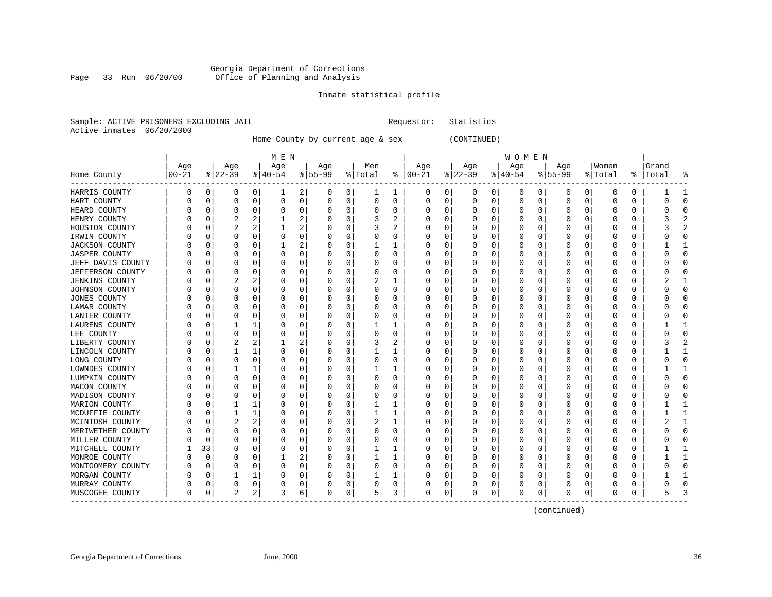# Georgia Department of Corrections Page 33 Run 06/20/00 Office of Planning and Analysis

# Inmate statistical profile

|  |                           | Sample: ACTIVE PRISONERS EXCLUDING JAIL |  | Requestor: Statistics |  |
|--|---------------------------|-----------------------------------------|--|-----------------------|--|
|  | Active inmates 06/20/2000 |                                         |  |                       |  |

# Home County by current age & sex (CONTINUED)

|                       |          |          |           |                | M E N     |                |           |             |          |          |               |             |           |             | W O M E N |   |           |   |          |          |       |              |
|-----------------------|----------|----------|-----------|----------------|-----------|----------------|-----------|-------------|----------|----------|---------------|-------------|-----------|-------------|-----------|---|-----------|---|----------|----------|-------|--------------|
|                       | Age      |          | Age       |                | Age       |                | Age       |             | Men      |          | Age           |             | Age       |             | Age       |   | Age       |   | Women    |          | Grand |              |
| Home County           | $ 00-21$ |          | $ 22-39 $ |                | $8 40-54$ |                | $8 55-99$ |             | % Total  |          | $8   00 - 21$ |             | $ 22-39 $ |             | $ 40-54$  |   | $ 55-99 $ |   | % Total  | ႜ        | Total |              |
| HARRIS COUNTY         | 0        | 0        | 0         | 0              | 1         | 2              | 0         | 0           | 1        | 1        | 0             | 0           | 0         | 0           | 0         | 0 | 0         | 0 | $\Omega$ | 0        |       |              |
| HART COUNTY           |          | 0        | 0         | 0              | 0         | 0              | 0         | 0           | $\Omega$ | 0        | 0             | 0           | 0         | $\mathbf 0$ | 0         | 0 | $\Omega$  | 0 | O        | $\Omega$ | O     | ∩            |
| HEARD COUNTY          |          | 0        | 0         | 0              | O         | 0              | 0         | $\mathbf 0$ | O        | 0        | 0             | $\mathbf 0$ | $\Omega$  | 0           | 0         | 0 | $\Omega$  | 0 | $\left($ | $\Omega$ | O     | U            |
| HENRY COUNTY          |          | 0        | 2         | $\overline{a}$ |           | $\overline{a}$ |           | $\mathbf 0$ | 3        | 2        |               | $\mathbf 0$ | 0         | $\mathbf 0$ | 0         | 0 | $\left($  | 0 | $\left($ | $\Omega$ |       |              |
| HOUSTON COUNTY        |          | 0        |           | 2              | 1         | $\overline{a}$ |           | $\mathbf 0$ | 3        | 2        | 0             | 0           |           | 0           | 0         | 0 | C         | 0 |          | $\Omega$ |       |              |
| IRWIN COUNTY          |          | O        | 0         | 0              | 0         | 0              | U         | 0           | O        | 0        | U             | 0           | 0         | 0           | 0         | O | $\Omega$  | 0 | O        | 0        |       | U            |
| <b>JACKSON COUNTY</b> |          | O        | 0         | $\Omega$       |           | $\overline{a}$ | 0         | 0           |          |          | U             | 0           | 0         | 0           | 0         | 0 | 0         | 0 | $\left($ | 0        |       | -1           |
| <b>JASPER COUNTY</b>  |          | O        | 0         | $\Omega$       | 0         | 0              | 0         | 0           | 0        | 0        | U             | 0           | 0         | 0           | 0         | 0 | 0         | 0 | $\left($ | 0        |       | <sup>0</sup> |
| JEFF DAVIS COUNTY     |          | 0        |           | 0              | 0         | 0              |           | 0           | 0        | 0        |               | 0           |           | 0           | 0         | 0 | 0         | 0 | 0        | 0        |       |              |
| JEFFERSON COUNTY      |          | O        | 0         | O              | n         | 0              | Λ         | 0           | O        | 0        | U             | 0           | O         | 0           | O         | O | C         | 0 |          | $\Omega$ |       |              |
| <b>JENKINS COUNTY</b> |          | U        |           | 2              | O         | 0              | Ω         | 0           | 2        | 1        |               | 0           | 0         | 0           | 0         | O | O         | 0 | O        | 0        |       |              |
| JOHNSON COUNTY        |          | U        | 0         | $\Omega$       | O         | 0              |           | 0           | O        | 0        | U             | 0           | O         | 0           | 0         | O | 0         | 0 | $\left($ | 0        |       | U            |
| JONES COUNTY          |          | 0        |           | 0              | C         | 0              |           | $\mathbf 0$ | 0        | 0        |               | $\mathbf 0$ |           | 0           | 0         | 0 | C         | 0 |          | $\Omega$ |       | C            |
| LAMAR COUNTY          |          | O        | 0         | $\Omega$       | O         | 0              |           | 0           | O        | 0        | U             | 0           |           | 0           | 0         | 0 | C         | 0 |          | 0        |       | U            |
| LANIER COUNTY         |          | O        | 0         | 0              | 0         | 0              | Ω         | 0           | O        | 0        | U             | 0           | 0         | 0           | 0         | 0 | 0         | 0 | O        | 0        |       | <sup>0</sup> |
| LAURENS COUNTY        |          | 0        |           | 1              | 0         | 0              | 0         | 0           | 1        |          | 0             | 0           | 0         | 0           | 0         | 0 | $\Omega$  | 0 | O        | $\Omega$ |       | 1            |
| LEE COUNTY            |          | 0        | 0         | $\Omega$       | 0         | 0              | 0         | 0           | 0        | 0        | 0             | 0           | O         | 0           | 0         | 0 | 0         | 0 | 0        | $\Omega$ |       | C            |
| LIBERTY COUNTY        |          | 0        |           | 2              |           | 2              | 0         | 0           | 3        | 2        | 0             | 0           |           | 0           | 0         | 0 | C         | 0 | 0        | $\Omega$ |       |              |
| LINCOLN COUNTY        |          | U        |           | 1              | O         | $\Omega$       | Ω         | $\Omega$    |          | 1        | 0             | $\Omega$    | 0         | $\Omega$    | 0         | O | C         | 0 | O        | $\Omega$ |       |              |
| LONG COUNTY           |          | O        | $\Omega$  | $\Omega$       | 0         | 0              | 0         | $\Omega$    | 0        | 0        | 0             | $\Omega$    | $\Omega$  | $\Omega$    | 0         | O | ſ         | 0 | $\left($ | $\Omega$ |       | C            |
| LOWNDES COUNTY        |          | 0        | 1         | 1              | 0         | 0              | C         | 0           |          | 1        | 0             | $\mathbf 0$ | C         | 0           | 0         | 0 | C         | 0 | $\Omega$ | $\Omega$ |       |              |
| LUMPKIN COUNTY        |          | O        | 0         | 0              | 0         | 0              |           | $\mathbf 0$ | 0        | $\Omega$ |               | 0           | C         | 0           | 0         | 0 | C         | 0 | $\left($ | $\Omega$ |       | C            |
| MACON COUNTY          |          | 0        | 0         | $\Omega$       | 0         | 0              | U         | 0           | O        | $\Omega$ | U             | 0           |           | $\mathbf 0$ | 0         | O | C         | 0 |          | $\Omega$ |       | $\cap$       |
| MADISON COUNTY        |          | O        | $\Omega$  | $\Omega$       | O         | 0              | U         | 0           | O        | 0        | U             | 0           | 0         | 0           | 0         | O | $\Omega$  | 0 | O        | $\Omega$ |       | $\Omega$     |
| MARION COUNTY         |          | O        |           | 1              | O         | 0              | 0         | 0           |          |          | U             | 0           | 0         | 0           | 0         | O | $\Omega$  | 0 | $\left($ | 0        |       | 1            |
| MCDUFFIE COUNTY       |          | O        |           |                | C         | 0              | Ω         | 0           |          |          | U             | 0           |           | 0           | 0         | O | 0         | 0 | $\left($ | $\Omega$ |       |              |
| MCINTOSH COUNTY       |          | U        |           | 2              | O         | 0              | Ω         | 0           |          |          | U             | 0           | O         | 0           | O         | O | 0         | 0 |          | $\Omega$ |       |              |
| MERIWETHER COUNTY     |          | O        | $\Omega$  | O              | O         | 0              | O         | $\Omega$    | O        | 0        | U             | $\Omega$    | O         | 0           | O         | O | 0         | U |          | $\Omega$ |       |              |
| MILLER COUNTY         |          | O        | n         | O              | O         | 0              | Ω         | 0           | O        | 0        | U             | 0           | 0         | 0           | 0         | O | O         | 0 | $\left($ | 0        |       | n            |
| MITCHELL COUNTY       |          | 33       | 0         | $\Omega$       | O         | 0              |           | 0           |          | 1        | U             | $\mathbf 0$ | 0         | 0           | 0         | O | $\Omega$  | 0 | $\left($ | 0        |       |              |
| MONROE COUNTY         |          | $\Omega$ |           | 0              |           | $\overline{2}$ |           | 0           |          | 1        |               | $\mathsf 0$ |           | 0           | 0         | 0 | C         | 0 |          | $\Omega$ |       |              |
| MONTGOMERY COUNTY     |          | 0        | $\Omega$  | 0              | O         | 0              | Λ         | 0           | O        | 0        | U             | 0           |           | 0           | O         | O | 0         | 0 |          | $\Omega$ |       | $\cap$       |
| MORGAN COUNTY         |          | O        |           | 1              |           | 0              | Ω         | 0           |          | 1        | U             | 0           | 0         | 0           | 0         | 0 | 0         | 0 |          | 0        |       | 1            |
| MURRAY COUNTY         | U        | 0        | 0         | 0              | 0         | 0              | 0         | 0           | 0        | 0        | 0             | 0           | 0         | 0           | 0         | 0 | 0         | 0 | $\left($ | 0        | U     | ∩            |
| MUSCOGEE COUNTY       | 0        | 0        | 2         | 2              | 3         | 6              | 0         | 0           | 5        | 3        | 0             | 0           | 0         | 0           | 0         | 0 | 0         | 0 | 0        | 0        | 5     |              |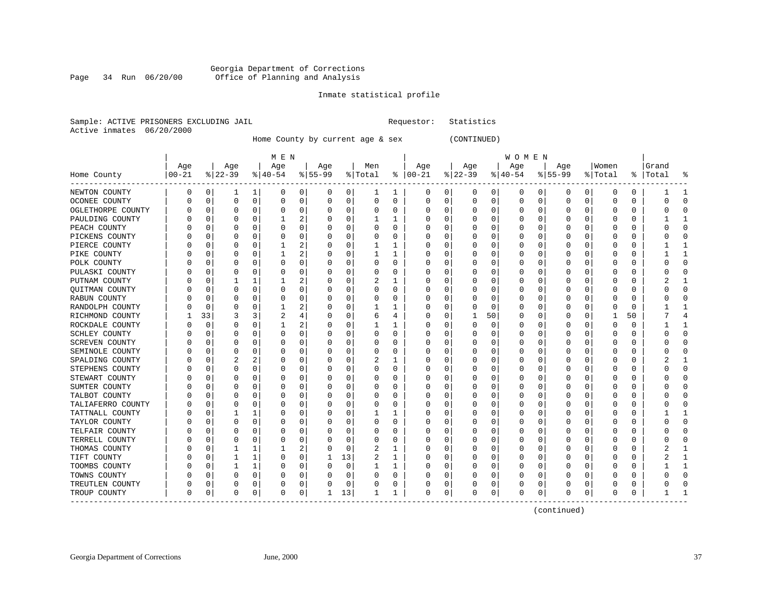### Georgia Department of Corrections Page 34 Run 06/20/00 Office of Planning and Analysis

### Inmate statistical profile

|  |                           | Sample: ACTIVE PRISONERS EXCLUDING JAIL |  | Requestor: Statistics |  |
|--|---------------------------|-----------------------------------------|--|-----------------------|--|
|  | Active inmates 06/20/2000 |                                         |  |                       |  |

Home County by current age & sex (CONTINUED)

| M E N | W O M E N | Age | Age | Age | Age | Men | Age | Age | Age | Age |Women |Grand Home County |00-21 %|22-39 %|40-54 %|55-99 %|Total % |00-21 %|22-39 %|40-54 %|55-99 %|Total % |Total % ------------------------------------------------------------------------------------------------------------------------------------NEWTON COUNTY | 0 0| 1 1| 0 0| 0 0| 1 1 | 0 0| 0 0| 0 0| 0 0| 0 0 | 1 1 OCONEE COUNTY | 0 0| 0 0| 0 0| 0 0| 0 0 | 0 0| 0 0| 0 0| 0 0| 0 0 | 0 0 OGLETHORPE COUNTY | 0 0| 0 0| 0 0| 0 0| 0 0 | 0 0| 0 0| 0 0| 0 0| 0 0 | 0 0 PAULDING COUNTY | 0 0| 0 0| 1 2| 0 0| 1 1 | 0 0| 0 0| 0 0| 0 0| 0 0 | 1 1 PEACH COUNTY | 0 0| 0 0| 0 0| 0 0| 0 0 | 0 0| 0 0| 0 0| 0 0| 0 0 | 0 0 PICKENS COUNTY | 0 0| 0 0| 0 0| 0 0| 0 0 | 0 0| 0 0| 0 0| 0 0| 0 0 | 0 0 PIERCE COUNTY | 0 0| 0 0| 1 2| 0 0| 1 1 | 0 0| 0 0| 0 0| 0 0| 0 0 | 1 1 PIKE COUNTY | 0 0| 0 0| 1 2| 0 0| 1 1 | 0 0| 0 0| 0 0| 0 0| 0 0 | 1 1 POLK COUNTY | 0 0| 0 0| 0 0| 0 0| 0 0 | 0 0| 0 0| 0 0| 0 0| 0 0 | 0 0 PULASKI COUNTY | 0 0| 0 0| 0 0| 0 0| 0 0 | 0 0| 0 0| 0 0| 0 0| 0 0 | 0 0 PUTNAM COUNTY | 0 0| 1 1| 1 2| 0 0| 2 1 | 0 0| 0 0| 0 0| 0 0| 0 0 | 2 1 QUITMAN COUNTY | 0 0| 0 0| 0 0| 0 0| 0 0 | 0 0| 0 0| 0 0| 0 0| 0 0 | 0 0 RABUN COUNTY | 0 0| 0 0| 0 0| 0 0| 0 0 | 0 0| 0 0| 0 0| 0 0| 0 0 | 0 0 RANDOLPH COUNTY | 0 0| 0 0| 1 2| 0 0| 1 1 | 0 0| 0 0| 0 0| 0 0| 0 0 | 1 1 RICHMOND COUNTY | 1 33| 3 3| 2 4| 0 0| 6 4 | 0 0| 1 50| 0 0| 0 0| 1 50 | 7 4 ROCKDALE COUNTY | 0 0| 0 0| 1 2| 0 0| 1 1 | 0 0| 0 0| 0 0| 0 0| 0 0 | 1 1 SCHLEY COUNTY | 0 0| 0 0| 0 0| 0 0| 0 0 | 0 0| 0 0| 0 0| 0 0| 0 0 | 0 0 SCREVEN COUNTY | 0 0| 0 0| 0 0| 0 0| 0 0 | 0 0| 0 0| 0 0| 0 0| 0 0 | 0 0 SEMINOLE COUNTY | 0 0| 0 0| 0 0| 0 0| 0 0 | 0 0| 0 0| 0 0| 0 0| 0 0 | 0 0 SPALDING COUNTY | 0 0| 2 2| 0 0| 0 0| 2 1 | 0 0| 0 0| 0 0| 0 0| 0 0 | 2 1 STEPHENS COUNTY | 0 0| 0 0| 0 0| 0 0| 0 0 | 0 0| 0 0| 0 0| 0 0| 0 0 | 0 0 STEWART COUNTY | 0 0| 0 0| 0 0| 0 0| 0 0 | 0 0| 0 0| 0 0| 0 0| 0 0 | 0 0 SUMTER COUNTY | 0 0| 0 0| 0 0| 0 0| 0 0 | 0 0| 0 0| 0 0| 0 0| 0 0 | 0 0 TALBOT COUNTY | 0 0| 0 0| 0 0| 0 0| 0 0 | 0 0| 0 0| 0 0| 0 0| 0 0 | 0 0 TALIAFERRO COUNTY | 0 0 | 0 0 | 0 0 | 0 0 | 0 0 | 0 0 | 0 0 | 0 0 | 0 0 | 0 0 | 0 0 | 0 0 | 0 0 | 0 0 | 0 0 | 0 TATTNALL COUNTY | 0 0| 1 1| 0 0| 0 0| 1 1 | 0 0| 0 0| 0 0| 0 0| 0 0 | 1 1 TAYLOR COUNTY | 0 0| 0 0| 0 0| 0 0| 0 0 | 0 0| 0 0| 0 0| 0 0| 0 0 | 0 0 TELFAIR COUNTY | 0 0| 0 0| 0 0| 0 0| 0 0 | 0 0| 0 0| 0 0| 0 0| 0 0 | 0 0 TERRELL COUNTY | 0 0| 0 0| 0 0| 0 0| 0 0 | 0 0| 0 0| 0 0| 0 0| 0 0 | 0 0 THOMAS COUNTY | 0 0| 1 1| 1 2| 0 0| 2 1 | 0 0| 0 0| 0 0| 0 0| 0 0 | 2 1 TIFT COUNTY | 0 0| 1 1| 0 0| 1 13| 2 1 | 0 0| 0 0| 0 0| 0 0| 0 0 | 2 1 TOOMBS COUNTY | 0 0| 1 1| 0 0| 0 0| 1 1 | 0 0| 0 0| 0 0| 0 0| 0 0 | 1 1 TOWNS COUNTY | 0 0| 0 0| 0 0| 0 0| 0 0 | 0 0| 0 0| 0 0| 0 0| 0 0 | 0 0 TREUTLEN COUNTY | 0 0| 0 0| 0 0| 0 0| 0 0 | 0 0| 0 0| 0 0| 0 0| 0 0 | 0 0 TROUP COUNTY | 0 0| 0 0| 0 0| 1 13| 1 1 | 0 0| 0 0| 0 0| 0 0| 0 0 | 1 1 ------------------------------------------------------------------------------------------------------------------------------------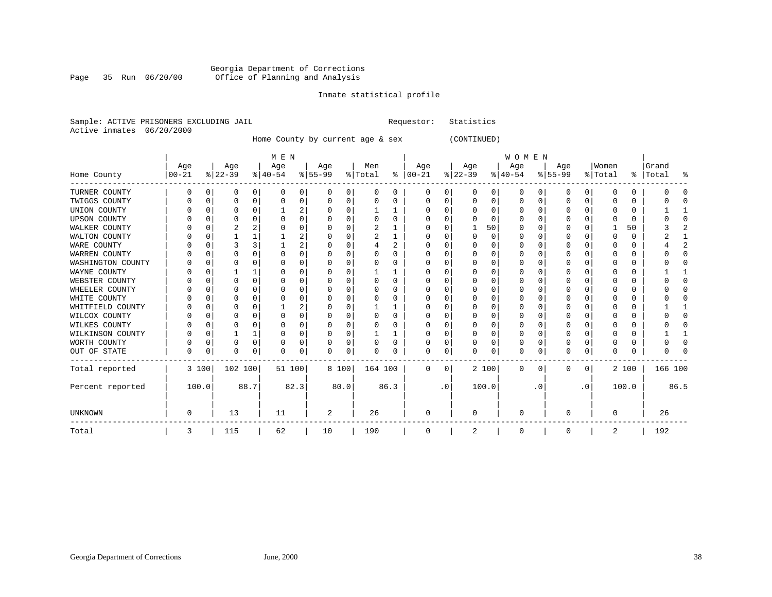# Georgia Department of Corrections Page 35 Run 06/20/00 Office of Planning and Analysis

# Inmate statistical profile

|  | Sample: ACTIVE PRISONERS EXCLUDING JAIL | Requestor: Statistics |  |
|--|-----------------------------------------|-----------------------|--|
|  | Active inmates 06/20/2000               |                       |  |

Home County by current age & sex (CONTINUED)

|                     |           |          |          |              | M E N     |      |          |          |         |      |               |           |          |          | WOMEN     |          |              |           |         |       |           |      |
|---------------------|-----------|----------|----------|--------------|-----------|------|----------|----------|---------|------|---------------|-----------|----------|----------|-----------|----------|--------------|-----------|---------|-------|-----------|------|
|                     | Age       |          | Age      |              | Age       |      | Age      |          | Men     |      | Age           |           | Age      |          | Age       |          | Age          |           | Women   |       | Grand     |      |
| Home County         | $00 - 21$ |          | $ 22-39$ |              | $ 40-54 $ |      | $ 55-99$ |          | % Total |      | $8   00 - 21$ |           | $ 22-39$ |          | $ 40-54 $ |          | $8 55-99$    |           | % Total |       | %   Total | န္   |
| TURNER COUNTY       | 0         | 0        | 0        | 0            | 0         | 0    | O        | 0        | 0       | 0    | 0             | 0         | 0        | 0        | 0         | 0        | 0            | 0         | O       | 0     |           |      |
| TWIGGS COUNTY       |           | $\Omega$ | 0        | $\Omega$     | 0         | 0    |          | 0        | 0       | 0    |               | U         | 0        | $\Omega$ | 0         | O        |              | 0         |         | 0     |           |      |
| UNION COUNTY        |           | ∩        | O        | <sup>n</sup> |           | 2    |          | $\Omega$ |         |      | n             | 0         | ∩        | $\Omega$ | O         | C        | <sup>0</sup> |           |         | 0     |           |      |
| <b>UPSON COUNTY</b> |           | C        | U        |              |           | 0    |          | $\Omega$ | O       | 0    | $\Omega$      | U         |          | ∩        | O         |          | ∩            |           |         | 0     |           |      |
| WALKER COUNTY       |           | C        |          |              |           | 0    |          | $\Omega$ | 2       |      | $\Omega$      | U         |          | 50       | O         | C        |              | O         |         | 50    |           |      |
| WALTON COUNTY       |           | $\Omega$ |          |              |           | 2    |          | $\Omega$ | 2       |      | O             | U         | ∩        | $\Omega$ | O         | C        | O            |           |         | 0     |           |      |
| WARE COUNTY         |           | C        |          |              |           | 2    |          | $\Omega$ |         | 2    | n             | U         |          | $\Omega$ | O         |          |              |           |         | 0     |           |      |
| WARREN COUNTY       |           | C        |          |              |           | 0    |          | $\Omega$ |         | O    |               | U         |          | $\Omega$ | 0         |          |              |           |         | 0     |           |      |
| WASHINGTON COUNTY   |           | C        | O        | n            | O         | 0    |          | $\Omega$ | O       | U    | O             | U         | ∩        | $\Omega$ | O         |          | O            |           |         | U     |           |      |
| WAYNE COUNTY        |           | C        |          |              |           | 0    |          | $\Omega$ |         |      | O             | O         |          | $\Omega$ | O         |          | O            |           |         | 0     |           |      |
| WEBSTER COUNTY      |           | $\Omega$ |          | 0            | C         | 0    |          | $\Omega$ | 0       | 0    |               | U         |          | $\Omega$ | U         |          |              |           |         | 0     |           | ſ    |
| WHEELER COUNTY      |           | $\Omega$ | U        | ∩            | O         | 0    |          | $\Omega$ | U       | O    | n             | U         | ∩        | $\Omega$ | O         | C        | O            |           |         | U     |           | C    |
| WHITE COUNTY        |           | C        | O        | O            |           | 0    |          | $\Omega$ |         | U    | n             | U         |          | $\Omega$ |           |          |              |           |         | 0     |           |      |
| WHITFIELD COUNTY    |           | C        |          |              |           | 2    |          | $\Omega$ |         |      | 0             | U         |          | $\Omega$ | O         |          |              |           |         | 0     |           |      |
| WILCOX COUNTY       |           | C        | O        | U            | O         | 0    |          | $\Omega$ | O       | 0    | $\Box$        | U         | O        | $\Omega$ | $^{(1)}$  |          | O            |           |         | U     |           |      |
| WILKES COUNTY       |           | C        | O        | U            |           | 0    |          | $\Omega$ |         | O    | n             | 0         |          | $\Omega$ | 0         |          | O            |           |         | 0     |           |      |
| WILKINSON COUNTY    |           | 0        |          | 1            | 0         | 0    |          | $\Omega$ |         |      | 0             | 0         | 0        | $\Omega$ | 0         | C        | 0            |           |         | 0     |           |      |
| WORTH COUNTY        |           | $\Omega$ | O        | $\Omega$     | O         | 0    |          | 0        | U       | 0    |               | 0         |          | $\Omega$ | 0         | C        |              |           |         | U     |           |      |
| OUT OF STATE        | O         | 0        | $\Omega$ | 0            | n         | 0    | ∩        | 0        | U       | O    | $\Omega$      | 0         | ∩        | 0        | 0         | C        | $\Omega$     | $\Omega$  | U       | 0     |           |      |
| Total reported      |           | 3 100    | 102 100  |              | 51 100    |      | 8 100    |          | 164 100 |      | 0             | 0         |          | 2 100    | 0         | $\Omega$ | $\Omega$     | 0         |         | 2 100 | 166 100   |      |
| Percent reported    |           | 100.0    |          | 88.7         |           | 82.3 |          | 80.0     |         | 86.3 |               | $\cdot$ 0 |          | 100.0    |           | . 0      |              | $\cdot$ 0 |         | 100.0 |           | 86.5 |
| <b>UNKNOWN</b>      | 0         |          | 13       |              | 11        |      | 2        |          | 26      |      | $\Omega$      |           | $\Omega$ |          | O         |          | ∩            |           | U       |       | 26        |      |
| Total               | 3         |          | 115      |              | 62        |      | 10       |          | 190     |      | 0             |           | 2        |          | 0         |          | 0            |           | 2       |       | 192       |      |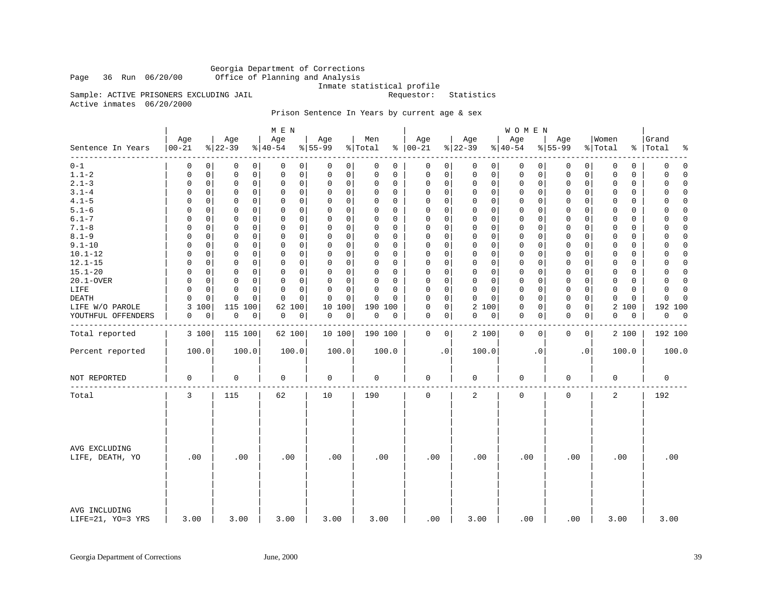Georgia Department of Corrections Page 36 Run 06/20/00 Office of Planning and Analysis

Inmate statistical profile

Sample: ACTIVE PRISONERS EXCLUDING JAIL **Requestor:** Statistics

Active inmates 06/20/2000

# Prison Sentence In Years by current age & sex

|                                    |                 |             |                            | M E N            |             |                            |                |             |                      |             |                 |              | W O M E N       |             |                 |              |                  |             |                               |             |
|------------------------------------|-----------------|-------------|----------------------------|------------------|-------------|----------------------------|----------------|-------------|----------------------|-------------|-----------------|--------------|-----------------|-------------|-----------------|--------------|------------------|-------------|-------------------------------|-------------|
| Sentence In Years                  | Age<br>$ 00-21$ |             | Age<br>$ 22-39 $           | Age<br>$8 40-54$ |             | Age<br>$8 55-99$           | Men<br>% Total |             | Age<br>$8   00 - 21$ |             | Age<br>$ 22-39$ |              | Age<br>$ 40-54$ |             | Age<br>$ 55-99$ |              | Women<br>% Total |             | Grand<br>%   Total<br>ႜ       |             |
| $- - - - - -$<br>$0 - 1$           | 0               | $\Omega$    | 0<br>0                     | $\Omega$         | 0           | 0<br>0                     | 0              | $\Omega$    | 0                    | 0           | 0               | $\mathbf{0}$ | 0               | 0           | 0               | 0            | 0                | 0           | $\Omega$                      | $\Omega$    |
| $1.1 - 2$                          | 0               | $\mathbf 0$ | $\mathsf 0$<br>0           | $\mathbf 0$      | $\mathsf 0$ | 0<br>0                     | $\mathbf 0$    | $\mathbf 0$ | 0                    | $\mathsf 0$ | $\mathsf 0$     | $\mathsf{O}$ | $\mathsf 0$     | 0           | $\mathbf 0$     | $\mathsf{O}$ | 0                | $\mathbf 0$ | 0                             | $\Omega$    |
| $2.1 - 3$                          | 0               | $\mathbf 0$ | $\mathsf 0$<br>0           | $\mathsf 0$      | $\mathbf 0$ | 0<br>0                     | 0              | 0           | $\mathbf 0$          | 0           | $\mathbf 0$     | $\mathsf{O}$ | 0               | 0           | $\mathbf 0$     | 0            | 0                | $\mathbf 0$ | 0                             | $\Omega$    |
| $3.1 - 4$                          | 0               | $\Omega$    | 0<br>0                     | $\Omega$         | 0           | 0<br>0                     | $\Omega$       | $\Omega$    | 0                    | 0           | $\mathbf 0$     | 0            | 0               | 0           | $\mathbf 0$     | 0            | $\Omega$         | $\Omega$    | $\Omega$                      | $\Omega$    |
| $4.1 - 5$                          | $\Omega$        | $\mathbf 0$ | $\mathbf 0$<br>0           | $\mathbf 0$      | $\mathbf 0$ | $\mathbf 0$<br>$\mathbf 0$ | $\Omega$       | $\Omega$    | $\mathbf 0$          | 0           | $\mathbf 0$     | 0            | 0               | $\mathbf 0$ | $\mathbf 0$     | $\mathbf 0$  | $\mathbf 0$      | $\Omega$    | $\Omega$                      | $\Omega$    |
| $5.1 - 6$                          | $\Omega$        | 0           | 0<br>0                     | 0                | $\mathbf 0$ | 0<br>0                     | $\Omega$       | $\Omega$    | $\mathbf 0$          | 0           | 0               | $\mathbf 0$  | 0               | 0           | $\mathbf 0$     | $\mathbf 0$  | 0                | 0           | 0                             | $\mathbf 0$ |
| $6.1 - 7$                          | $\Omega$        | $\Omega$    | $\Omega$<br>0              | $\Omega$         | $\Omega$    | 0<br>0                     | $\Omega$       | $\Omega$    | $\Omega$             | $\mathbf 0$ | $\Omega$        | $\mathbf 0$  | 0               | $\Omega$    | $\mathbf 0$     | 0            | $\Omega$         | $\Omega$    | 0                             | $\Omega$    |
| $7.1 - 8$                          | $\Omega$        | $\mathbf 0$ | $\mathbf 0$<br>$\mathsf 0$ | $\mathbf 0$      | $\mathbf 0$ | 0<br>$\mathbf 0$           | $\Omega$       | $\Omega$    | $\mathbf 0$          | $\mathsf 0$ | $\mathbf 0$     | $\mathsf{O}$ | $\mathsf 0$     | $\mathbf 0$ | $\mathbf 0$     | $\mathbf 0$  | $\mathbf 0$      | $\Omega$    | $\Omega$                      | $\Omega$    |
| $8.1 - 9$                          | 0               | 0           | 0<br>0                     | 0                | $\mathbf 0$ | 0<br>0                     | $\Omega$       | 0           | $\mathbf 0$          | 0           | 0               | 0            | 0               | 0           | $\mathbf 0$     | 0            | 0                | 0           | 0                             | 0           |
| $9.1 - 10$                         | 0               | $\Omega$    | 0<br>0                     | $\Omega$         | 0           | 0<br>0                     | $\Omega$       | $\Omega$    | 0                    | $\mathbf 0$ | $\mathbf 0$     | $\mathbf 0$  | 0               | 0           | 0               | 0            | 0                | $\Omega$    | 0                             | $\Omega$    |
| $10.1 - 12$                        | $\Omega$        | 0           | $\mathbf 0$<br>0           | $\Omega$         | $\mathbf 0$ | $\Omega$<br>$\mathbf 0$    | $\Omega$       | $\Omega$    | $\mathbf 0$          | $\mathbf 0$ | $\mathbf 0$     | $\mathsf{O}$ | $\mathbf 0$     | 0           | $\mathbf 0$     | $\mathbf 0$  | $\mathbf 0$      | $\Omega$    | $\Omega$                      | $\Omega$    |
| $12.1 - 15$                        | $\Omega$        | 0           | 0<br>0                     | 0                | $\mathbf 0$ | 0<br>0                     | $\Omega$       | 0           | 0                    | 0           | 0               | 0            | 0               | 0           | 0               | 0            | 0                | 0           | 0                             | 0           |
| $15.1 - 20$                        | $\Omega$        | $\Omega$    | 0<br>0                     | $\Omega$         | 0           | 0<br>0                     | 0              | $\Omega$    | 0                    | $\mathbf 0$ | $\mathbf 0$     | $\mathbf 0$  | 0               | 0           | $\mathbf 0$     | 0            | 0                | 0           | 0                             | $\Omega$    |
| 20.1-OVER                          | $\Omega$        | $\mathbf 0$ | $\mathbf 0$<br>$\mathbf 0$ | $\mathbf 0$      | $\mathbf 0$ | $\Omega$<br>$\mathbf 0$    | $\Omega$       | $\Omega$    | $\mathbf 0$          | $\mathsf 0$ | $\mathbf 0$     | $\mathsf{O}$ | $\mathsf 0$     | $\mathbf 0$ | $\mathbf 0$     | $\mathbf 0$  | $\mathbf 0$      | $\mathbf 0$ | 0<br>$\Omega$                 |             |
| LIFE                               | 0               | 0           | 0<br>0                     | 0                | $\mathbf 0$ | 0<br>0                     | $\Omega$       | 0           | 0                    | 0           | 0               | $\mathbf 0$  | 0               | 0           | $\mathbf 0$     | 0            | 0                | $\mathbf 0$ | 0                             | $\mathbf 0$ |
| DEATH                              | 0               | $\Omega$    | 0<br>$\mathbf 0$           | $\Omega$         | $\Omega$    | 0<br>0                     | $\Omega$       | $\Omega$    | $\Omega$             | $\mathbf 0$ | $\Omega$        | $\Omega$     | 0               | 0           | 0               | $\Omega$     | 0                | $\mathbf 0$ | 0                             | $\Omega$    |
| LIFE W/O PAROLE                    | 3<br>100        |             | 115<br>100                 | 62               | 100         | 10<br>100                  |                | 190 100     | $\mathbf 0$          | $\mathsf 0$ | 2 100           |              | 0               | 0           | $\mathbf 0$     | 0            | 2                | 100         | 192 100                       |             |
| YOUTHFUL OFFENDERS                 | 0               | 0           | 0<br>0                     | 0                | $\mathsf 0$ | 0<br>0                     | 0              | 0           | 0                    | 0           | 0               | 0            | 0               | 0           | $\mathbf 0$     | 0            | 0                | 0           | 0<br>$\overline{\phantom{0}}$ |             |
| Total reported                     | 3 100           |             | 115 100                    | 62 100           |             | 10 100                     |                | 190 100     | 0                    | 0           | 2 100           |              | $\mathbf 0$     | 0           | $\mathbf 0$     | 0            |                  | 2 100       | 192 100                       |             |
| Percent reported                   | 100.0           |             | 100.0                      |                  | 100.0       | 100.0                      |                | 100.0       |                      | $\cdot$ 0   | 100.0           |              |                 | $\cdot$ 0   |                 | $\cdot$ 0    |                  | 100.0       | 100.0                         |             |
| NOT REPORTED                       | 0               |             | $\mathbf 0$                | $\mathbf 0$      |             | 0                          | 0              |             | 0                    |             | 0               |              | 0               |             | 0               |              | 0                |             | 0                             |             |
| Total                              | 3               |             | 115                        | 62               |             | 10                         | 190            |             | $\mathbf 0$          |             | 2               |              | $\mathbf 0$     |             | $\mathbf 0$     |              | 2                |             | 192                           |             |
| AVG EXCLUDING<br>LIFE, DEATH, YO   | .00             |             | .00                        | .00              |             | .00                        |                | .00         | .00                  |             | .00             |              | .00             |             | .00             |              | .00              |             | .00                           |             |
| AVG INCLUDING<br>LIFE=21, YO=3 YRS | 3.00            |             | 3.00                       | 3.00             |             | 3.00                       |                | 3.00        | .00                  |             | 3.00            |              | .00             |             | .00             |              | 3.00             |             | 3.00                          |             |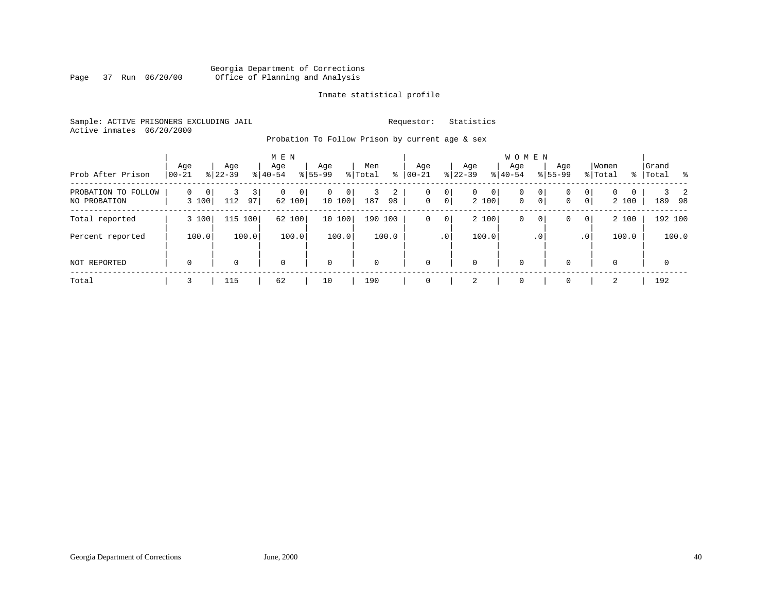# Georgia Department of Corrections Page 37 Run 06/20/00 Office of Planning and Analysis

# Inmate statistical profile

Sample: ACTIVE PRISONERS EXCLUDING JAIL **Requestor:** Statistics Active inmates 06/20/2000

Probation To Follow Prison by current age & sex

| Prob After Prison                   | Age<br>$ 00-21$                        | Age<br>$8 22-39$            | M E N<br>Age<br>$8 40-54$ | Age<br>$8 55-99$                    | Men<br>% Total<br>∻ | Age<br>$ 00 - 21$                                    | Age<br>$ 22-39 $                          | W O M E N<br>Age<br>$ 40-54 $                        | Age<br>$8155 - 99$                      | Women<br>% Total                      | Grand<br>%   Total<br>- 옹 |
|-------------------------------------|----------------------------------------|-----------------------------|---------------------------|-------------------------------------|---------------------|------------------------------------------------------|-------------------------------------------|------------------------------------------------------|-----------------------------------------|---------------------------------------|---------------------------|
| PROBATION TO FOLLOW<br>NO PROBATION | $\mathbf 0$<br>0 <sup>1</sup><br>3 100 | $\overline{3}$<br>112<br>97 | 0<br> 0 <br>62 100        | $\mathbf{0}$<br>$^{\circ}$<br>10100 | 2<br>3<br>187<br>98 | 0 <sup>1</sup><br>0<br>$\mathbf 0$<br>0 <sup>1</sup> | $\overline{0}$<br>0 <sup>1</sup><br>2 100 | 0<br>0 <sup>1</sup><br>$\mathbf 0$<br>0 <sup>1</sup> | 0<br>0<br>$\mathbf 0$<br>$\overline{0}$ | $\mathbf{0}$<br>$\mathbf{0}$<br>2 100 | 2<br>189<br>- 98          |
| Total reported                      | 3 100                                  | 115 100                     | 62 100                    | 10 100                              | 190 100             | 0 <sup>1</sup><br>0                                  | 2 100                                     | $\mathbf 0$<br>0 <sup>1</sup>                        | $\overline{0}$<br>0                     | 2 100                                 | 192 100                   |
| Percent reported                    | 100.0                                  | 100.0                       | 100.0                     | 100.0                               | 100.0               | .0 <sup>1</sup>                                      | 100.0                                     | .0 <sup>1</sup>                                      | $\cdot$ 0                               | 100.0                                 | 100.0                     |
| NOT REPORTED                        | 0                                      | 0                           | $\mathbf 0$               | $\mathsf{O}$                        | $\mathbf 0$         | $\Omega$                                             | $\mathbf 0$                               | $\mathbf 0$                                          | $\Omega$                                | 0                                     | $\mathbf{0}$              |
| Total                               | 3                                      | 115                         | 62                        | 10                                  | 190                 |                                                      | 2                                         | $\Omega$                                             | $\Omega$                                | 2                                     | 192                       |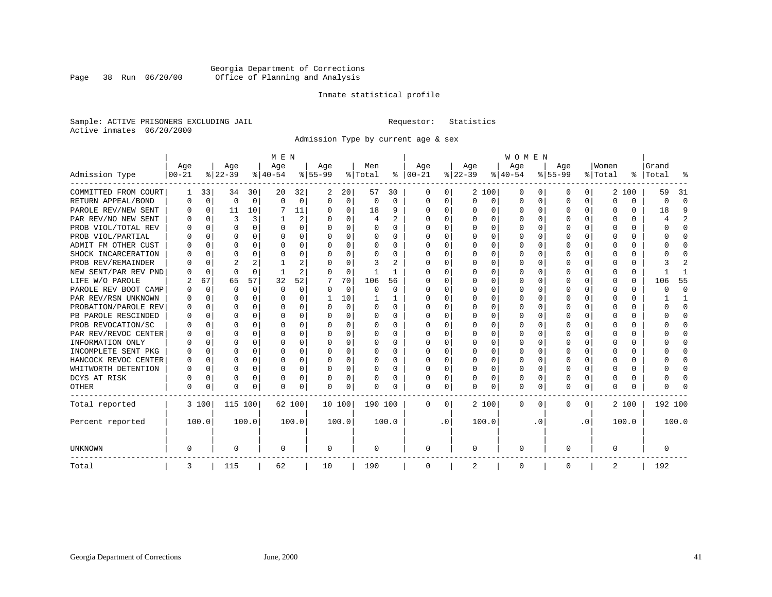# Georgia Department of Corrections Page 38 Run 06/20/00 Office of Planning and Analysis

# Inmate statistical profile

Sample: ACTIVE PRISONERS EXCLUDING JAIL **Requestor:** Statistics Active inmates 06/20/2000

Admission Type by current age & sex

|                      |           |             |          |          | M E N    |          |           |          |          |       |               |           |          |          | <b>WOMEN</b> |          |              |              |          |          |           |          |
|----------------------|-----------|-------------|----------|----------|----------|----------|-----------|----------|----------|-------|---------------|-----------|----------|----------|--------------|----------|--------------|--------------|----------|----------|-----------|----------|
|                      | Age       |             | Age      |          | Age      |          | Age       |          | Men      |       | Age           |           | Age      |          | Age          |          | Age          |              | Women    |          | Grand     |          |
| Admission Type       | $00 - 21$ |             | $ 22-39$ |          | $ 40-54$ |          | $8 55-99$ |          | % Total  |       | $8   00 - 21$ |           | $ 22-39$ |          | $ 40-54$     |          | $8 55-99$    |              | % Total  |          | %   Total | န္       |
| COMMITTED FROM COURT | 1         | 33          | 34       | 30       | 20       | 32       | 2         | 20       | 57       | 30    | $\Omega$      | 0         |          | 2 100    | 0            | 0        | 0            | 0            |          | 2 100    | 59        | 31       |
| RETURN APPEAL/BOND   | 0         | $\Omega$    | $\Omega$ | $\Omega$ | $\Omega$ | $\Omega$ | $\Omega$  | $\Omega$ | $\Omega$ | 0     | $\Omega$      | $\Omega$  | $\Omega$ | $\Omega$ | 0            | $\Omega$ | $\Omega$     | $\Omega$     | O        | $\Omega$ | 0         | $\Omega$ |
| PAROLE REV/NEW SENT  | O         | 0           | 11       | 10       |          | 11       | $\Omega$  | 0        | 18       | 9     | $\Omega$      | 0         | $\Omega$ | $\Omega$ | U            | $\Omega$ | $\Omega$     | $\Omega$     | O        | U        | 18        | 9        |
| PAR REV/NO NEW SENT  | O         | $\Omega$    | ζ        | 3        |          | 2        |           | $\Omega$ | 4        | 2     | $\Omega$      | 0         | $\Omega$ | $\Omega$ | U            | $\Omega$ | <sup>0</sup> | 0            |          | U        |           |          |
| PROB VIOL/TOTAL REV  | O         | 0           | O        | 0        | O        | 0        | $\Omega$  | $\Omega$ | 0        | 0     | $\Omega$      | 0         | $\Omega$ | $\Omega$ | 0            | $\Omega$ | <sup>0</sup> | 0            | O        | 0        | U         | $\Omega$ |
| PROB VIOL/PARTIAL    | 0         | 0           | O        | 0        | O        | 0        | ∩         | $\Omega$ | 0        | 0     | $\Omega$      | 0         | $\Omega$ | $\Omega$ | 0            | $\Omega$ | <sup>0</sup> | 0            | O        | 0        | U         | $\Omega$ |
| ADMIT FM OTHER CUST  | U         | 0           | U        | 0        | O        | 0        | ∩         | $\Omega$ | O        | 0     | $\Omega$      | 0         | $\Omega$ | $\Omega$ | O            | $\Omega$ | ∩            | $\Omega$     | U        | 0        | U         | ∩        |
| SHOCK INCARCERATION  |           | $\Omega$    | $\Omega$ | $\Omega$ | O        | 0        |           | $\Omega$ | 0        | 0     | $\Omega$      | 0         | $\Omega$ | $\Omega$ | 0            | $\Omega$ | <sup>0</sup> | $\Omega$     | O        | $\Omega$ |           | $\cap$   |
| PROB REV/REMAINDER   |           | $\Omega$    | 2        | 2        |          | 2        |           | $\Omega$ | 3        | 2     | 0             | 0         | $\Omega$ | $\Omega$ | 0            | $\Omega$ | $\Omega$     | $\Omega$     | $\Omega$ | $\Omega$ |           | 2        |
| NEW SENT/PAR REV PND |           | $\Omega$    | $\Omega$ | $\Omega$ |          | 2        |           | $\Omega$ |          | 1     | 0             | 0         | $\Omega$ | $\Omega$ | 0            | $\Omega$ |              | $\Omega$     |          | 0        |           |          |
| LIFE W/O PAROLE      | 2         | 67          | 65       | 57       | 32       | 52       |           | 70       | 106      | 56    | 0             | 0         | O        | $\Omega$ | 0            | $\Omega$ | O            | $\Omega$     | O        | $\Omega$ | 106       | 55       |
| PAROLE REV BOOT CAMP | N         | $\Omega$    | O        | $\Omega$ | $\Omega$ | 0        | O         | $\Omega$ | 0        | 0     | 0             | 0         | O        | $\Omega$ | 0            | $\Omega$ | O            | $\Omega$     | O        | 0        | Ω         | $\Omega$ |
| PAR REV/RSN UNKNOWN  |           | $\Omega$    | U        | $\Omega$ | $\Omega$ | 0        |           | 10       |          | 1     | 0             | 0         | O        | $\Omega$ | 0            | $\Omega$ | O            | $\Omega$     | O        | 0        |           |          |
| PROBATION/PAROLE REV | O         | $\Omega$    | U        | 0        | $\Omega$ | 0        |           | $\Omega$ | O        | 0     | n             | 0         | O        | $\Omega$ | O            | ∩        | ∩            | 0            | U        | 0        | ∩         | ∩        |
| PB PAROLE RESCINDED  | U         | $\Omega$    | ∩        | $\Omega$ | $\Omega$ | O        |           | $\Omega$ | O        | 0     | $\Omega$      | 0         | ∩        | $\Omega$ | O            | C        | ∩            | 0            | U        | U        |           | ∩        |
| PROB REVOCATION/SC   | U         | 0           | U        | 0        | O        | 0        |           | 0        | 0        | O     | $\Omega$      | O         | $\Omega$ | $\Omega$ | U            | C        | ∩            | 0            |          | U        |           | ∩        |
| PAR REV/REVOC CENTER | O         | 0           | U        | 0        | O        | 0        |           | $\Omega$ | 0        | 0     | $\Omega$      | 0         | $\Omega$ | $\Omega$ | 0            | $\Omega$ |              | 0            |          | 0        |           | ∩        |
| INFORMATION ONLY     | n         | 0           | U        | 0        | O        | 0        | ∩         | $\Omega$ | 0        | 0     | $\Omega$      | 0         | $\Omega$ | $\Omega$ | 0            | $\Omega$ | ∩            | <sup>n</sup> | n        | 0        |           | ∩        |
| INCOMPLETE SENT PKG  | O         | 0           | U        | $\Omega$ | n        | 0        | ∩         | $\Omega$ | 0        | 0     | $\Omega$      | 0         | $\Omega$ | $\Omega$ | O            | $\Omega$ | ∩            | 0            | U        | 0        |           | ∩        |
| HANCOCK REVOC CENTER | O         | 0           | U        | $\Omega$ | O        | 0        | ∩         | $\Omega$ | O        | 0     | $\Omega$      | 0         | $\Omega$ | $\Omega$ | O            | $\Omega$ | ∩            | $\Omega$     | U        | 0        |           | $\Omega$ |
| WHITWORTH DETENTION  | U         | $\mathbf 0$ | U        | $\Omega$ | $\Omega$ | 0        | ∩         | $\Omega$ | O        | 0     | $\Omega$      | 0         | $\Omega$ | $\Omega$ | O            | $\Omega$ | $\cap$       | $\Omega$     | U        | $\Omega$ |           | $\cap$   |
| DCYS AT RISK         |           | 0           | 0        | $\Omega$ | 0        | 0        |           | 0        | 0        | 0     | $\Omega$      | 0         |          | 0        | 0            | $\Omega$ | 0            | $\Omega$     | O        | $\Omega$ |           | ſ        |
| <b>OTHER</b>         | 0         | 0           | $\Omega$ | 0        | 0        | 0        |           | 0        | 0        | 0     | $\Omega$      | 0         | 0        | 0        | 0            | $\Omega$ | $\Omega$     | $\Omega$     | U        | 0        |           |          |
| Total reported       |           | 3 100       | 115 100  |          | 62 100   |          | 10 100    |          | 190 100  |       | $\Omega$      | 0         |          | 2 100    | 0            | 0        | 0            | 0            |          | 2 100    | 192 100   |          |
| Percent reported     |           | 100.0       |          | 100.0    |          | 100.0    |           | 100.0    |          | 100.0 |               | $\cdot$ 0 |          | 100.0    |              | . 0      |              | $\cdot$ 0    |          | 100.0    |           | 100.0    |
| <b>UNKNOWN</b>       | 0         |             | 0        |          | 0        |          | 0         |          | 0        |       | 0             |           | 0        |          | 0            |          | 0            |              | 0        |          | 0         |          |
| Total                | 3         |             | 115      |          | 62       |          | 10        |          | 190      |       | $\mathbf 0$   |           | 2        |          | 0            |          | 0            |              | 2        |          | 192       |          |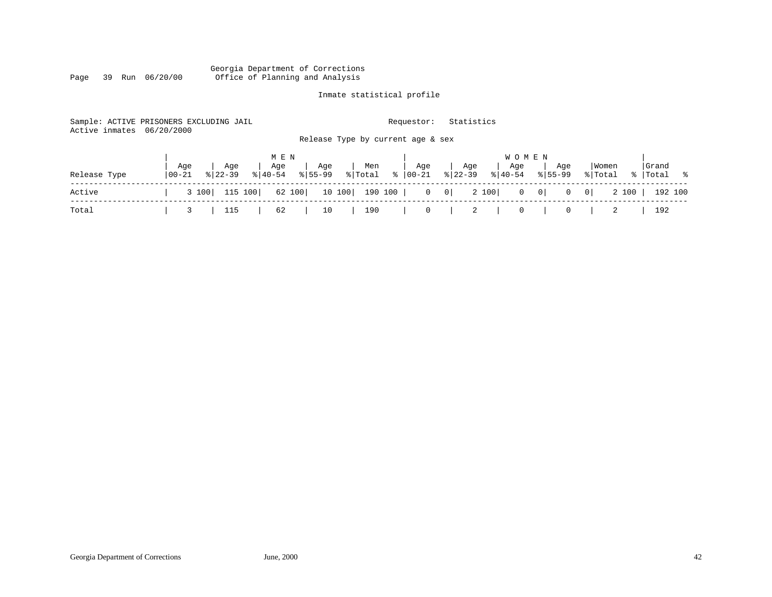### Georgia Department of Corrections Page 39 Run 06/20/00 Office of Planning and Analysis

# Inmate statistical profile

| Active inmates | Sample: ACTIVE PRISONERS EXCLUDING JAIL<br>06/20/2000      | Release Type by current age & sex                   | Requestor:        | Statistics                                        |                      |                                            |  |
|----------------|------------------------------------------------------------|-----------------------------------------------------|-------------------|---------------------------------------------------|----------------------|--------------------------------------------|--|
| Release Type   | Aqe<br>Age<br>Age<br>$8140 - 54$<br>  00-21<br>$8122 - 39$ | M E N<br>Age<br>Men<br>$8155 - 99$<br>% Total<br>ႜၟ | Age<br>$00 - 21$  | W O M E N<br>Age<br>Aqe<br>$8 22-39$<br>$8 40-54$ | Age<br>$8155 - 99$   | Grand<br>  Women<br>% Total<br>%   Total % |  |
| Active         | 115 100<br>3 100                                           | 62 100<br>10 100<br>190 100                         | $0 \qquad 0 \mid$ | 2 100<br>$0 \qquad 0 \mid$                        | 0 <br>$\overline{0}$ | 2 100<br>192 100                           |  |
| Total          | 115<br>62                                                  | 190<br>10                                           | 0                 | 2<br>0                                            | 0                    | 192                                        |  |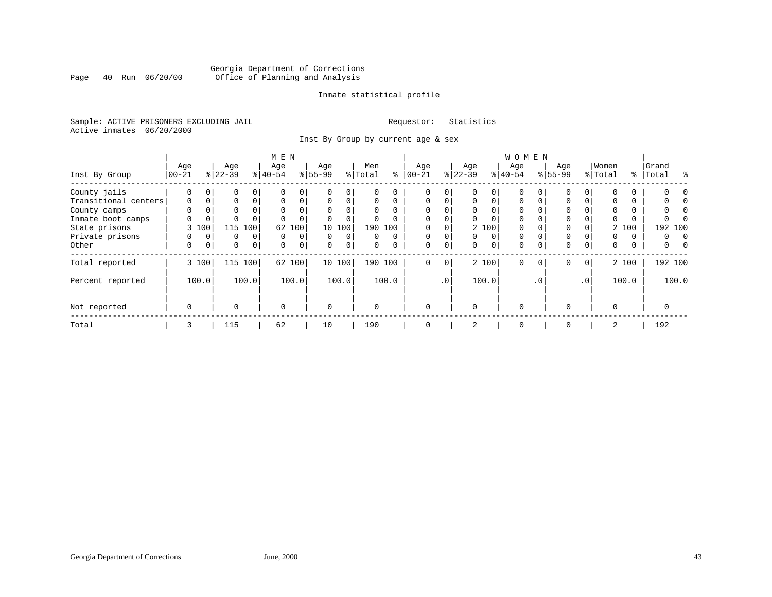# Georgia Department of Corrections<br>Page 40 Run 06/20/00 Office of Planning and Analysis Page 40 Run 06/20/00 Office of Planning and Analysis

# Inmate statistical profile

Sample: ACTIVE PRISONERS EXCLUDING JAIL **Requestor:** Statistics Active inmates 06/20/2000

Inst By Group by current age & sex

| M E N                |             |          |           |                |             |        |             |             |          |          |             |                 |              |             | W O M E N    |             |             |                |             |               |          |           |
|----------------------|-------------|----------|-----------|----------------|-------------|--------|-------------|-------------|----------|----------|-------------|-----------------|--------------|-------------|--------------|-------------|-------------|----------------|-------------|---------------|----------|-----------|
|                      | Age         |          | Age       |                | Age         |        | Age         |             | Men      |          | Age         |                 | Age          |             | Age          |             | Age         |                | Women       |               | Grand    |           |
| Inst By Group        | $00 - 21$   |          | $ 22-39 $ |                | $8 40-54$   |        | $8 55-99$   |             | % Total  | ႜ        | $ 00-21$    |                 | $ 22-39 $    |             | $ 40-54 $    |             | $8 55-99$   |                | % Total     | $\frac{8}{6}$ | Total    | $\approx$ |
| County jails         | 0           | 0        | 0         | 0              |             |        |             | 0           | 0        | 0        | 0           | 0               | 0            |             | $\mathbf 0$  |             | $\Omega$    |                |             | 0             |          |           |
| Transitional centers | 0           | $\Omega$ | 0         | $\Omega$       | $\Omega$    | 0      | $\mathbf 0$ | $\mathbf 0$ | $\Omega$ | $\Omega$ | $\mathbf 0$ | $\Omega$        | $\mathbf{0}$ | $\mathbf 0$ | $\mathbf{0}$ | $\Omega$    | $\Omega$    |                | $\Omega$    | 0             |          |           |
| County camps         | $\Omega$    |          | 0         |                | $\Omega$    |        | $\Omega$    | $\Omega$    | 0        | $\Omega$ | $\Omega$    |                 | $\Omega$     |             | $\mathbf 0$  |             | $\Omega$    |                | $\Omega$    | 0             | 0        |           |
| Inmate boot camps    | 0           | 0        | $\Omega$  |                |             |        |             | $\mathbf 0$ | 0        | $\Omega$ | $\Omega$    |                 | $\Omega$     | $\Omega$    | $\mathbf 0$  |             | 0           |                | $\Omega$    | 0             |          |           |
| State prisons        | 3           | 100      | 115       | 100            | 62          | 100    | 10          | 100         |          | 190 100  |             |                 |              | 2 100       | $\Omega$     |             | $\Omega$    |                |             | 2 100         | 192 100  |           |
| Private prisons      | $\Omega$    | $\Omega$ | 0         | $\Omega$       | $\Omega$    | 0      | $\Omega$    | $\Omega$    | $\Omega$ | $\Omega$ | $\Omega$    |                 | $\Omega$     | 0           | $\mathbf 0$  | $\Omega$    | 0           |                | $\Omega$    | $\Omega$      | 0        | $\Omega$  |
| Other                | 0           | 0        | 0         | $\overline{0}$ | $\mathbf 0$ | 0      | $\Omega$    | $\mathbf 0$ | 0        | 0        | $\Omega$    | $\mathbf 0$     | 0            | 0           | $\mathbf 0$  | $\mathbf 0$ | $\mathbf 0$ | 0              | $\mathbf 0$ | 0             | 0        |           |
| Total reported       |             | 3 100    |           | 115 100        |             | 62 100 |             | 10 100      |          | 190 100  | $\mathbf 0$ | 0               |              | 2 100       | $\mathbf 0$  | $\mathbf 0$ | $\mathbf 0$ | $\overline{0}$ |             | 2 100         | 192 100  |           |
| Percent reported     |             | 100.0    |           | 100.0          |             | 100.0  |             | 100.0       |          | 100.0    |             | .0 <sup>′</sup> |              | 100.0       |              | . 0         |             | $\cdot$ 0      |             | 100.0         |          | 100.0     |
| Not reported         | $\mathbf 0$ |          | $\Omega$  |                | $\Omega$    |        | $\Omega$    |             | $\Omega$ |          | $\Omega$    |                 | $\Omega$     |             | $\mathbf 0$  |             | $\Omega$    |                | $\Omega$    |               | $\Omega$ |           |
| Total                | 3           |          | 115       |                | 62          |        | 10          |             | 190      |          | 0           |                 | 2            |             | 0            |             | 0           |                | 2           |               | 192      |           |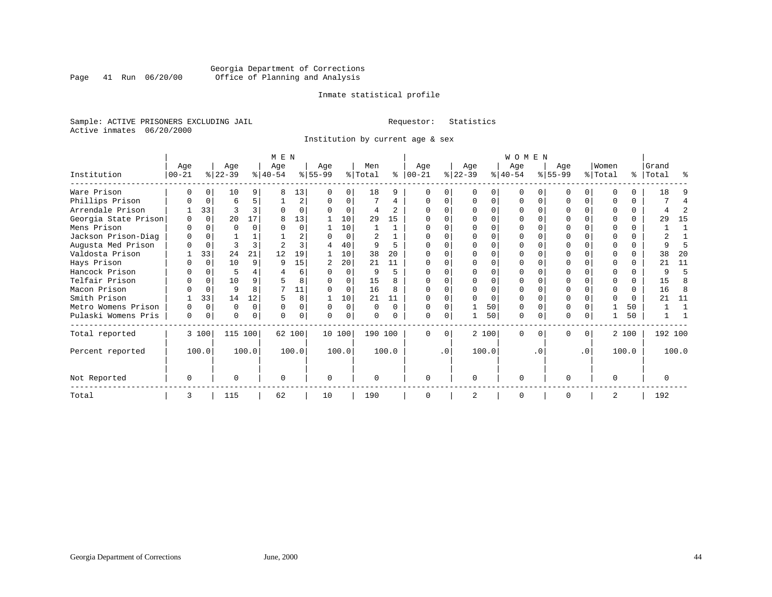# Georgia Department of Corrections<br>Page 41 Run 06/20/00 Office of Planning and Analysis Page 41 Run 06/20/00 Office of Planning and Analysis

# Inmate statistical profile

Sample: ACTIVE PRISONERS EXCLUDING JAIL **Requestor:** Statistics Active inmates 06/20/2000

Institution by current age & sex

|                      |                   |          |                  |          | M E N            |          |                  |          |                |              |                 |           |                  |       | <b>WOMEN</b>     |          |                 |           |                  |       |                    |       |
|----------------------|-------------------|----------|------------------|----------|------------------|----------|------------------|----------|----------------|--------------|-----------------|-----------|------------------|-------|------------------|----------|-----------------|-----------|------------------|-------|--------------------|-------|
| Institution          | Age<br>$ 00 - 21$ |          | Age<br>$ 22-39 $ |          | Age<br>$ 40-54 $ |          | Age<br>$8 55-99$ |          | Men<br>% Total | ៖            | Age<br>$ 00-21$ |           | Age<br>$ 22-39 $ |       | Age<br>$ 40-54 $ |          | Age<br>$ 55-99$ |           | Women<br>% Total |       | Grand<br>%   Total | ႜ     |
| Ware Prison          |                   |          | 10               | 9        |                  | 13       |                  | 0        | 18             | 9            |                 |           |                  |       |                  |          |                 | 0         |                  |       | 18                 | q     |
| Phillips Prison      |                   | $\Omega$ | 6                |          |                  | 2        | $\Omega$         | 0        |                | 4            |                 |           | 0                | 0     | $\Omega$         |          |                 | $\Omega$  |                  |       |                    |       |
| Arrendale Prison     |                   | 33       | ζ                |          |                  | $\Omega$ | U                | 0        | 4              | 2            |                 |           |                  |       |                  |          |                 |           |                  |       |                    |       |
| Georgia State Prison | 0                 | $\Omega$ | 20               | 17       | 8                | 13       |                  | 10       | 29             | 15           |                 |           |                  |       |                  |          |                 |           |                  | C.    | 29                 | 15    |
| Mens Prison          |                   | ∩        |                  | $\cap$   |                  | $\Omega$ |                  | 10       |                | $\mathbf{1}$ |                 |           |                  |       |                  |          |                 |           |                  |       |                    |       |
| Jackson Prison-Diag  | $\Omega$          |          |                  |          |                  | 2        |                  | $\Omega$ | 2              |              |                 |           |                  |       |                  |          |                 |           |                  |       |                    |       |
| Augusta Med Prison   |                   | $\Omega$ |                  |          |                  | 3        |                  | 40       | 9              | 5            |                 |           |                  |       |                  |          |                 |           |                  |       |                    | 5     |
| Valdosta Prison      |                   | 33       | 24               | 21       | 12               | 19       |                  | 10       | 38             | 20           |                 |           |                  |       |                  |          |                 |           |                  |       | 38                 | 20    |
| Hays Prison          | U                 | $\Omega$ | 10               | 9        | q                | 15       | 2                | 20       | 21             | 11           |                 |           |                  |       |                  |          |                 |           |                  |       | 21                 | 11    |
| Hancock Prison       |                   | $\Omega$ | 5                |          |                  | б        |                  | $\Omega$ | 9              | 5            |                 |           |                  |       |                  |          |                 |           |                  |       | q                  | 5     |
| Telfair Prison       |                   | $\Omega$ | 10               |          |                  |          |                  | $\Omega$ | 15             | 8            |                 |           |                  |       |                  |          |                 |           |                  |       | 15                 | 8     |
| Macon Prison         |                   | $\Omega$ | 9                |          |                  | 11       | 0                | $\Omega$ | 16             | 8            |                 |           |                  |       |                  |          |                 |           |                  | 0     | 16                 | 8     |
| Smith Prison         |                   | 33       | 14               | 12       |                  | 8        |                  | 10       | 21             | 11           |                 |           |                  | O     |                  |          |                 | 0         |                  | 0     | 21                 | 11    |
| Metro Womens Prison  | $\Omega$          | $\Omega$ | $\Omega$         | $\Omega$ | $\Omega$         | 0        | O                | $\Omega$ | O              | $\Omega$     |                 |           |                  | 50    |                  |          |                 | 0         |                  | 50    |                    |       |
| Pulaski Womens Pris  | 0                 | $\Omega$ | 0                | 0        | O                | $\Omega$ | U                | $\Omega$ | 0              |              |                 |           |                  | 50    | $\Omega$         | O        |                 | 0         |                  | 50    |                    |       |
| Total reported       |                   | 3 100    | 115 100          |          |                  | 62 100   |                  | 10100    | 190 100        |              | 0               | $\Omega$  |                  | 2 100 | $\Omega$         | $\Omega$ | U               | $\Omega$  |                  | 2 100 | 192 100            |       |
| Percent reported     |                   | 100.0    |                  | 100.0    |                  | 100.0    |                  | 100.0    |                | 100.0        |                 | $\cdot$ 0 |                  | 100.0 |                  | . 0      |                 | $\cdot$ 0 |                  | 100.0 |                    | 100.0 |
| Not Reported         | 0                 |          | U                |          | $\cap$           |          | $\Omega$         |          | ∩              |              |                 |           | ∩                |       |                  |          |                 |           |                  |       |                    |       |
| Total                | 3                 |          | 115              |          | 62               |          | 10               |          | 190            |              |                 |           | 2                |       | $\Omega$         |          |                 |           | 2                |       | 192                |       |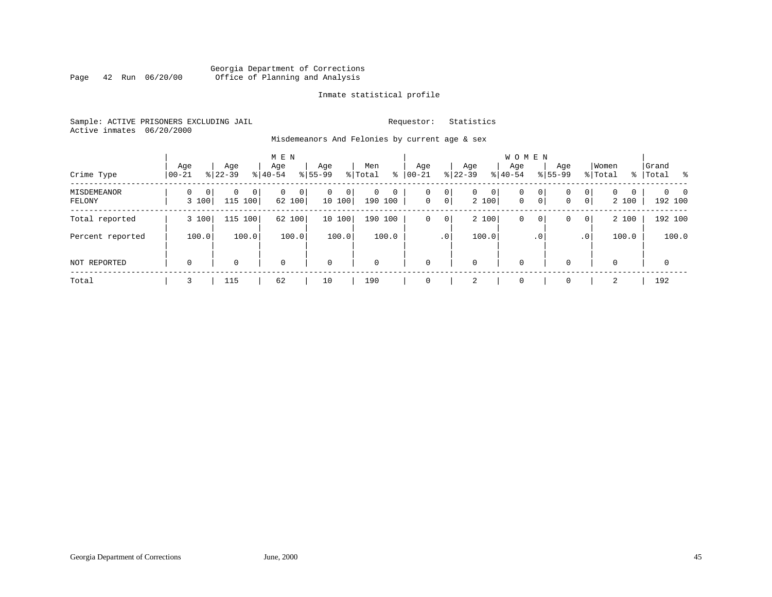# Georgia Department of Corrections Page 42 Run 06/20/00 Office of Planning and Analysis

# Inmate statistical profile

Sample: ACTIVE PRISONERS EXCLUDING JAIL **Requestor:** Statistics Active inmates 06/20/2000

Misdemeanors And Felonies by current age & sex

| Crime Type            | Age<br>$00 - 21$ | Age<br>$ 22-39 $            | M E N<br>Age<br>$8 40-54$   | Age<br>$8 55-99$           | Men<br>⊱<br>% Total         | Age<br>$00 - 21$ | Aqe<br>$ 22-39 $                                     | <b>WOMEN</b><br>Aqe<br>$ 40-54 $ | Age<br>$8155 - 99$  | Women<br>% Total                      | Grand<br>%   Total<br>း ေ              |
|-----------------------|------------------|-----------------------------|-----------------------------|----------------------------|-----------------------------|------------------|------------------------------------------------------|----------------------------------|---------------------|---------------------------------------|----------------------------------------|
| MISDEMEANOR<br>FELONY | 0<br>0<br>3 100  | $\Omega$<br>0<br>115<br>100 | $\mathbf{0}$<br>0<br>62 100 | $\mathbf 0$<br>0<br>10 100 | 0<br>$\mathbf 0$<br>190 100 | 0<br>$\mathbf 0$ | $\circ$<br>$\overline{0}$<br>0 <sup>1</sup><br>2 100 | 0<br>$\mathbf 0$<br>$\mathbf 0$  | 0<br>0 <sup>1</sup> | $\Omega$<br>0<br>0<br>0<br>0<br>2 100 | $0\qquad 0$<br>$\mathbf{0}$<br>192 100 |
| Total reported        | 3 100            | 115 100                     | 62 100                      | 10100                      | 190 100                     | 0                | 2 100<br>$\circ$                                     | 0                                | $\circ$             | 2 100<br>$\mathbf{0}$<br>0            | 192 100                                |
| Percent reported      | 100.0            | 100.0                       | 100.0                       | 100.0                      | 100.0                       |                  | 100.0<br>.0 <sup>1</sup>                             |                                  | . 0                 | 100.0<br>.0                           | 100.0                                  |
| <b>NOT REPORTED</b>   | $\mathbf 0$      | 0                           | $\mathbf 0$                 | $\mathbf 0$                | $\mathbf 0$                 | $\Omega$         | $\mathbf 0$                                          | $\mathbf 0$                      |                     | 0<br>0                                | $\mathbf 0$                            |
| Total                 |                  | 115                         | 62                          | 10                         | 190                         |                  | 2                                                    | $\mathbf 0$                      | $\Omega$            | 2                                     | 192                                    |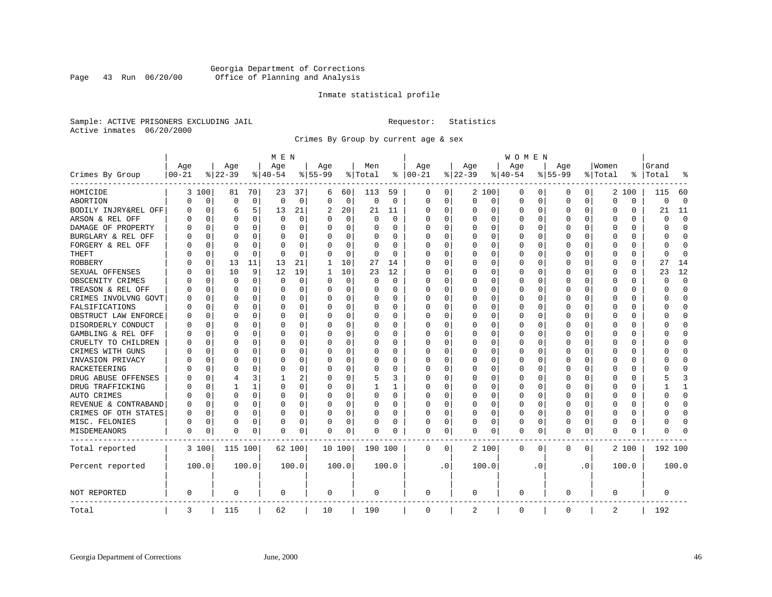# Georgia Department of Corrections Page 43 Run 06/20/00 Office of Planning and Analysis

# Inmate statistical profile

Sample: ACTIVE PRISONERS EXCLUDING JAIL **Requestor:** Statistics Active inmates 06/20/2000

Crimes By Group by current age & sex

|                      | M E N      |             |          |              |             |             |           |                |             |             | <b>WOMEN</b>  |             |              |          |             |             |           |             |          |             |              |              |  |  |
|----------------------|------------|-------------|----------|--------------|-------------|-------------|-----------|----------------|-------------|-------------|---------------|-------------|--------------|----------|-------------|-------------|-----------|-------------|----------|-------------|--------------|--------------|--|--|
|                      | Age        |             | Age      |              | Age         |             | Age       |                | Men         |             | Age           |             | Age          |          | Age         |             | Age       |             | Women    |             | Grand        |              |  |  |
| Crimes By Group      | $ 00 - 21$ |             | $ 22-39$ |              | $ 40-54$    |             | $8 55-99$ |                | % Total     |             | $8   00 - 21$ |             | $ 22-39$     |          | $ 40-54$    |             | $8 55-99$ |             | % Total  | ႜ           | Total        |              |  |  |
| HOMICIDE             | 3          | 100         | 81       | 70           | 23          | 37          | 6         | 60             | 113         | 59          | 0             | 0           |              | 2 100    | 0           | 0           | 0         | 0           | 2        | 100         | 115          | 60           |  |  |
| ABORTION             | O          | $\mathbf 0$ | $\Omega$ | $\mathbf 0$  | $\mathbf 0$ | $\mathbf 0$ | $\Omega$  | $\overline{0}$ | $\mathbf 0$ | $\mathbf 0$ | $\mathbf 0$   | $\mathbf 0$ | $\mathbf{0}$ | 0        | $\mathbf 0$ | $\mathbf 0$ | $\Omega$  | $\mathbf 0$ | $\Omega$ | $\mathbf 0$ | 0            | $\mathbf 0$  |  |  |
| BODILY INJRY&REL OFF | 0          | $\mathbf 0$ | 6        | 5            | 13          | 21          | 2         | 20             | 21          | 11          | $\Omega$      | 0           | 0            | 0        | $\Omega$    | 0           | $\Omega$  | 0           | O        | 0           | 21           | 11           |  |  |
| ARSON & REL OFF      | U          | $\Omega$    | $\Omega$ | $\Omega$     | $\mathbf 0$ | 0           |           | $\Omega$       | $\Omega$    | $\Omega$    | $\Omega$      | $\Omega$    | 0            | $\Omega$ | $\Omega$    | $\Omega$    | $\Omega$  | $\Omega$    | C        | U           | $\Omega$     | $\mathbf 0$  |  |  |
| DAMAGE OF PROPERTY   | U          | $\Omega$    | $\Omega$ | $\Omega$     | $\Omega$    | 0           |           | $\Omega$       | $\Omega$    | O           | $\Omega$      | $\Omega$    | $\Omega$     | $\Omega$ | $\Omega$    | $\Omega$    | $\Omega$  | $\Omega$    | C        | 0           | $\cap$       | $\Omega$     |  |  |
| BURGLARY & REL OFF   | Ω          | $\Omega$    | $\Omega$ | 0            | $\Omega$    | 0           | $\Omega$  | $\Omega$       | 0           | 0           | $\Omega$      | $\Omega$    | 0            | $\Omega$ | 0           | 0           | $\Omega$  | $\Omega$    | C        | 0           | 0            | $\Omega$     |  |  |
| FORGERY & REL OFF    |            | $\Omega$    | ∩        | 0            | $\Omega$    | 0           |           | $\Omega$       | 0           | $\Omega$    | $\Omega$      | $\Omega$    | 0            | $\Omega$ | 0           | $\Omega$    | $\Omega$  | $\Omega$    | C        | 0           | U            | $\cap$       |  |  |
| THEFT                |            | 0           | $\Omega$ | $\Omega$     | $\cap$      | $\Omega$    | ∩         | $\Omega$       | 0           | $\Omega$    | $\Omega$      | 0           | U            | O        | U           | 0           | $\Omega$  | $\Omega$    | C        | 0           | <sup>0</sup> | $\Omega$     |  |  |
| <b>ROBBERY</b>       | U          | 0           | 13       | 11           | 13          | 21          | 1         | 10             | 27          | 14          | $\Omega$      | $\Omega$    | $\Omega$     | $\Omega$ | U           | 0           | $\Omega$  | $\Omega$    | C        | U           | 27           | 14           |  |  |
| SEXUAL OFFENSES      | N          | $\Omega$    | 10       | 9            | 12          | 19          | 1         | 10             | 23          | 12          | $\Omega$      | O           | U            | $\Omega$ | 0           | $\Omega$    | $\Omega$  | $\Omega$    | C        | 0           | 23           | 12           |  |  |
| OBSCENITY CRIMES     |            | $\Omega$    | $\Omega$ | $\Omega$     | $\Omega$    | 0           | $\Omega$  | $\Omega$       | $\Omega$    | $\Omega$    | $\Omega$      | $\Omega$    | 0            | $\Omega$ | 0           | 0           | $\Omega$  | $\Omega$    | O        | 0           | $\Omega$     | $\Omega$     |  |  |
| TREASON & REL OFF    |            | $\Omega$    | $\Omega$ | 0            | $\mathbf 0$ | 0           | $\Omega$  | $\mathbf 0$    | 0           | 0           | $\Omega$      | 0           | 0            | 0        | 0           | $\Omega$    | $\Omega$  | $\mathbf 0$ | O        | 0           | O            | $\mathbf 0$  |  |  |
| CRIMES INVOLVNG GOVT | U          | $\Omega$    | $\Omega$ | $\Omega$     | $\Omega$    | 0           | ∩         | 0              | 0           | $\Omega$    | $\Omega$      | $\Omega$    | $\Omega$     | $\Omega$ | O           | $\Omega$    | $\Omega$  | $\Omega$    | C        | 0           | U            | $\mathbf 0$  |  |  |
| FALSIFICATIONS       | U          | 0           | $\Omega$ | 0            | $\Omega$    | 0           | ∩         | 0              | 0           | 0           | $\Omega$      | 0           | 0            | O        | 0           | 0           | $\Omega$  | $\Omega$    | O        | 0           | n            | 0            |  |  |
| OBSTRUCT LAW ENFORCE | U          | $\Omega$    | ∩        | <sup>0</sup> | $\Omega$    | 0           |           | $\Omega$       | 0           | U           | $\Omega$      | 0           | U            | O        | $\Omega$    | $\Omega$    | ∩         | $\Omega$    | n        | 0           |              | $\cap$       |  |  |
| DISORDERLY CONDUCT   | U          | $\Omega$    | ∩        | <sup>0</sup> | $\Omega$    | U           | ∩         | $\Omega$       | O           | O           | $\Omega$      | 0           | $\Omega$     | O        | $\Omega$    | $\Omega$    | ∩         | $\Omega$    | C        | 0           |              | $\Omega$     |  |  |
| GAMBLING & REL OFF   | U          | $\Omega$    | $\Omega$ | $\Omega$     | $\Omega$    | 0           |           | $\Omega$       | 0           | 0           | $\Omega$      | $\Omega$    | U            | $\Omega$ | U           | 0           | $\Omega$  | $\Omega$    | C        | 0           |              | $\Omega$     |  |  |
| CRUELTY TO CHILDREN  | Ω          | $\Omega$    | $\Omega$ | $\Omega$     | $\Omega$    | O           |           | $\Omega$       | $\Omega$    | $\Omega$    | $\Omega$      | $\Omega$    | $\Omega$     | $\Omega$ | O           | $\Omega$    | $\Omega$  | $\Omega$    | C        | 0           |              | $\Omega$     |  |  |
| CRIMES WITH GUNS     | O          | $\Omega$    | $\Omega$ | $\Omega$     | 0           | 0           |           | $\Omega$       | 0           | 0           | $\Omega$      | $\Omega$    | $\Omega$     | 0        | 0           | $\Omega$    | $\Omega$  | $\Omega$    | C        | 0           |              | $\Omega$     |  |  |
| INVASION PRIVACY     | በ          | $\Omega$    | $\Omega$ | $\Omega$     | $\Omega$    | 0           |           | $\Omega$       | 0           | 0           | $\Omega$      | 0           | 0            | $\Omega$ | 0           | 0           | $\Omega$  | 0           | C        | 0           |              | $\bigcap$    |  |  |
| RACKETEERING         | U          | $\Omega$    | $\Omega$ | $\Omega$     | $\Omega$    | 0           | ∩         | $\Omega$       | $\Omega$    | O           | $\Omega$      | $\Omega$    | U            | $\Omega$ | $\Omega$    | $\Omega$    | $\Omega$  | $\Omega$    | C        | 0           |              | $\Omega$     |  |  |
| DRUG ABUSE OFFENSES  |            | $\Omega$    | 4        | 3            | -1          | 2           | $\Omega$  | $\Omega$       | 5           | 3           | $\Omega$      | $\Omega$    | O            | $\Omega$ | 0           | 0           | $\Omega$  | $\Omega$    | O        | 0           |              | ₹            |  |  |
| DRUG TRAFFICKING     |            | $\Omega$    | 1        | $\mathbf{1}$ | $\Omega$    | 0           |           | 0              | 1           | 1           | $\Omega$      | 0           | 0            | 0        | 0           | $\Omega$    | $\Omega$  | $\Omega$    | O        | 0           |              | $\mathbf{1}$ |  |  |
| AUTO CRIMES          | በ          | $\Omega$    | $\Omega$ | 0            | $\Omega$    | 0           |           | $\Omega$       | 0           | $\Omega$    | $\Omega$      | 0           | 0            | O        | U           | $\Omega$    | $\Omega$  | $\Omega$    | C        | 0           | U            | $\Omega$     |  |  |
| REVENUE & CONTRABAND | U          | 0           | $\Omega$ | 0            | $\Omega$    | 0           | ∩         | $\Omega$       | 0           | 0           | $\Omega$      | $\Omega$    | $\Omega$     | $\Omega$ | 0           | 0           | $\Omega$  | $\Omega$    | C        | 0           |              | $\Omega$     |  |  |
| CRIMES OF OTH STATES | U          | $\Omega$    | $\Omega$ | <sup>0</sup> | $\Omega$    | 0           | $\Omega$  | $\Omega$       | O           | O           | $\Omega$      | $\Omega$    | U            | $\Omega$ | O           | $\Omega$    | $\Omega$  | $\Omega$    | C        | U           |              | $\cap$       |  |  |
| MISC. FELONIES       | 0          | $\Omega$    | $\Omega$ | $\Omega$     | $\Omega$    | 0           | $\Omega$  | $\Omega$       | 0           | 0           | $\Omega$      | 0           | 0            | 0        | 0           | $\Omega$    | $\Omega$  | $\Omega$    | O        | 0           | U            | $\bigcap$    |  |  |
| MISDEMEANORS         | 0          | 0           | $\Omega$ | 0            | $\Omega$    | 0           | $\Omega$  | 0              | 0           | 0           | $\Omega$      | 0           | U            | 0        | $\Omega$    | 0           | $\Omega$  | 0           | $\Omega$ | 0           | O            | n            |  |  |
| Total reported       |            | 3 100       | 115 100  |              |             | 62 100      | 10 100    |                | 190 100     |             | $\mathbf 0$   | 0           |              | 2 100    | 0           | 0           | 0         | 0           |          | 2 100       | 192 100      |              |  |  |
| Percent reported     |            | 100.0       |          | 100.0        |             | 100.0       |           | 100.0          |             | 100.0       |               | $\cdot$ 0   |              | 100.0    |             | . 0         |           | $\cdot$ 0   |          | 100.0       |              | 100.0        |  |  |
| NOT REPORTED         | 0          |             | $\Omega$ |              | 0           |             | 0         |                | 0           |             | 0             |             | 0            |          | 0           |             | 0         |             | 0        |             | 0            |              |  |  |
| Total                | 3          |             | 115      |              | 62          |             | 10        |                | 190         |             | 0             |             | 2            |          | 0           |             | 0         |             | 2        |             | 192          |              |  |  |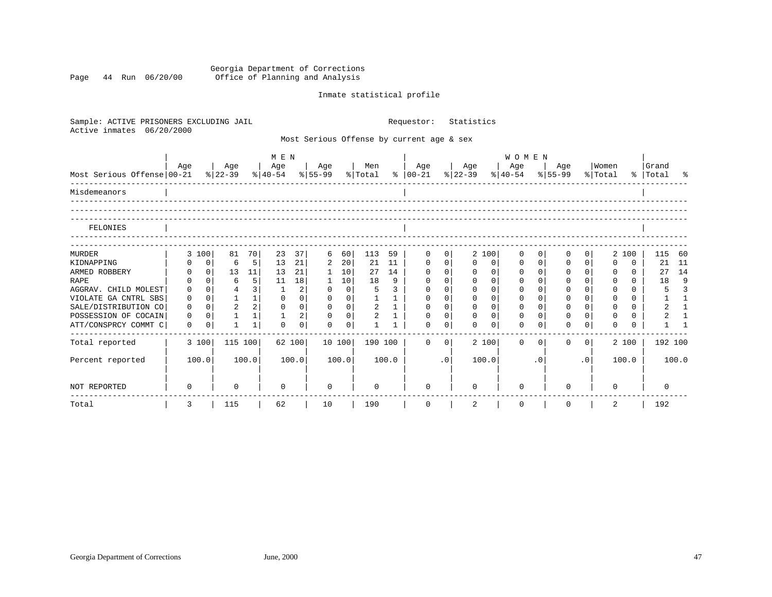### Georgia Department of Corrections Page 44 Run 06/20/00 Office of Planning and Analysis

# Inmate statistical profile

| Sample: ACTIVE PRISONERS EXCLUDING JAIL |             |                |                |                |                              |             |              |                |                |              | Requestor:                                |              | Statistics  |             |                  |             |                |           |              |          |                |              |
|-----------------------------------------|-------------|----------------|----------------|----------------|------------------------------|-------------|--------------|----------------|----------------|--------------|-------------------------------------------|--------------|-------------|-------------|------------------|-------------|----------------|-----------|--------------|----------|----------------|--------------|
| Active inmates<br>06/20/2000            |             |                |                |                |                              |             |              |                |                |              | Most Serious Offense by current age & sex |              |             |             |                  |             |                |           |              |          |                |              |
|                                         | Age         |                | Age            |                | M E N<br>Age<br>Men          |             |              |                |                |              |                                           |              | Age         | WOMEN       |                  |             |                |           | Women        |          | Grand          |              |
| Most Serious Offense 00-21              |             |                | % 22-39        |                | $ 40-54 \t  55-99 \t  Total$ |             | Age          |                |                |              | Age<br>$8   00-21$                        |              | $ 22-39 $   |             | Age<br>$8 40-54$ |             | Age<br>% 55-99 |           | % Total      |          | % Total %      |              |
| Misdemeanors                            |             |                |                |                |                              |             |              |                |                |              |                                           |              |             |             |                  |             |                |           |              |          |                |              |
| FELONIES                                |             |                |                |                |                              |             |              |                |                |              |                                           |              |             |             |                  |             |                |           |              |          |                |              |
|                                         |             |                |                |                |                              |             |              |                |                |              |                                           |              |             |             |                  |             |                |           |              |          |                |              |
| MURDER                                  |             | 3 100          | 81             | 70             | 23                           | 37          | 6            | 60             | 113            | 59           | 0                                         | $\mathbf{0}$ |             | 2 100       | $\mathbf 0$      | $\mathbf 0$ | 0              | 0         |              | 2 100    | 115            | -60          |
| KIDNAPPING                              |             | $\mathbf 0$    | 6              | 5              | 13                           | 21          | 2            | 20             | 21             | 11           | 0                                         | $\mathbf{0}$ | $\Omega$    | 0           | 0                | $\mathbf 0$ | 0              | $\Omega$  | $\Omega$     | $\Omega$ | 21             | 11           |
| ARMED ROBBERY                           | $\Omega$    | $\Omega$       | 13             | 11             | 13                           | 21          | $\mathbf{1}$ | 10             | 27             | 14           | $\Omega$                                  | $\mathbf 0$  | $\Omega$    | $\mathbf 0$ | $\mathbf 0$      | $\Omega$    | $\Omega$       | $\Omega$  | $\Omega$     | $\Omega$ | 27             | 14           |
| <b>RAPE</b>                             | 0           | $\Omega$       | 6              | 5 <sup>1</sup> | 11                           | 18          |              | 10             | 18             | 9            | $\Omega$                                  | 0            | $\mathbf 0$ | $\Omega$    | 0                | $\Omega$    | $\mathbf 0$    | $\Omega$  | 0            | $\Omega$ | 18             | 9            |
| AGGRAV. CHILD MOLEST                    | $\mathbf 0$ | $\overline{0}$ |                | 3              | 1                            | 2           | 0            | $\mathbf 0$    | 5              | 3            | $\Omega$                                  | 0            | $\Omega$    | $\Omega$    | 0                | $\Omega$    | $\Omega$       | $\Omega$  | 0            | $\Omega$ | 5              | 3            |
| VIOLATE GA CNTRL SBS                    | $\mathbf 0$ | $\Omega$       | $\mathbf{1}$   | 1              | $\Omega$                     | $\mathbf 0$ | $\mathbf 0$  | $\overline{0}$ |                | $\mathbf{1}$ | $\mathbf 0$                               | $\mathbf 0$  | $\Omega$    | $\mathbf 0$ | $\mathbf 0$      | $\Omega$    | $\mathbf 0$    | $\Omega$  | $\mathbf{0}$ | $\Omega$ |                | $\mathbf{1}$ |
| SALE/DISTRIBUTION CO                    | $\Omega$    | $\Omega$       | $\overline{2}$ | 2              | $\Omega$                     | $\Omega$    | $\Omega$     | $\Omega$       | 2              | $\mathbf{1}$ | $\Omega$                                  | $\Omega$     | $\Omega$    | $\Omega$    | $\Omega$         | $\Omega$    | $\Omega$       | $\Omega$  | $\Omega$     | $\Omega$ | $\overline{2}$ | $\mathbf{1}$ |
| POSSESSION OF COCAIN                    | $\Omega$    | $\Omega$       | $\mathbf{1}$   | 1              |                              | 2           | $\Omega$     | $\overline{0}$ | $\overline{2}$ |              | $\Omega$                                  | $\Omega$     | $\Omega$    | $\Omega$    | $\Omega$         | $\Omega$    | $\Omega$       | $\Omega$  | $\Omega$     | $\Omega$ | $\overline{a}$ | $\mathbf{1}$ |
| ATT/CONSPRCY COMMT C                    | $\Omega$    | 0              | 1              | 1              | $\Omega$                     | $\Omega$    | $\Omega$     | $\Omega$       |                |              | $\Omega$                                  | 0            | $\Omega$    | $\Omega$    | $\Omega$         | $\Omega$    | 0              | $\Omega$  | $\Omega$     | $\Omega$ |                |              |
| Total reported                          |             | 3 100          | 115 100        |                |                              | 62 100      |              | 10 100         | 190 100        |              | $\Omega$                                  | $\Omega$     |             | 2 100       | $\Omega$         | $\Omega$    | $\Omega$       | $\Omega$  |              | 2 100    | 192 100        |              |
| Percent reported                        |             | 100.0          |                | 100.0          |                              | 100.0       |              | 100.0          |                | 100.0        |                                           | .0           |             | 100.0       |                  | $\cdot$ 0   |                | $\cdot$ 0 |              | 100.0    |                | 100.0        |
| NOT REPORTED                            | 0           |                | 0              |                | $\Omega$                     |             | 0            |                | 0              |              | $\Omega$                                  |              | $\Omega$    |             | <sup>n</sup>     |             | U              |           | $\Omega$     |          |                |              |
| Total                                   | 3           |                | 115            |                | 62                           |             | 10           |                | 190            |              | 0                                         |              | 2           |             | 0                |             | 0              |           | 2            |          | 192            |              |